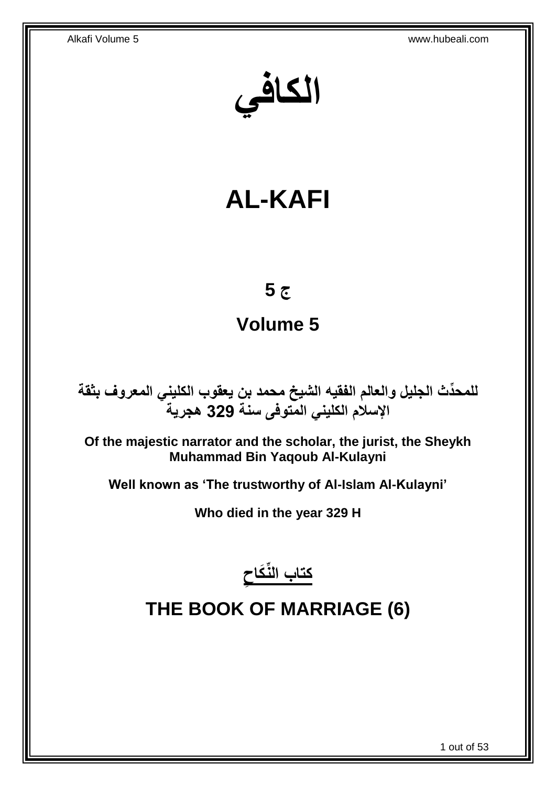**الكافي**

# **AL-KAFI**

## **ج 5**

## **Volume 5**

**دث الجليل والعالم الفقيه الشيخ محمد بن يعقوب الكليني المعروف بثقة للمح ِّ اإلسالم الكليني المتوفى سنة 329 هجرية**

**Of the majestic narrator and the scholar, the jurist, the Sheykh Muhammad Bin Yaqoub Al-Kulayni**

**Well known as 'The trustworthy of Al-Islam Al-Kulayni'**

**Who died in the year 329 H**



# <span id="page-0-0"></span>**THE BOOK OF MARRIAGE (6)**

1 out of 53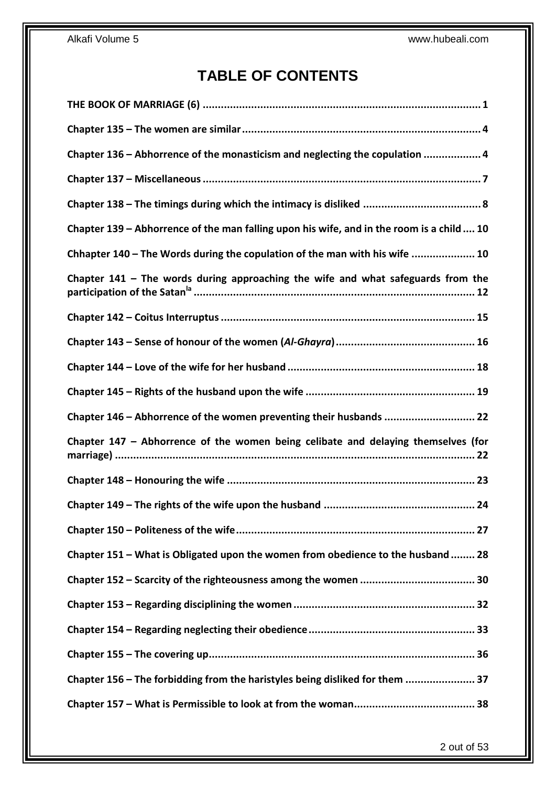## **TABLE OF CONTENTS**

| Chapter 136 - Abhorrence of the monasticism and neglecting the copulation  4              |
|-------------------------------------------------------------------------------------------|
|                                                                                           |
|                                                                                           |
| Chapter 139 - Abhorrence of the man falling upon his wife, and in the room is a child  10 |
| Chhapter 140 - The Words during the copulation of the man with his wife  10               |
| Chapter $141$ – The words during approaching the wife and what safeguards from the        |
|                                                                                           |
|                                                                                           |
|                                                                                           |
|                                                                                           |
|                                                                                           |
| Chapter 146 - Abhorrence of the women preventing their husbands  22                       |
| Chapter 147 - Abhorrence of the women being celibate and delaying themselves (for         |
|                                                                                           |
|                                                                                           |
|                                                                                           |
| Chapter 151 - What is Obligated upon the women from obedience to the husband  28          |
|                                                                                           |
|                                                                                           |
|                                                                                           |
|                                                                                           |
| Chapter 156 - The forbidding from the haristyles being disliked for them  37              |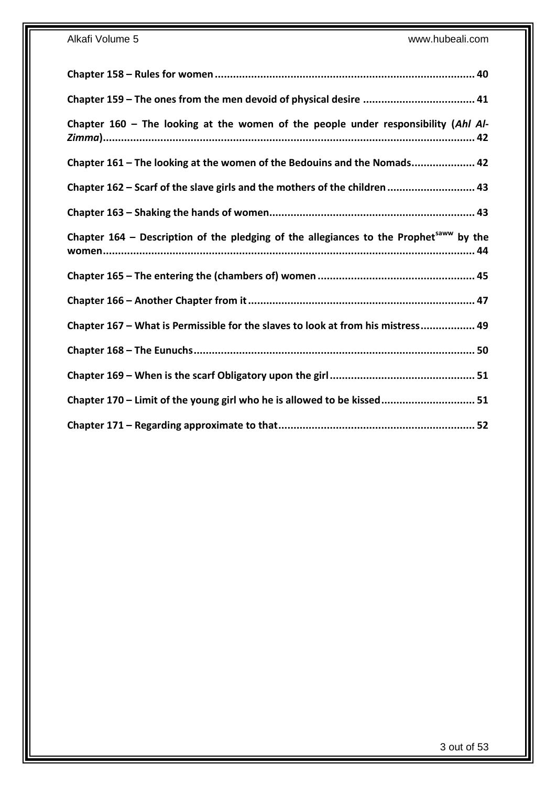| Chapter 160 - The looking at the women of the people under responsibility (Ahl Al-                   |
|------------------------------------------------------------------------------------------------------|
| Chapter 161 - The looking at the women of the Bedouins and the Nomads 42                             |
| Chapter 162 - Scarf of the slave girls and the mothers of the children  43                           |
|                                                                                                      |
| Chapter $164$ – Description of the pledging of the allegiances to the Prophet <sup>saww</sup> by the |
|                                                                                                      |
|                                                                                                      |
| Chapter 167 - What is Permissible for the slaves to look at from his mistress 49                     |
|                                                                                                      |
|                                                                                                      |
| Chapter 170 - Limit of the young girl who he is allowed to be kissed 51                              |
|                                                                                                      |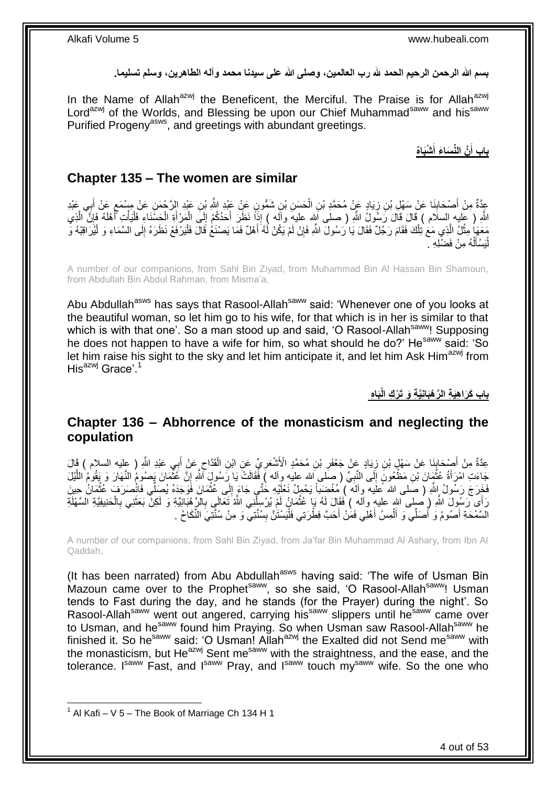**بسم هللا الرحمن الرحيم الحمد هلل رب العالمين، وصلى هللا على سيدنا محمد وآله الطاهرين، وسلم تسليما.**

In the Name of Allah<sup>azwj</sup> the Beneficent, the Merciful. The Praise is for Allah<sup>azwj</sup> Lord<sup>azwj</sup> of the Worlds, and Blessing be upon our Chief Muhammad<sup>saww</sup> and his<sup>saww</sup> Purified Progeny<sup>asws</sup>, and greetings with abundant greetings.

> **ْشَبا ه َّن الِّن َسا َء أ باب أ َ َ**

#### <span id="page-3-0"></span>**Chapter 135 – The women are similar**

عِدَّةٌ مِنْ أَصْحَابِنَا عَنْ سَهْلِ بْنِ زِيَادٍ عَنْ مُحَمَّدِ بْنِ الْحَسَنِ بْنِ شَمُّونٍ عَنْ عَبْدِ اللَّهِ بْنِ عَبْدِ الرَّحْمَنِ عَنْ مِسْمَعٍ عَنْ أَبِي عَبْدِ ْ ِ **∣** َ ِ َ ٍ اللَّهِ ( عليه إِلسلَام ) قَالَ قَالَ رَسُولُ اللَّهِ ( صلى اَلِله عليهَ وأَله ) إِذَا نَظَرَ أَحَدُكُمْ إِلَى الْمَرْأَةِ الْحَسْنَاءِ فَلْيَأْتِ أَهْلَهُ فَإِنَّ الَّذِي َّ ∣ļ َ **المشارا** ْ ْ َ ْ ֖֖֚֚֝׀׀<br>֧֪֪֓ َ مَعَهَا مِثْلُ الَّذِي مَعَ ٰتِلْكَ فَقَامَ رَجُلٌ فَقَالَ يَا رَسُولَ اللَّهِ فَإِنْ لَمْ يَكُنْ لَٰهُ أَهْلٌ فَمَا يَصنْغُ قَالَ فَلْيَرْفَعْ نَظَرَهُ إِلَى السَّمَاءِ وَ لَيُرَاقِبْهُ وَ َ ِ ْ َّ ْ ْ ِ لْيَسْأَلْهُ مِنْ فَضْلِهِ . ْ َ ا<br>ا

A number of our companions, from Sahl Bin Ziyad, from Muhammad Bin Al Hassan Bin Shamoun, from Abdullah Bin Abdul Rahman, from Misma'a,

Abu Abdullah<sup>asws</sup> has says that Rasool-Allah<sup>saww</sup> said: 'Whenever one of you looks at the beautiful woman, so let him go to his wife, for that which is in her is similar to that which is with that one'. So a man stood up and said, 'O Rasool-Allah<sup>saww</sup>! Supposing he does not happen to have a wife for him, so what should he do?' He<sup>saww</sup> said: 'So let him raise his sight to the sky and let him anticipate it, and let him Ask Him<sup>azwj</sup> from His $^{axmj}$  Grace'.<sup>1</sup>

**َبا ه باب َكَرا هَي ة ال َّر ْهَبان َّي ة َو َت ْر ك الْ**

### <span id="page-3-1"></span>**Chapter 136 – Abhorrence of the monasticism and neglecting the copulation**

َ عِدَّةٌ مِنْ أَصْحَابِنَا عَنْ سَهْلٍ بْنِ زِيَادٍ عَنْ جَعْفَرِ بْنِ مُحَمَّدٍ الْأَشْعَرِيِّ عَنِ ابْنِ الْقَدَّاحِ عَنْ أَبِي عَبْدِ اللَّهِ ( عِليه السلام ) قَالَ ِ ْ ِ ِ ِ **∣** َ جَاءَتِ الْمُرَأَةُ عُثْمَانَ بْنِ مَظْعُونٍ إِلَّى النَّبِيِّ (صِلْمٍ الله عليهِ وِاله ) فَقَالَتْ يَا رِّسُولٍ الْمُو إِنَّ عَثْمَانَ يَصوُمُ النَّهَارَ وَ يَقُومُ النَّيْلَ ْ َ ْ ِ **∶**  $\frac{1}{2}$ َّ فَخَرَجَ رَسُولُ إِللَّهِ ( صَلى الله عَلَيه وآلَه ۖ) مُغْضَبَأَ يَحْمِلُ نَعْلَيْهِ خُتَّى جَاءَ إِلَى عُثْمَانَ فَوَجَدَهُ يُصَلِّي فَانْصَرَفَ عُثْمَانُ حِينَ ْ ِ **ٔ** رَأَى رَسُولَ اللَّهِ ( ِصلى اللهِ عليهِ والَّه ) فَقَالَ لَهُ بَإِ عُثْمَانُ لَمْ يُرْسِلِّنِي اللَّهُ تَعَالَبٍ بِالْرَّهِمْبَانِيَّةِ وَ لَكِنَّ بَعَثَنِي بِالْحَنِيفِيَّةِ السَّهْلَةِ ِ ْ **ٔ** ْ ِ َ ْ السَّمْحَةِ أَصُومُ وَ أَصَلِّي وَ أَلْمِسُ أَهْلِي فَمَٰنْ أَحَبَّ فِطْرَتِي فَلْيَسْتَنَّ بِسُنَّتِيَّ وَ مِنْ سُنَّتِيَ النِّكَاحُ . َ ُ **∣** ْ َ َ

A number of our companions, from Sahl Bin Ziyad, from Ja'far Bin Muhammad Al Ashary, from Ibn Al Qaddah,

(It has been narrated) from Abu Abdullah<sup>asws</sup> having said: 'The wife of Usman Bin Mazoun came over to the Prophet<sup>saww</sup>, so she said, 'O Rasool-Allah<sup>saww</sup>! Usman tends to Fast during the day, and he stands (for the Prayer) during the night'. So Rasool-Allahsaww went out angered, carrying his saww slippers until he<sup>saww</sup> came over to Usman, and he<sup>saww</sup> found him Praying. So when Usman saw Rasool-Allah<sup>saww</sup> he finished it. So he<sup>saww</sup> said: 'O Usman! Allah<sup>azwj</sup> the Exalted did not Send me<sup>saww</sup> with the monasticism, but He<sup>azwj</sup> Sent me<sup>saww</sup> with the straightness, and the ease, and the tolerance. I<sup>saww</sup> Fast, and I<sup>saww</sup> Pray, and I<sup>saww</sup> touch my<sup>saww</sup> wife. So the one who

 $1$  Al Kafi – V 5 – The Book of Marriage Ch 134 H 1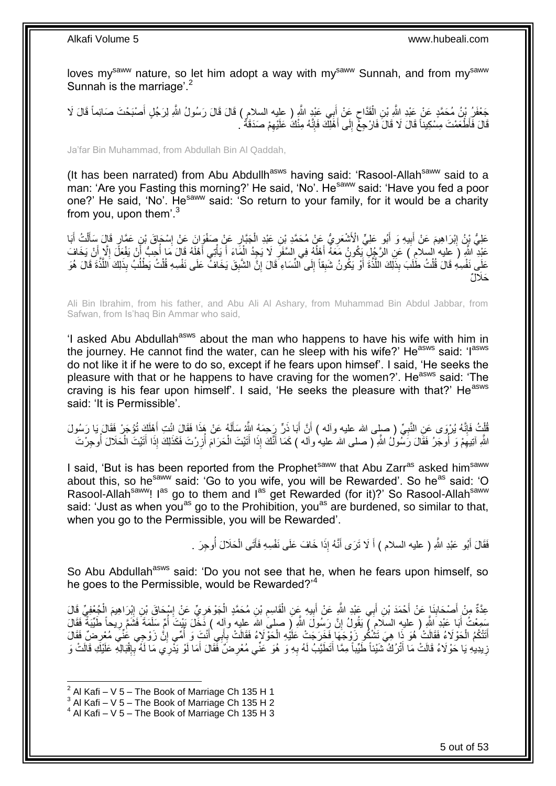loves my<sup>saww</sup> nature, so let him adopt a way with my<sup>saww</sup> Sunnah, and from my<sup>saww</sup> Sunnah is the marriage'.<sup>2</sup>

حَفْفَرُ بِنُ مُحَمَّدٍ عَنْ عَبْدِ اللَّهِ بْنِ الْقَدَّاحِ عَنْ أَبِي عَبْدٍ اللَّهِ ( عليه السلامِ ) قَالَ قَالَ رَسُولُ اللَّهِ لِرَجُلٍ أَصْبَحْتَ صَائِماً قَالَ لَا َ ِ ْ قَالَ فَأَطْعَمْتَ مِسْكِنِناً قَالَ لَا قَالَ فَارْجِعْ إِلَى أَهْلِكَ فَإِنَّهُ مِنْكُ عَلَيْهِمْ صَدَقَةٌ ` ِ ∣اٍ َ ∣∣<br>∶

Ja'far Bin Muhammad, from Abdullah Bin Al Qaddah,

(It has been narrated) from Abu Abdullh<sup>asws</sup> having said: 'Rasool-Allah<sup>saww</sup> said to a man: 'Are you Fasting this morning?' He said, 'No'. He<sup>saww</sup> said: 'Have you fed a poor one?' He said, 'No'. He<sup>saww</sup> said: 'So return to your family, for it would be a charity from you, upon them'. $3$ 

عَلِيُّ نِنْ اِبْرَاهِيمَ عَنْ أَبِيهِ وَ أَبُو عَلِيٍّ الْأَشْعَرِيُّ عَنْ مُحَمَّدِ بْنِ عَبْدِ الْجَبَّارِ عَنْ صَفْوَانَ عَنْ اِسْجَاقَ بْنِ عَمَّارٍ قَالَ سَأَلْتُ أَبَا ِ ْ **∶** َ **!** َ ِ َ ْ َ ِ عَبْدِ اللَّهِ ( عِليه السلامِ ) عَنِ الرَّجُلِ يَكُونُ مَعَهُ أَهْلُهُ فِي السَّفَرِ لَا يَجِدُ الْمَاءَ أَ يَأْتِي أَهْلَهُ قَالَ مَا أُحِبُّ أَنْ يَفْعَلَ إِلَّا لَنْ يَخَافَ َ ْ َ ْ ِ ا<br>ا َ َ ِ َ :<br>ا عَلَى نَفْسِهِ قَالَ قُلْتُ طَلَبَ بِذَلِّكَ اللَّذَّةَ أَوْ يَكُونُ شَبِقاً إِلَى الشَّباءِ ۖ قَالَ إِنَّ الشَّبِقَ يَخَافُ ۖ عَلَى نَفْسِهِ قُلْتُ يَطْلُبُ بِذَلِكَ اللَّذَّةَ قَالَ هُوَ َ َّ ْ َّ ُ ْ **!** ِ ِ َحَال ٌل

Ali Bin Ibrahim, from his father, and Abu Ali Al Ashary, from Muhammad Bin Abdul Jabbar, from Safwan, from Is'haq Bin Ammar who said,

'I asked Abu Abdullah<sup>asws</sup> about the man who happens to have his wife with him in the journey. He cannot find the water, can he sleep with his wife?' He<sup>asws</sup> said: 'I<sup>asws</sup> do not like it if he were to do so, except if he fears upon himsef'. I said, 'He seeks the pleasure with that or he happens to have craving for the women?'. He<sup>asws</sup> said: 'The craving is his fear upon himself'. I said, 'He seeks the pleasure with that?' He<sup>asws</sup> said: 'It is Permissible'.

قُلْتُ فَإِنَّهُ يُرْوَى عَنِ النَّبِيِّ ( صلى الله عليه وأله ) أَنَّ أَبَا ذِرٌّ رَِحِمَهُ اللَّهُ سَأَلَهُ عَنْ هَذَا فَقَالَ ائْتِ أَهْلَكَ تُؤْجَرٌ فَقَالَ يَا رَسُولَ ِ ِ ْ َ لَ َ َ اُ اللَّهِ أَتِيهِمْ وَ أُوجَرُ فَقَالَ رَسُّولُ اللَّهِ ( صلى الله عليه وأله ) كَمَا أَنَّكَ إِذَا أَتَيْتَ وَكَذَاكَ إِذَا أَتَيْتَ الْحَلَالَ أُوجِرْتَ ِ ُ ْ َ َ ا<br>ا ِ َ ا<br>ا ْ

I said, 'But is has been reported from the Prophet<sup>saww</sup> that Abu Zarr<sup>as</sup> asked him<sup>saww</sup> about this, so he<sup>saww</sup> said: 'Go to you wife, you will be Rewarded'. So he<sup>as</sup> said: 'O Rasool-Allah<sup>saww</sup>! I<sup>as</sup> go to them and I<sup>as</sup> get Rewarded (for it)?' So Rasool-Allah<sup>saww</sup> said: 'Just as when you<sup>as</sup> go to the Prohibition, you<sup>as</sup> are burdened, so similar to that, when you go to the Permissible, you will be Rewarded'.

> فَقَالَ أَبُو عَبْدِ اللَّهِ ( عليه السلام ) أَ لَا تَرَى أَنَّهُ إِذَا خَافَ عَلَى نَفْسِهِ فَأَتَى الْحَلَالَ أُوجِرَ . َ َ َ اُ ْ َ

So Abu Abdullah<sup>asws</sup> said: 'Do you not see that he, when he fears upon himself, so he goes to the Permissible, would be Rewarded?'<sup>4</sup>

عِدَّةٌ مِنْ أَصْحَابِنَا عَنْ أَحْمَدَ بْنِ أَبِي عَبْدِ اللَّهِ عَنْ أَبِيهِ عَنِ الْقَاسِمِ بْنِ مُحَمَّدٍ الْجَوْهِيِّ وَالْجَمْوِيِّ قَالَ مَعَا الْجَوْهِيِّ وَالَّذِي الْجِمْوَيِّ قَالَ َ **∣** َ ْ ∣∣<br>∶ ∣∣<br>∶ ِ ْ ِ ْ **∣** َ سَمِعْتُ أَبَا عَبْدِ اللَّهِ ( عليهِ السلام ٓ) يَقُولُ إِنَّ رَسُولَ اللَّهِ ( صلى الله عليه وآله ) دَخَّلَ نَيْبتَ أُمَّ سَلَمَةَ فَشَمَّ رِيحاً طَيِّبَةٌ فَقَالَ ُ ِ َ ِ أَتَتْكُمُ الْحَوْلَاءُ فَقَالَتْ ُهُوَ ذَا هِيَ تَشْكُو زَوْجَهَا فَخَرَجَتْ عَلَيْهِ الْحَوْلَاءُ فَقَالَتْ بِأَبِي أَنْتَ وَ أُمِّي إِنُّ زَوْجِي عُنِّيَ مُعْرِضٍّ فَقَالَ َ َ ِ ْ ْ ِ ِ ُ َ زِيدِيهِ يَا حَوْلَاءُ قَالَتْ مَا أَتْرُكْ شَيْئاً طَيِّباً مِمَّا أَتَطَيَّبُ لَهُ بِهِ وَ هُوَ عَنِّي مُعْرِضٌ فَقَالَ أَمَا لَوْ يَذْرِي مَا لَهُ بِإِقْبَالِهِ عَلَيْكِ قَالَتْ وَ َ ِ ْ ׀ו<br>ِי **∶** َ ِ ِ

 $2$  Al Kafi – V 5 – The Book of Marriage Ch 135 H 1

 $3$  Al Kafi – V 5 – The Book of Marriage Ch 135 H 2

 $4$  Al Kafi – V 5 – The Book of Marriage Ch 135 H 3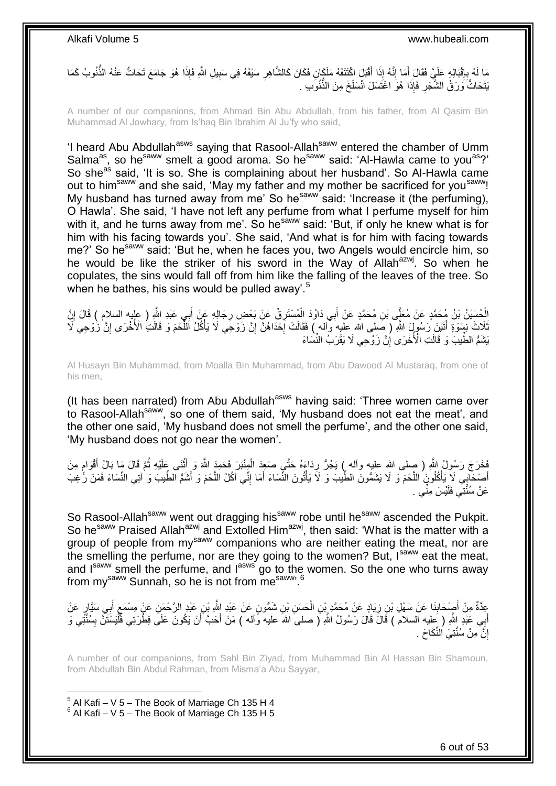مَا لَهُ بِإِقْبَالِهِ عَلَيَّ فَقَالَ أَمَا إِنَّهُ إِذَا أَقْبَلَ اكْتَنَفَهُ مَلَكَانٍ فَكَانَ كَالشَّاهِرِ سَيْفَهُ فِي سَبِيلِ اللّهِ فَإِذَا هُوَ جَامَعَ تَحَاتُّ عَنْهُ الذَّنُوبُ كَمَا ِ َ ِ َ ِ ِ ِ َيْتَحَاتُّ َوَرَقُ الشَّجَّرِ فَإِذَا هُوَّ اغْتَسَلَ انْسَلَخَ مِنَ الذُّنُوِّبِ . ِ

A number of our companions, from Ahmad Bin Abu Abdullah, from his father, from Al Qasim Bin Muhammad Al Jowhary, from Is'haq Bin Ibrahim Al Ju'fy who said,

'I heard Abu Abdullah<sup>asws</sup> saying that Rasool-Allah<sup>saww</sup> entered the chamber of Umm Salma<sup>as</sup>, so he<sup>saww</sup> smelt a good aroma. So he<sup>saww</sup> said: 'Al-Hawla came to you<sup>as</sup>?' So she<sup>as</sup> said, 'It is so. She is complaining about her husband'. So Al-Hawla came out to him<sup>saww</sup> and she said, 'May my father and my mother be sacrificed for you<sup>saww</sup>! My husband has turned away from me' So he<sup>saww</sup> said: 'Increase it (the perfuming), O Hawla'. She said, 'I have not left any perfume from what I perfume myself for him with it, and he turns away from me'. So he<sup>saww</sup> said: 'But, if only he knew what is for him with his facing towards you'. She said, 'And what is for him with facing towards me?' So he<sup>saww</sup> said: 'But he, when he faces you, two Angels would encircle him, so he would be like the striker of his sword in the Way of Allah<sup>azwj</sup>. So when he copulates, the sins would fall off from him like the falling of the leaves of the tree. So when he bathes, his sins would be pulled away'.<sup>5</sup>

إِنّْكُسَيْنُ بْنُ مُحَمَّدٍ عَنْ مُعَلِّى بْنِ مُحَمَّدٍ عَنْ أَبِي دَاوُدَ الْمُسْتَرِقِّ عَنْ بَعْضِ رِجَالِهِ عَنْ أَبِي عَبْدِ اللَّهِ ( عِلْيه السلام ) قَالَ إِنَّ ْ َ **∶** ِ ْ َ ِ ُّلَاثَ نَسْوَةٍ أَتَيْنَ رَسُولَ اللَّهِ ( صَلِي الله عليه وَاله ) فَقَالَتْ إِحْدَاهُنَّ إِنَّ زَوْجِي لَا يَأْكُلُ اللَّحْمَ وَ قَالَتُ الْأُخْرَى إِنَّ زُوْجِي لَا ِ ¦<br>∶ َ ِ َّ ْ يَشَمُّ الطِّيبَّ وَ قَالَتِ الْأُخْرَىِ إِنَّ زَوْجِي لَا يَقْرَبُ النِّسَاءَ ِ

Al Husayn Bin Muhammad, from Moalla Bin Muhammad, from Abu Dawood Al Mustaraq, from one of his men,

(It has been narrated) from Abu Abdullah<sup>asws</sup> having said: 'Three women came over to Rasool-Allahsaww, so one of them said, 'My husband does not eat the meat', and the other one said, 'My husband does not smell the perfume', and the other one said, 'My husband does not go near the women'.

َّفَحَرَجَ رَسُولُ اللَّهِ ( صلى الله عليه وأله ) يَجُرُّ رِدَاءَهُ حَتَّىٍ صَعِدَ الْمِنْبَرَ فَحَمِدَ اللَّهَ وَ أَثْنَى عَلَيْهِ ثُمَّ قَالَ مَا بَالُ أَقْوَامٍ مِنْ ْ َ ْ ِ ֖֦֦֦֦֦֧֦֚֚֬֝֝֝֝֝֓֬֝֓֝ َ ا<br>ا **ٔ** أَصْحَابِيِّ لَإِيَانُكُلُونَ اللَّحْمَ وَ لَا يَشَمُّونَ الطِّيبَ وَ لَأَ يَأْتُونَ النِّسَاءَ أَمَا إِنِّي آكُلُ اللَّحْمَ وَ أَشَمُّ الطِّيبَ وَ أَتِي النِّسَاءَ فَمَنْ رَّغِبَ َّ **ٔ** َ َّ ِ َ عَنْ سُنَّتِّي فَلَيْسَ مِنِّي .

So Rasool-Allah<sup>saww</sup> went out dragging his<sup>saww</sup> robe until he<sup>saww</sup> ascended the Pukpit. So he<sup>saww</sup> Praised Allah<sup>azwj</sup> and Extolled Him<sup>azwj</sup>, then said: 'What is the matter with a group of people from my<sup>saww</sup> companions who are neither eating the meat, nor are the smelling the perfume, nor are they going to the women? But, Isaww eat the meat, and Isaww smell the perfume, and lasws go to the women. So the one who turns away from my<sup>saww</sup> Sunnah, so he is not from me<sup>saww, 6</sup>

عِدَّةٌ مِنْ أَصِْحَابِنَا عَنْ سَهْلِ بْنِ زِيَادٍ عَنْ مُحَمَّدٍ بْنِ الْحَسَنِ بْنِ شَمُّونٍ عَنْ عَبْدِ إِللَّهِ بْنِ عَبْدٍ الرَّحْمَنِ عَنْ مِسْمَعٍ أَبِي سَيَّارٍ عَنْ ْ ِ **∣** َ **∶** َ ∕<br>} أَبِي عَبْدِ اللَّهِ ( ِعِليه السلامُ ) قَالَ قَالَ رَسُولُ اللَّهِ ( صلى الله عليه وَّاله ) مَنْ أَحَبَّ أَنْ يَكُونَ عَلَى فِطْرَتِي فَلْيَسْتَنَّ بِسُنَّتِي وَ اُ َ ِ ْ إِنَّ مِنْ سُنَّتِيَ النِّكَاحَ . اٍ

A number of our companions, from Sahl Bin Ziyad, from Muhammad Bin Al Hassan Bin Shamoun, from Abdullah Bin Abdul Rahman, from Misma'a Abu Sayyar,

 5 Al Kafi – V 5 – The Book of Marriage Ch 135 H 4  $6$  Al Kafi – V 5 – The Book of Marriage Ch 135 H 5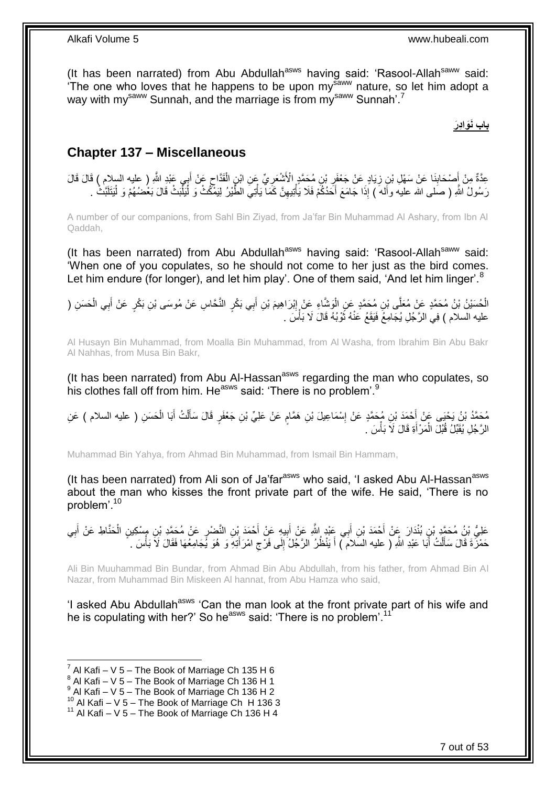(It has been narrated) from Abu Abdullah<sup>asws</sup> having said: 'Rasool-Allah<sup>saww</sup> said: The one who loves that he happens to be upon my<sup>saww</sup> nature, so let him adopt a way with my<sup>saww</sup> Sunnah, and the marriage is from my<sup>saww</sup> Sunnah'.<sup>7</sup>

#### **باب نَوَادِرَ**

### <span id="page-6-0"></span>**Chapter 137 – Miscellaneous**

عِدَّةٌ مِنْ أَصْحَابِنَا عَنْ سَهْلِ بْنِ زِيَادٍ عَنْ جَعْفَرٍ بْنِ مُحَمَّدٍ الْأَشْعَرِيِّ عَنِ ابْنِ الْقَدَّاجِ عَنْ أَبِي عَبْدِ اللَّهِ ( عليه السلام ) قَالَ قَالَ ِ ِ **∣** َ َ  $\zeta$ ْ ِ رَسُولُ اللَّهِ ( صَلى الله عليه وأَله َ ) إِذَا جَامَعَ أَحَدُكُمْ فَلَا يَأْتِيهِنَّ كَمَاۤ يَأْتِيَ الطُّيْرُ لِيَمْكُثْ وَ لَيَلَّيْكُثْ قَالَ بَعُضُهُمْ وَ لْيَتَلَبَّثْ :<br>أ ْ ِ ْ َ ْ ْ

A number of our companions, from Sahl Bin Ziyad, from Ja'far Bin Muhammad Al Ashary, from Ibn Al Qaddah,

(It has been narrated) from Abu Abdullah<sup>asws</sup> having said: 'Rasool-Allah<sup>saww</sup> said: 'When one of you copulates, so he should not come to her just as the bird comes. Let him endure (for longer), and let him play'. One of them said, 'And let him linger'.<sup>8</sup>

الْحُسَيْنُ بْنُ مُحَمَّدٍ عَنْ مُعَلَّى بْنِ مُحَمَّدٍ عَنِ الْوَشَّاءِ عَنْ إِبْرَاهِيمَ بْنِ أَبِي بَكْرٍ النَّحَاسِ عَنْ مُوسَى بْنِ بَكْرٍ عَنْ أَبِي الْحَسَنِ ( َ ِ ْ ْ ْ َ عليه السلام ) فِي الرَّجُلِ يُجَامِعُ فَيَقَعُ عَنْهُ ثَوْبُهُ قَالَ لَا بَأْسَ . ْ ة<br>أ

Al Husayn Bin Muhammad, from Moalla Bin Muhammad, from Al Washa, from Ibrahim Bin Abu Bakr Al Nahhas, from Musa Bin Bakr,

(It has been narrated) from Abu Al-Hassan $a<sup>asws</sup>$  regarding the man who copulates, so his clothes fall off from him. He<sup>asws</sup> said: 'There is no problem'.<sup>9</sup>

مُحَمَّدُ بْنُ يَحْيَى عَنْ أَحْمَدَ بْنِ مُحَمَّدٍ عَنْ إِسْمَاعِيلَ بْنِ هَمَّامٍ عَنْ عَلِيٍّ بْنِ جَعْفَرٍ قَالَ سَأَلْتُ أَبَا الْحَسَنِ ( عليه السلام ) عَنِ<br>مَعَنْدُ بَيِّنَ مُنْ ْ َ ֧֖֖֖֖֧֧֧֧֦֧ׅ֧֧ׅ֧֛֧ׅ֧֛֛֛֚֚֚֚֚֚֚֚֓֝֝֬֝֟֓֝֓֝֓֝֓֜֟֓֟֓֝֬֜֓֜֜֡֓֜֜֜ ِ َ َ ْ الرَّجُلِ يُقَبِّلُ قُبُلَ الْمَرْ أَةِ قَالَ لَاَ بَأْسَ ِ **ٔ** َ ْ

Muhammad Bin Yahya, from Ahmad Bin Muhammad, from Ismail Bin Hammam,

(It has been narrated) from Ali son of Ja'far<sup>asws</sup> who said, 'I asked Abu Al-Hassan<sup>asws</sup> about the man who kisses the front private part of the wife. He said, 'There is no problem'.<sup>10</sup>

عَلِيُّ بْنُ مُحَمَّدٍ بْنِ بُنْدَارَ عَنْ أَحْمَدَ بْنِ أَبِي عَبْدٍ اللَّهِ عَنْ أَبِيهِ عَنْ أَحْمَدَ بْنِ النَّضْرِ عَنْ مُحَمَّدِ بْنِ مِسْكِينٍ الْحَنَّاطِ عَنْ أَبِي ֦֧֦֧ َ **!** َ ْ ِ َ حَمْزَۖ ةَ قَالَ سَأَلْتُ أَبَا عَبْدِ اللَّهِ ( عليه السّلامَ ) أَ يَنْظُرُ الرَّجْلُ إِلَى فَرْجِ امْرَ أَتِهِۗ وَ هُوَ يُجَامِعُهَا فَقَالَ لَا بَأْسَ . َ ِ ِ َ َ ْ َ ْ

Ali Bin Muuhammad Bin Bundar, from Ahmad Bin Abu Abdullah, from his father, from Ahmad Bin Al Nazar, from Muhammad Bin Miskeen Al hannat, from Abu Hamza who said,

'I asked Abu Abdullah<sup>asws</sup> 'Can the man look at the front private part of his wife and he is copulating with her?' So he<sup>asws</sup> said: 'There is no problem'.<sup>11</sup>

<sup>7</sup> Al Kafi – V 5 – The Book of Marriage Ch 135 H 6

 $8$  Al Kafi – V 5 – The Book of Marriage Ch 136 H 1

 $^9$  Al Kafi – V 5 – The Book of Marriage Ch 136 H 2

<sup>&</sup>lt;sup>10</sup> Al Kafi – V 5 – The Book of Marriage Ch H 136 3

 $11$  Al Kafi – V 5 – The Book of Marriage Ch 136 H 4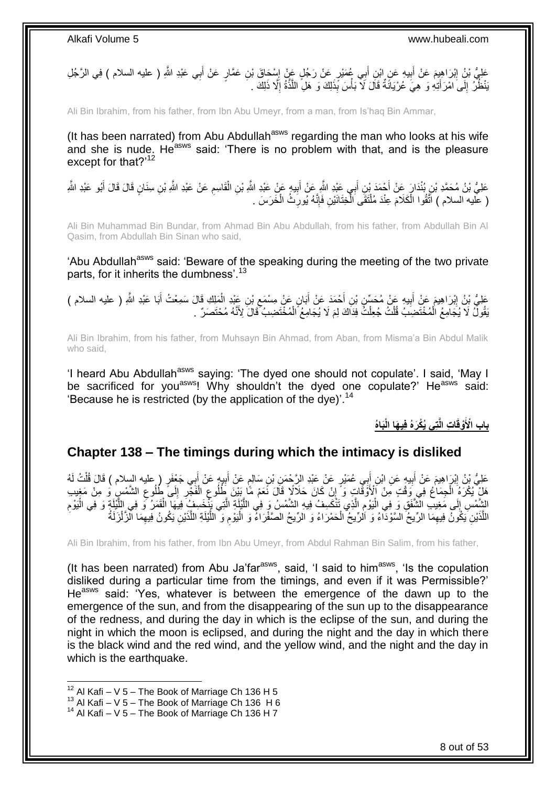عَلِيُّ بْنُِ إِبْرَاهِيِمَ عَنْ أَبِيهِ عَنِ إِبْنِ أَبِي عُمَيْرٍ عَنْ رَجُلٍ عَنْ إِسْحَاقَ بْنِ عَمَّارٍ عَنْ أَبِي عَبْدِ اللَّهِ ( عليه السلام ) فِي الرَّجُلِ َ ِ َ **!** َ َنْطُرُّ ۖ إِلَى اَمْرَ أَتِهِ وَ ۖ هِيَ عُرْ يَانَّةٌ قَالَ لَا ّبَأْسَ بِّذَلِكَ وَ ۖ هَلِ اللَّذَةُ إِلَّا ذَلِكَ ۚ ـ ِ َّ **ٔ**  $\frac{1}{2}$ 

Ali Bin Ibrahim, from his father, from Ibn Abu Umeyr, from a man, from Is'haq Bin Ammar,

(It has been narrated) from Abu Abdullah<sup>asws</sup> regarding the man who looks at his wife and she is nude. He<sup>asws</sup> said: 'There is no problem with that, and is the pleasure except for that?'<sup>12</sup>

ِ عَلِيُّ بْنُ مُحَمَّدِ بْنِ بُنْدَارٍ عِنْ أَحْمَدَ بْنِ أَبِي عَيْدِ النَّهِ عَنْ أَبِيهٍ عَنْ عَبْدِ النَّهِ ثَلِ الْمَعْلِمِ عَنْ عَلَيْهِ النَّهِ وَالنَّهِ وَالنَّهِ وَالنَّهِ وَالز ْ **!** َ َ َ َ ( عَليه السلام ) أَتَّقُوا الْكَلَامَ عِنْدَ مُلْتَقَى الْخِتَانَيْنِ فَإِنَّهُ يُورِّثُ الْخَرَسَ . ْ ْ ْ ِ ∣اٍ<br>∶ ْ

Ali Bin Muhammad Bin Bundar, from Ahmad Bin Abu Abdullah, from his father, from Abdullah Bin Al Qasim, from Abdullah Bin Sinan who said,

'Abu Abdullah<sup>asws</sup> said: 'Beware of the speaking during the meeting of the two private parts, for it inherits the dumbness'.<sup>13</sup>

َملِ ِك َقا َل َس ِن َعْبِد ال ْب ٍن َع ْن ِم ْس َمٍ َبا ْح َمَد َع ْن أ ِن أ ي ِه َع ْن ُم َح ِّس ِن ْب ب َم َع ْن أ ْب ََّا ِلي َبا َعْبِد ََّّللا َعلِ ُّ ْب ُن ذ ِ ) عليه السالم ( ِمْع ُ أ ْ ِ َ َ **!** َ ِ َ يَقُولُّ لَا يُجَامِعُ الْمُخْتَضِبَ قُلْتُ جُعِلْتُ فِدَاكَ لِمَ لَا يُجَامِعُ ۗ الْمُخْتَضِبُ ۖ قَالَ لِأَنَّهُ مُحْتَصَرٌ ۚ . ْ ْ ْ ْ

Ali Bin Ibrahim, from his father, from Muhsayn Bin Ahmad, from Aban, from Misma'a Bin Abdul Malik who said,

'I heard Abu Abdullah<sup>asws</sup> saying: 'The dyed one should not copulate'. I said. 'May I be sacrificed for you<sup>asws</sup>! Why shouldn't the dyed one copulate?' He<sup>asws</sup> said: 'Because he is restricted (by the application of the dye)'.<sup>14</sup>

باب الْأَوْقَاتِ الَّتِى يُكْرَهُ فِيهَا الْبَاهُ

#### <span id="page-7-0"></span>**Chapter 138 – The timings during which the intimacy is disliked**

عَلِيُّ بْنُ إِبْرَاهِيمَ عَنْ أَبِيهٍ عَنِ ابْنِ أَبِي عُمَيْرٍ عَنْ عَبْدِ الرَّحْمَنِ بْنِ سَالِمٍ عَنْ أَبِيهٍ عَنْ أَبِي جَعْفَرٍ ( عليه السلام ) قَالَ قُلْتُ لَهُ َ ِ َ ٍ َ ِ َ ِ ْ هَلْ يُكْرَهُ الْجِمَاعُ فِي وَقْتٍ مِنْ ٱلْأَوَقَّاتٍ وَ ۗ إِنْ كَانَ حَلاَلًا قَالَ نَّعَمْ مَّا بِئِنَ ظَلُوعِ الْفَجْرِ ۚ إِلَى ظُلُوعِ الشَّمْسِ وَ مِنْ مَغِيبِ ِ ْ ِ ِ **∶** ْ ِ الشَّمْسِ إِلَى مَغِيبِ الشَّفَقِ وَ فِي الْيَوْمِ الَّذِي تَنْكَسِفُ فِيهِ الشَّمْسُ وَ فِي اللَّيْلَةِ الَّت<br>يَتَبَدُّبُ الْقَمَلُ فَي اللَّذُقِ وَ فِي الْيَوْمِ الَّذِي تَنْكَسِفُ فِيهِ الشَّمْسُ وَ فِي اللَّيْلَةِ ال َّ َّ َّ ِ :<br>ا ِ ِ ْ َّ ْ اللَّذَيْنِ يَكُونُ فِيهِمَا الرِّيحُ السَّوْدَاءُ وَ اَلرِّيحُ الْحَمْرَاءُ وَ الرِّيحُ الصَّفْرَاءُ وَ الْيَوْمِ وَ اللَّيْلَةِ اللَّذَيْنِ يَكُونُ فِيهِمَا الزَّلْزَلَةُ َّ َّ َّ ِ ْ ْ ِ ْ ِ

Ali Bin Ibrahim, from his father, from Ibn Abu Umeyr, from Abdul Rahman Bin Salim, from his father,

(It has been narrated) from Abu Ja'far<sup>asws</sup>, said, 'I said to him<sup>asws</sup>, 'Is the copulation disliked during a particular time from the timings, and even if it was Permissible?' He<sup>asws</sup> said: 'Yes, whatever is between the emergence of the dawn up to the emergence of the sun, and from the disappearing of the sun up to the disappearance of the redness, and during the day in which is the eclipse of the sun, and during the night in which the moon is eclipsed, and during the night and the day in which there is the black wind and the red wind, and the yellow wind, and the night and the day in which is the earthquake.

 $12$  Al Kafi – V 5 – The Book of Marriage Ch 136 H 5

 $13$  Al Kafi – V 5 – The Book of Marriage Ch 136 H 6

 $14$  Al Kafi – V 5 – The Book of Marriage Ch 136 H 7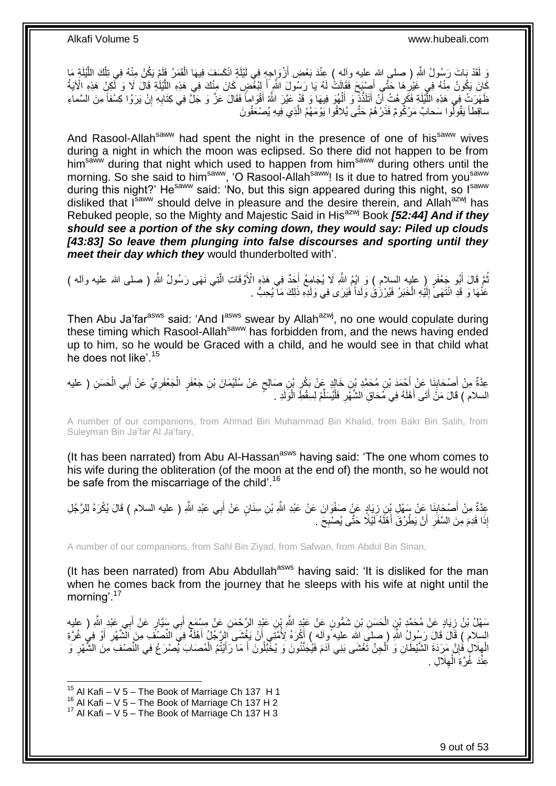وَ لَقَدْ بَاتَ رَسُولُ اللّهِ ( صلـي الله عليه وألـه ) عِنْدَ بَعْضِ أَزْوَاجِهِ فِي لَيْلَةٍ انْكَسَفَ فِيهَا الْقَمَرُ فَإِمْ يَكُنْ مِنْهُ فِي تِلْكَ اللَّيْلَةِ مَا ْ َ َّ ْ َّ كَانَ يَكُونُ مِنْهُ فِي غَيْرِهَا حَتَّـِي أَصِبْحَ فَقَالَتْ لَهُ يَا رَسُولَ اللَّهِ أَ لِيُغْضِ كَانَ مِنْكَ فِي هَذِهِ الْلَيْلَةِ قَالَ لَا وَ لَكِنْ هَذِهِ الْآيَةُ َ ِ ظَهَرَتْ فِي هَذِهِ اللَّيْلَةِ فَكَرٍ هُتُ أَنْ أَتَلَذَّذٍ وَ أَلْهُوَ فِيهَا وَ قَدْ عَيَّرَ اللَّهُ أَقْوَاماً فَقَالَ عَزَّ وَ جَلَّ فِي كِتَابِهِ إِنْ يَرَوْا كِسْفاً مِنَ السَّماءِ َ ِ َّ ِ ِ َ ْ َ ساقِطاً يَقُولُوا سَحابٌ مَرْكُومٌ فَذَرْهُمْ حَتَّى يُلاقُوا يَوْمَهُمُ الَّذِي فِيهِ يُصْعَقُونَ َّ

And Rasool-Allah<sup>saww</sup> had spent the night in the presence of one of his<sup>saww</sup> wives during a night in which the moon was eclipsed. So there did not happen to be from him<sup>saww</sup> during that night which used to happen from him<sup>saww</sup> during others until the morning. So she said to him<sup>saww</sup>, 'O Rasool-Allah<sup>saww</sup>! Is it due to hatred from you<sup>saww</sup> during this night?' He<sup>saww</sup> said: 'No, but this sign appeared during this night, so I<sup>saww</sup> disliked that Isaww should delve in pleasure and the desire therein, and Allahazwj has Rebuked people, so the Mighty and Majestic Said in His<sup>azwj</sup> Book **[52:44] And if they** *should see a portion of the sky coming down, they would say: Piled up clouds [43:83] So leave them plunging into false discourses and sporting until they meet their day which they* would thunderbolted with'.

نْتَم قَالَ أَبُو جَعْفَرٍ ( عليهِ السلامِ ) وَ إِنْهِمُ اللَّهِ لَا يُجَامِعُ أَحَدٌ فِي هَذِهِ الْأَوْقَاتِ الَّتِي نَهَى رَسُولُ اللَّهِ ( صلى الله عليه وأله ) َّ َ َ ُ عَنْٰهَا وَ قَدِ انْتَهَىَّ إِلَيْهِ الْخَبَرُ فَيُرْزُقُ وَلَداً فَيَرَى فِي وَلَدِّهِ ذَلِكَ مَآ يُحِبُّ . ْ لَ ∣∣<br>∶

Then Abu Ja'far<sup>asws</sup> said: 'And l<sup>asws</sup> swear by Allah<sup>azwj</sup>, no one would copulate during these timing which Rasool-Allah<sup>saww</sup> has forbidden from, and the news having ended up to him, so he would be Graced with a child, and he would see in that child what he does not like'.<sup>15</sup>

عِدَّةٌ مِنْ أَصْحَابِنَا عَنْ أَحْمَدَ بْنِ مُحَمَّدِ بْنِ خَالِدٍ عَنْ بَكْرِ بْنِ صَالِحٍ عَنْ سُلَيْمَانَ بْنِ جَعْفَرٍ الْجَعْفَرِيِّ عَنْ أَبِي الْحَسَنِ ( عليه ٍ ¦ **∣** َ ْ َ ِ ْ السلام ) قَالَ مَنَّ أَتَى أَهْلَهُ فِي مُحَاقِ الشَّهَّرِ فَلْيُسَلِّمْ لِسِقْطِ الْوَلَدِ . َ ْ ِّ :<br>إ ِ اً<br>ا

A number of our companions, from Ahmad Bin Muhammad Bin Khalid, from Bakr Bin Salih, from Suleyman Bin Ja'far Al Ja'fary,

(It has been narrated) from Abu Al-Hassan<sup>asws</sup> having said: 'The one whom comes to his wife during the obliteration (of the moon at the end of) the month, so he would not be safe from the miscarriage of the child'.<sup>16</sup>

عِدَّةٌ مِنْ أَصْحَابِنَا عَنْ سَهْلِ بِنِ زِيَادٍ عَنٍْ صَفْوَانَ عَنْ عَبْدِ اللَّهِ بْنِ سِنَانٍ عَنْ أَبِي عَبْدِ اللَّهِ ( عليه السلام ) قَالَ يُكْرَهُ لِلرَّجُلِ ِ ِ َ إِذَا قَدِمَ مِنَ السَّفَرِ أَنْ يَطْرُقَ أَهْلَهُ لَّيْلًا حَتَّى يُصْبِحَ . ِ َ َ ِ

A number of our companions, from Sahl Bin Ziyad, from Safwan, from Abdul Bin Sinan,

(It has been narrated) from Abu Abdullah<sup>asws</sup> having said: 'It is disliked for the man when he comes back from the journey that he sleeps with his wife at night until the morning'.<sup>17</sup>

سَهْلُ بْنُ زِيَادٍ عَنْ مُحَمَّدٍ بْنِ الْحَسَنِ بْنِ شَمُّونٍ عَنْ عَبْدٍ اللَّهِ بْنِ عَنْدٍ عَنْدٍ الرَّحْمَنِ عَنْ مِسْمَعٍ أَبِي سَنَّارٍ عَنْ أَبِي عَبْدِ اللَّهِ ( عليه ْ **∶** َ َ **≀** السلام ) قَالَ قَالَ رَسُولُ اللَّهِ ( صلب الله عليه واله ) أَكُرَهُ لِأُمَّتِنِي أَنْ يَغْشَى الرَّجُلُ أَهْلَهُ فِيَّ النِّصْفَ مِنَ الشَّمْلِ أَوْ فِي غُرَّةِ َ َ َ َ ِ الْهِلَالِ فُإِنَّ مَرَدَةَ الشَّيْطَانِ وَ اُلْجِنِّ تَغْشَى بَنِي آدَمَ فَيُٰجَنَّنُونَ وَ يُخْبَّنُونَ أَ مَا رَأَيْتُمُ الْمُصَابَ يُصْرَعُ فِي النِّصْفِ مِنَ الشُّهْرِ وَ ِ ِ ْ ْ َ َ ْ ِ عِنْدَ غُرَّةِ الْمِلَالِ . ِ ْ

 $15$  Al Kafi – V 5 – The Book of Marriage Ch 137 H 1

 $16$  Al Kafi – V  $5$  – The Book of Marriage Ch 137 H 2

 $17$  Al Kafi – V 5 – The Book of Marriage Ch 137 H 3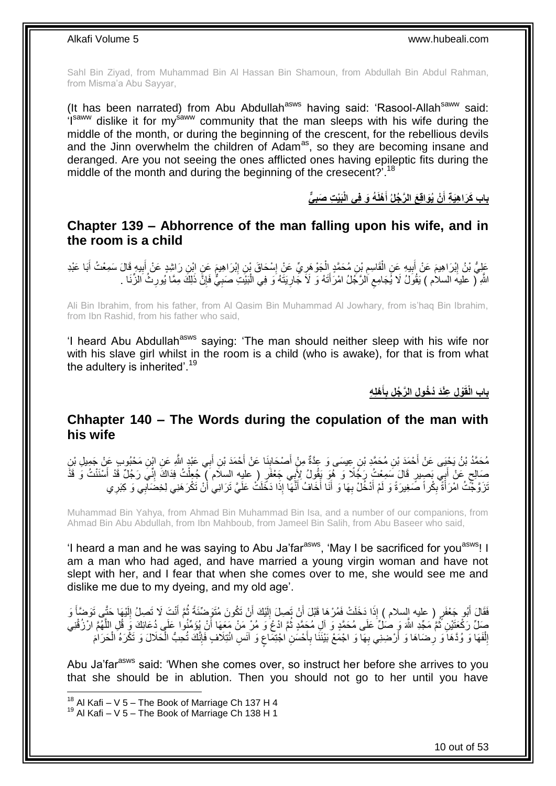Sahl Bin Ziyad, from Muhammad Bin Al Hassan Bin Shamoun, from Abdullah Bin Abdul Rahman, from Misma'a Abu Sayyar,

(It has been narrated) from Abu Abdullah<sup>asws</sup> having said: 'Rasool-Allah<sup>saww</sup> said: 'Isaww dislike it for mysaww community that the man sleeps with his wife during the middle of the month, or during the beginning of the crescent, for the rebellious devils and the Jinn overwhelm the children of Adam<sup>as</sup>, so they are becoming insane and deranged. Are you not seeing the ones afflicted ones having epileptic fits during the middle of the month and during the beginning of the cresecent?'.<sup>18</sup>

> **ي َبْي ت َصب ُه َو ف ي الْ ْهلَ ْن ُيَواق َع ال َّر ُجلُ أ باب َكَرا هَي ة أ َ َ**

#### <span id="page-9-0"></span>**Chapter 139 – Abhorrence of the man falling upon his wife, and in the room is a child**

عَلِيُّ بْنُ إِبْرَاهِيمَ عَنْ أَبِيهِ عَنِ الْقَاسِمِ بْنِ مُحَمَّدٍ الْجَوْهَرِيِّ عَنْ إِسْحَاقَ بْنِ إِبْرَاهِيمَ عَنِ ابْنِ رَاشِدٍ عَنْ أَبِيهِ قَالَ سَمِعْتُ أَبَا عَبْدِ ِ ْ ِ ْ **!** َ ِ َ ِ َ ِ ِ اللَّهِ لَر عليهَ السلام ) يَقُولُ لَا يَجَامِع الرَّجُلُ امْرَأَتَهُ وَ لَا جَارِيَتَهُ وَ فِي الْبَيْتَ صَبِيٌّ فَإِنَّ ذَلِكَ مِمَّا يُورِثُ الزِّنَا . ِ **∶** ْ **∶** َ  $\zeta$ ِ

Ali Bin Ibrahim, from his father, from Al Qasim Bin Muhammad Al Jowhary, from is'haq Bin Ibrahim, from Ibn Rashid, from his father who said,

'I heard Abu Abdullah<sup>asws</sup> saying: 'The man should neither sleep with his wife nor with his slave girl whilst in the room is a child (who is awake), for that is from what the adultery is inherited'.<sup>19</sup>

> **ْهل ه أ ْو ل عْنَد ُد ُخو ل ال َّر ُج ل ب باب الْقَ َ**

#### <span id="page-9-1"></span>**Chhapter 140 – The Words during the copulation of the man with his wife**

مُحَمَّدُ بْنُ يَحْيَى عَنْ أَحْمَدَ بْنِ مُحَمَّدِ بْنِ عِيسَى وَ عِدَّةٌ مِنْ أَصْحَابِنَا عَنْ أَحْمَدَ بْنِ أَبِي عَبْدٍ اللَّهِ عَنِ ابْنِ مَحْبُوبِ عَنْ جَمِيلِ بْنِ َ َ **∣** َ َ صَالِحٍ عَنْ أَبِي بَصِيرٍ قَالَ سَمِعْتُ رَجُلًا وَ هُوَ يَقُولُ لِأَبِي جَعْفَرٍ ( عليهِ السلام ) جُعِلْتُ فِدَاكَ إِنِّي رَجُلٌ قَدْ أَسْنَنْتُ وَ قَذَّ َ ٍ َ ِ ْ َنَرَقَّجَّتُ امْرَأَةً بِكُراً صَّغِيرَةً وَ لَمْ أَدْخُلْ بِهَا وَ أَنَا أَخَافُ أَنَّهَا إِذَا دَخَلَتْ عَلَيَّ تَرَانِي أُنْ تَكْرَهَنِي لِخِضَالِي وَ كِبَرِي ا<br>ا َ َ **∶** َ ِ َ ِ

Muhammad Bin Yahya, from Ahmad Bin Muhammad Bin Isa, and a number of our companions, from Ahmad Bin Abu Abdullah, from Ibn Mahboub, from Jameel Bin Salih, from Abu Baseer who said,

'I heard a man and he was saying to Abu Ja'far<sup>asws</sup>, 'May I be sacrificed for you<sup>asws</sup>! I am a man who had aged, and have married a young virgin woman and have not slept with her, and I fear that when she comes over to me, she would see me and dislike me due to my dyeing, and my old age'.

فَقَالَ أَبُو جَعْفَرٍ ( عليه السلام ) إِذَا دَخَلَتْ فَمُرْهَا قَبْلَ أَنْ تَصِلَ إِلَيْكَ أَنْ تَكُونَ مُتَوَضّنَّةً ثُمَّ أَنْتَ لَا تَصِلُ إِلَيْهَا حَتَّى تَوَضَّأَ وَ َ َ لَ ِ َ ُ اُ لَ ِ اُ صَلِّ رَكْحَتَيْنِ ثُمَّ مَجِّدِ اللَّهَ وَ صَلْ َعَلَى مُحَمَّدٍ وَ آلِ مُحَمَّدٍ ثُمَّ ادْعُ وَ مُرْ مَنْ مَعَهَا أَنْ يُؤَمِّنُوا عَلَى دُعَائِكَ وَ قُلِ اللَّهَمَّ ارْزُقْنِي َ ان<br>المقام ُ َّ الْفَهَا وَ وُدَّهَا وَ رِضَاهَا وَ أَرْضِنِي بِهَا وَ اجْمَعْ بَيْنَنَا بِأَحْسَنِ اجْتِمَاعٍ وَ آنَسِ ائْتِلَافٍ فَإِنَّكَ تُحِبُّ الْحَلَالَ وَ تَكْرَهُ الْحَرَامَ ا∣<br>ِ∘ِ ٍ َ ِ ِ ِ ْ ِ ْ ْ

Abu Ja'far<sup>asws</sup> said: 'When she comes over, so instruct her before she arrives to you that she should be in ablution. Then you should not go to her until you have

1

10 out of 53

 $18$  Al Kafi – V 5 – The Book of Marriage Ch 137 H 4

 $19$  Al Kafi – V 5 – The Book of Marriage Ch 138 H 1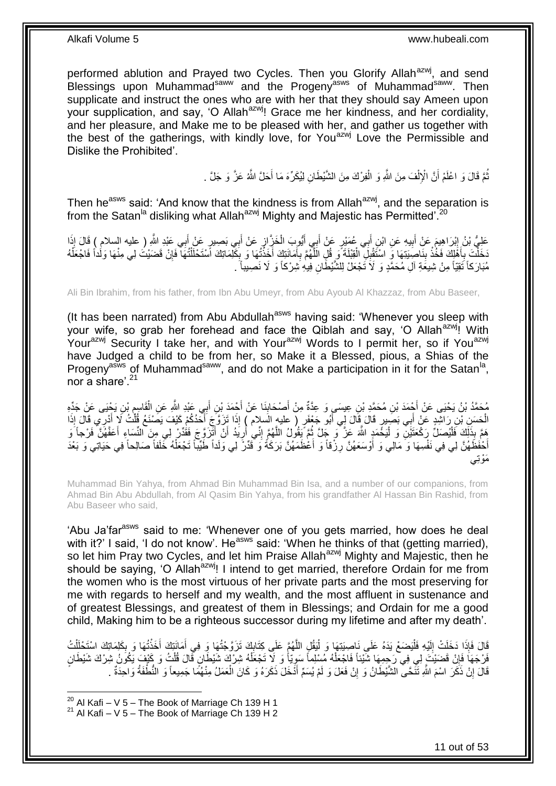performed ablution and Prayed two Cycles. Then you Glorify Allah<sup>azwj</sup>, and send Blessings upon Muhammad<sup>saww</sup> and the Progeny<sup>asws</sup> of Muhammad<sup>saww</sup>. Then supplicate and instruct the ones who are with her that they should say Ameen upon your supplication, and say, 'O Allah<sup>azwj</sup>! Grace me her kindness, and her cordiality, and her pleasure, and Make me to be pleased with her, and gather us together with the best of the gatherings, with kindly love, for You<sup>azwj</sup> Love the Permissible and Dislike the Prohibited'.

> نُّمَّ قَالَ وَ اعْلَمْ أَنَّ الْإِلْفَ مِنَ اللَّهِ وَ الْفِرْكَ مِنَ الشَّيْطَانِ لِيُكَرِّهَ مَا أَحَلَّ اللَّهُ عَزَّ وَ جَلَّ . َ ْ ْ اُ ُ

Then he<sup>asws</sup> said: 'And know that the kindness is from Allah<sup>azwj</sup>, and the separation is from the Satan<sup>la</sup> disliking what Allah<sup>azwj</sup> Mighty and Majestic has Permitted'.<sup>20</sup>

عَلِيُّ بْنُ إِبْرَاهِيمَ عَنْ أَبِيهِ عَنِ ابْنِ أَبِي عُمَيْرٍ عَنْ أَبِي أَيُّوبَ الْخَزَّازِ عَنْ أَبِي بَصِيرٍ عَنْ أَبِي عَبْدِ اللَّهِ ( عليه السلام ) قَالَ إِذَا َ ِ ْ َ َ **!** َ ِ َ نَخَلْتَ بِأَهْلِكَ فَخُذْ بِنَاصِبَتِهَا وَ اسْتَقْبِلَ الْقِبْلَةَ وَ قُلِ الْلَّهُمَّ بِأَمَانَتِكَ أَخَذْتُهَا وَ بِكَلِّمَاتِكَ اسْتَحْلَلْتُهَا فَإِنْ قَضَيْتُ لِي مِنْهَا وَلَداً فَاجْعَلْهُ ِ الا<br>أ .<br>ا َ ِ َّ ْ ِ **ٔ** َ ِ ْ ْ ِ ْ مُبَارَكاً نَقِيّاً مِنْ شِيعَةِ آلِ مُحَمَّدٍ وَ لَا تَجْعَلْ لِلشَّيْطَانِ فِيهِ شِرْكاً وَ لَا نَصِيباً ۗ ـ

Ali Bin Ibrahim, from his father, from Ibn Abu Umeyr, from Abu Ayoub Al Khazzaz, from Abu Baseer,

(It has been narrated) from Abu Abdullah<sup>asws</sup> having said: 'Whenever you sleep with your wife, so grab her forehead and face the Qiblah and say, 'O Allah<sup>azwi</sup>! With Yourazwj Security I take her, and with Yourazwj Words to I permit her, so if Youazwj have Judged a child to be from her, so Make it a Blessed, pious, a Shias of the Progeny<sup>asws</sup> of Muhammad<sup>saww</sup>, and do not Make a participation in it for the Satan<sup>la</sup>, nor a share'.<sup>21</sup>

مُحَمَّدُ بْنُ يَحْيَى عَنْ أَجْمَدَ بْنِ مُحَمَّدِ بْنِ عِيسَىٍ وَ عِدَّةٌ مِنْ أَصْحَابِذَا عَنْ أَجْمَدَ بْنِ أَبِي عَبْدِ اللَّهِ عَنِ الْقَاسِمِ بْنِ يَجْيَى عَنْ جَدِّهِ َ َ **∣** َ َ م<br>ا ْ الْحَسَنِ بْنِ رَاشِدٍ عَنْ أَبِي بَصَبِيرٍ قَالَ قَالَ لِي أَبُو جَعْفَرٍ ( عليه الَسلام ) إِذَا تَزَوَّجَ أَحَدُكُمْ كَيْفَ يَصُنْغَ قُلْتُ لَا أَدْرِي قَالَ إِذَا<br>الْحَسِنِ الْمُسْرَّةِ مِنْ يَجْبِيهِ مِنْ يَجْبِيهِ مِ َ َ َ ْ َ ْ مَمَّ بِذَلِّكَ فَلْيُصَلِّ رَكْعَتَيْنِ ۖ وَ لْيَحْمَدٍ اللَّهَ عَزَّ ۖ وَ جَلَّ ثُمَّ يَقُولُ اللَّهُمَّ إِنِّي أُرِيَدُ أَنْ أَثْرَوَّ جَ فَقُدِّرْ لِي مِنَ النِّسَاءِ أَعَفَّهُنَّ فَرْجاً وَ ْ :<br>ا َ َ َ ِ ِ َّ ُ أَخْفَظَهُنَّ لِي فِي نَفْسِهَا وَ مَالِي وَ أَوْسَعَهُنَّ رِزْقاً وَ أَعْظَمَهُنَّ بَرَكَةُ وَ قَدِّرْ لِي وَلَداً طَيِّباً تَجْعَلْهُ خَلَفاً صَالِحاً فِي حَيَاتِي وَ بَعْدَ َ ِ َ ْ َمْوِت

Muhammad Bin Yahya, from Ahmad Bin Muhammad Bin Isa, and a number of our companions, from Ahmad Bin Abu Abdullah, from Al Qasim Bin Yahya, from his grandfather Al Hassan Bin Rashid, from Abu Baseer who said,

'Abu Ja'far<sup>asws</sup> said to me: 'Whenever one of you gets married, how does he deal with it?' I said, 'I do not know'. He<sup>asws</sup> said: 'When he thinks of that (getting married), so let him Pray two Cycles, and let him Praise Allah<sup>azwj</sup> Mighty and Majestic, then he should be saying. 'O Allah<sup>azwj</sup>! I intend to get married, therefore Ordain for me from the women who is the most virtuous of her private parts and the most preserving for me with regards to herself and my wealth, and the most affluent in sustenance and of greatest Blessings, and greatest of them in Blessings; and Ordain for me a good child, Making him to be a righteous successor during my lifetime and after my death'.

قَالَ فَإِذَا دَخَلَتْ إِلَيْهِ فَلْيَصَعْ يَدَهُ عَلَي نَاصِبَتِهَا وَ لْيَقُلِ اللَّهُمَّ عَلَى كِتَابِكَ تَزَوَّجْتُهَا وَ فِي أَمَانَتِكَ أَخَذْتُهَا وَ بِكَلِمَاتِكَ اسْتَحْلَلْتُ<br>ِ ْ لَ ∣<br>∶ ْ ِ **ٔ** َ َ **∶** َّ ْ َفَرْجَهَاً فَإِنْ قَضَيْتَ إِلِي فِي رَجِمِهَا شَيْئاً فَاجْعَلْهُ مُسْلِماً سَوِيّاً وَ لَا تَجْعَلْهُ شِرْكَ شَيْطَانٍ قَالَ قُلْتُ وَ كَيْفٍ يَكُونُ شِرْكَ شَيْطَانٍ ْ ِ ْ ْ قَالَ إِنْ ذَكَّرَ اسْمَ اللَّهِ نَنَّحَى الشَّيْطَانُ وَ إِنْ فَعَلَ وَ لَمْ يُسَمِّ أَذْخَلَ ذَكَرَهُ وَ كَانَ الْعَمَلُ مِنْهُمًا جَمِيعاً وَ النُّطْفَةُ وَاحِدَّةٌ . ْ َ ِ ِ

 $^{20}$  Al Kafi – V 5 – The Book of Marriage Ch 139 H 1

 $21$  Al Kafi – V 5 – The Book of Marriage Ch 139 H 2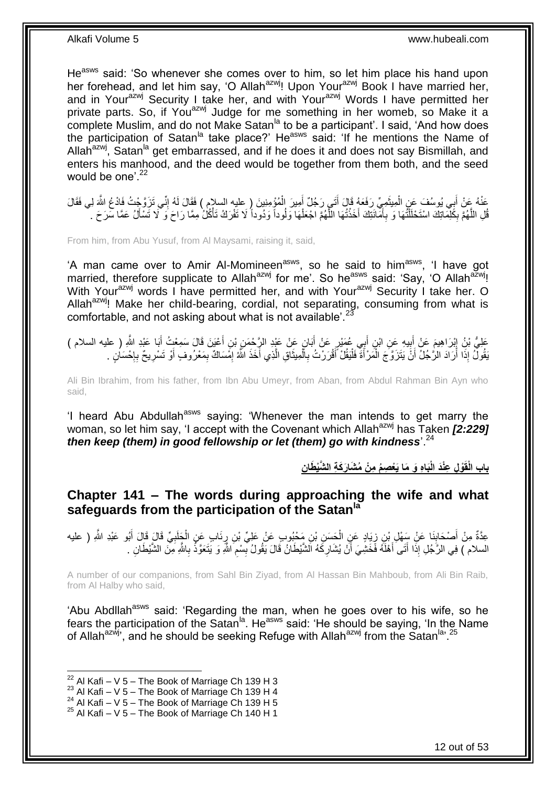He<sup>asws</sup> said: 'So whenever she comes over to him, so let him place his hand upon her forehead, and let him say, 'O Allah<sup>azwj</sup>! Upon Your<sup>azwj</sup> Book I have married her, and in Your<sup>azwj</sup> Security I take her, and with Your<sup>azwj</sup> Words I have permitted her private parts. So, if You<sup>azwj</sup> Judge for me something in her womeb, so Make it a complete Muslim, and do not Make Satan<sup>la</sup> to be a participant'. I said, 'And how does the participation of Satan<sup>la</sup> take place?' He<sup>asws</sup> said: 'If he mentions the Name of Allah<sup>azwj</sup>, Satan<sup>la</sup> get embarrassed, and if he does it and does not say Bismillah, and enters his manhood, and the deed would be together from them both, and the seed would be one<sup> $22$ </sup>

عَذْهُ عَنْ أَبِي يُوسُفَ عَنِ الْمِيثَمِيِّ رَفَعَهُ قَالَ أَتَـي رَجُلٌ أَمِيرَ الْمُؤْمِنِينَ ( عليه السلام<br>ُس حَّقِّب الْجَمَعِينَ وَجَمَعَ مِنْ الْمِيثَمِيِّ رَفَعَهُ قَالَ أَتَـي رَجُلٌ أَمِيرَ الْمُؤْمِنِينَ ( عليه ْ َ َ ٌٔ فی ْ ِ قُلِ اللَّهُمَّ بِكَلِّمَاتِكَ اسْتَحْلَلْتُهَا وَ بِأَمَّانَتِكَ أَخَذْتُهَا اللَّهُمَّ اجْعَلْهَا وَلُوداً وَدُوداً لَا تَفْرَكُ تَأْكُلُ مِمَّا رَاحَ وَ لَا تَسْأَلُ عَمَّا سَرَحَ . ْ َّ **ٔ** َ َ **∶** ْ ِ َّ َ ْ

From him, from Abu Yusuf, from Al Maysami, raising it, said,

'A man came over to Amir Al-Momineen<sup>asws</sup>, so he said to him<sup>asws</sup>, 'I have got married, therefore supplicate to Allah<sup>azwj</sup> for me'. So he<sup>asws</sup> said: 'Say, 'O Allah<sup>azwj</sup>! With Your<sup>azwj</sup> words I have permitted her, and with Your<sup>azwj</sup> Security I take her. O Allah<sup>azwj</sup>! Make her child-bearing, cordial, not separating, consuming from what is comfortable, and not asking about what is not available'. $^{23}$ 

ِ ُع ب ِن أ ي ِه َع ِن اْب ب َم َع ْن أ ْب ََّا ِلي َبا َعْبِد ََّّللا َعلِ ُّ ْب ُن ذ ِ ) عليه السالم ( ْعَي َن َقا َل َس ِمْع ُ أ ِن أ ِن ْب ٍن َع ْن َعْبِد ال ََّّ ْح َم َبا ٍَّ َع ْن أ َمْي َ **∣** ِ َ َ َ ْبَقُولٌ إِذَا أَرَادَ الرُّجُلُ أَنَّ يَتَزَوَّجَ الْمَرْأَةَ فَلْيَقُلْ أَقْرَرْتُ بِالْمِيثَاقِ الَّذِي أَخَذَ اللَّهُ إِمَّسَاكٌ بِمَعْرُوفٍ أَوْ تَسْرِيحٌ بِإِحْسَانٍ . ِ ۔<br>ا َّ َ ْ ِ ا<br>ا َ ْ َ َ ِ ا.<br>؛ ِ ِ

Ali Bin Ibrahim, from his father, from Ibn Abu Umeyr, from Aban, from Abdul Rahman Bin Ayn who said,

'I heard Abu Abdullah<sup>asws</sup> saying: 'Whenever the man intends to get marry the woman, so let him say, 'I accept with the Covenant which Allah<sup>azwj</sup> has Taken *[2:229] then keep (them) in good fellowship or let (them) go with kindness*'.<sup>24</sup>

باب الْقَوْل عِنْدَ الْبَاهِ وَ مَا يَعْصِمُ مِنْ مُشَارَكَةِ الشَّيْطَانِ

<span id="page-11-0"></span>**Chapter 141 – The words during approaching the wife and what safeguards from the participation of the Satanla**

عِدَّةٌ مِنْ أَصْحَابِنَا عَنْ سَفْلٍ بْنِ زِيَادٍ عَنِ الْحَسَنِ بْنِ مَجْبُوبٍ عَنْ عَلِيٍّ بْنِ رِئَابٍ عَنِ الْجَلَبِيِّ قَالَ قَالَ أَبُو عَبْدِ اللَّهِ ( عليه ِ ْ **∶** ْ ِ **∣** َ َ َ السلام ) فِي الزَّجُلِ إِذَا أَتَى أَهْلَهُ فَّخَشِّيَ أَنْ يُشَارِكَهُ الشَّيْطَانُ قَالَ يَقُولُ بِسْمِ اللَّهِ وَ يَتَعَوَّذُ بِاللَّهِ مِنَ الشَّيْطَانِ . **∶** ِ ِ **∶** اُ ا<br>ا

A number of our companions, from Sahl Bin Ziyad, from Al Hassan Bin Mahboub, from Ali Bin Raib, from Al Halby who said,

'Abu Abdllah<sup>asws</sup> said: 'Regarding the man, when he goes over to his wife, so he fears the participation of the Satan<sup>la</sup>. He<sup>asws</sup> said: 'He should be saying, 'In the Name of Allah<sup>azwj</sup>, and he should be seeking Refuge with Allah<sup>azwj</sup> from the Satan<sup>la, 25</sup>

 $^{22}$  Al Kafi – V 5 – The Book of Marriage Ch 139 H 3

 $^{23}$  Al Kafi – V 5 – The Book of Marriage Ch 139 H 4

<sup>24</sup> Al Kafi – V  $\frac{3}{2}$  – The Book of Marriage Ch 139 H 5

 $25$  Al Kafi – V 5 – The Book of Marriage Ch 140 H 1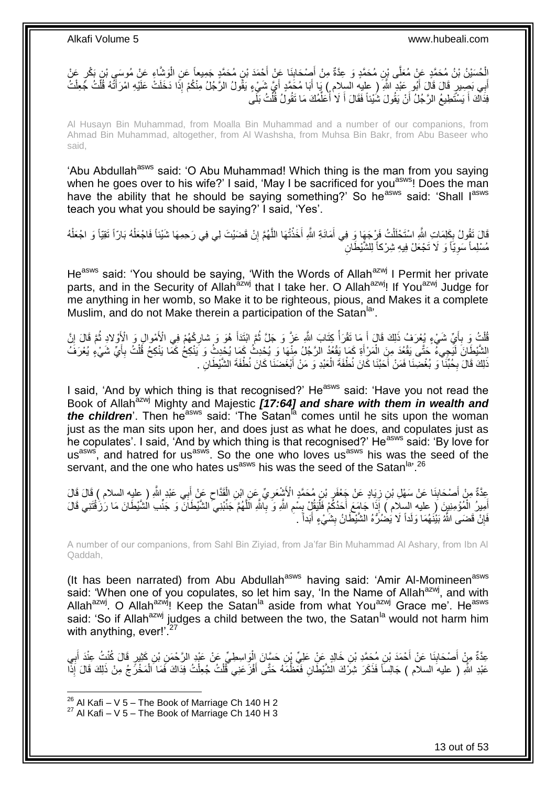الْحُسَيْنُ يْنُ مُحَمَّدٍ عَنْ مُعَلَّى بْنِ مُحَمَّدٍ وَ عِدَّةٌ مِنْ أَصْحَابِنَا عَنْ أَحْمَدَ بْنِ مُحَمَّدٍ جَمِيعاً عَنِ الْوَشَاءِ عَنْ مُوسَى بْنِ بَكْرٍ عَنْ<br>الْحُسَيْنُ بْنُ مُحَمَّدٍ عَنْ مُعَلَّى بْنِ مُحَمَّد َ َ ْ أَبِي بَصِِيلٍ قَالَ قَالَ أَبُو عَيْدِ اللَّهِ ۖ ( عليهِ السلام ) يَا أَبَا مُحَمَّدٍ أَيَّ شَيْءٍ يَقُولُ الرَّجُلُ مِنْكُمْ إِذَا دَخَلَتْ عَلَيْهِ امْرَأَتُهُ قُلْتُ جُعِلْتُ<br>وَالْجَمْلَةُ الْمَسْئَمَ مِنْ ذَلِكَ أَبُ َ َ ْ ْ َ فِذَاكَ أَ يَسْتَطِيعُ الرَّجُلُ أَنْ يَقُولَ شَيْئاً فَقَالَ أَ لَا أَعَلَّمُكَ مَا تَقُولُ قُلْتُ بَلَى ْ ِّ ا<br>ا َ اً َ

Al Husayn Bin Muhammad, from Moalla Bin Muhammad and a number of our companions, from Ahmad Bin Muhammad, altogether, from Al Washsha, from Muhsa Bin Bakr, from Abu Baseer who said,

'Abu Abdullah<sup>asws</sup> said: 'O Abu Muhammad! Which thing is the man from you saying when he goes over to his wife?' I said, 'May I be sacrificed for you<sup>asws</sup>! Does the man have the ability that he should be saying something?' So he<sup>asws</sup> said: 'Shall l<sup>asws</sup> teach you what you should be saying?' I said, 'Yes'.

قَالَ تَقُولُ بِكَلِمَاتِ اللَّهِ اسْتَحْلَلْتُ فَرِْجَهَا وَ فِي أَمَانَةِ اللَّهِ أَخَذْتُهَا اللَّهُمَّ إِنْ قَضَيْتَ لِي فِي رَحِمِهَا شَيْئاً فَاجْعَلْهُ بَارّاً تَقِيّاً وَ اجْعَلْهُ َ ْ ِ ْ ْ ِ َّ **ٔ** مُسْلِماً سَوِيّاً وَ لَا تَجْعَلْ فِيهِ شِرْكاً لِلشَّيْطَانِ ِ

He<sup>asws</sup> said: 'You should be saying, 'With the Words of Allah<sup>azwj</sup> I Permit her private parts, and in the Security of Allah<sup>azwj</sup> that I take her. O Allah<sup>azwj</sup>! If You<sup>azwj</sup> Judge for me anything in her womb, so Make it to be righteous, pious, and Makes it a complete Muslim, and do not Make therein a participation of the Satan<sup>la,</sup>.

ُفْلَٰثٍ وَ بِأَيِّ شَيْءٍ يُعْرَفٍ ذَلِكَ قَالٍ أَ مَا تَقْرَأُ كِتَابَ اللَّهِ عَنَّ وَ جَلَّ ثُمَّ ابْنَدَأَ هُوَ وَ شارِكْهُمْ فِي الْأَمْوالِ وَ الْإِوْلادِ ثُمَّ قَالَ إِنَّ اً.<br>ا **∶** ْ ِ َ ان<br>المقام المقام المقام المقام المقام المقام المقام المقام المقام المقام المقام المقام المقام المقام المقام المقا َ ِ ُ الشَّيْطَانَ لَيَجِيءُ جَتَّى يَقْعُدَ مِنَ الْمَرْأَةِ كَمَا يَقْعُدُ الرَّجُلُ مِنْهَا وَ يُحْدِثُ كَمَا يُحْدِثُ وَ يَنْكِحُ كَمَا يَنْكِحُ قُلْتُ بِأَيِّ شَيْءٍ يُعْرَفَ َ ْ َ ِ ْ ذَلِكَ قَالَ بِحُبَّنَا ۖ وَ بُغْضِنَا فَمَنْ أَحَبَّنَا كَانَ نُطْفَةَ الْعَبْدِ وَ مَنْ أَبْغَضَنَا كَانَ نُطْفَةَ الشَّيْطَانِ ۖ ـ َ ْ َ ِ

I said, 'And by which thing is that recognised?'  $He^{asws}$  said: 'Have you not read the Book of Allah<sup>azwj</sup> Mighty and Majestic **[17:64] and share with them in wealth and** *the children*'. Then he<sup>asws</sup> said: 'The Satan<sup>ia</sup> comes until he sits upon the woman just as the man sits upon her, and does just as what he does, and copulates just as he copulates'. I said, 'And by which thing is that recognised?' He<sup>asws</sup> said: 'By love for us<sup>asws</sup>, and hatred for us<sup>asws</sup>. So the one who loves us<sup>asws</sup> his was the seed of the servant, and the one who hates us<sup>asws</sup> his was the seed of the Satan<sup>la, 26</sup>

َ عِدَّةٌ مِنْ أَصْحَابِنَا عَنْ سَهْلِ بْنِ زِيَادٍ عَنْ جَعْفَرٍ بْنِ مُحَمَّدٍ الْأَشْعَرِيِّ عَنِ ابْنِ الْقَدَّاحِ عَنْ أَبِي عَبْدٍ اللَّهِ ( عِليهِ السلام ) قَالَ قَالَ  $\zeta$ ْ ِ ِ ِ **∣** َ أَمِيرُ الْمُؤْمِنِينَ لِ عليه السِلَام ) إِذَا َجَامَعَ أَحَدُكُمْ فَلْيَقُلْ بِسُمِ اللَّهِ وَ بِاللَّهِ الْلَّهُمَّ جَنِّبْنِي الشَّيْطَانَ وَ جَنِّبِ الشَّيْطَانَ مَا رَزُقْتَنِي قَالَ ْ َّ ِ ِ **∣** :<br>ا َ فَإِنْ قَضَى اللَّهُ بَيْنَهُمَا وَلَداً لَا يَضْنَرُّهُ الشَّيْطَانُ بِشَيْءٍ أَبَداً ۚ ـ **∣** ِ َ

A number of our companions, from Sahl Bin Ziyiad, from Ja'far Bin Muhammad Al Ashary, from Ibn Al Qaddah,

(It has been narrated) from Abu Abdullah<sup>asws</sup> having said: 'Amir Al-Momineen<sup>asws</sup> said: 'When one of you copulates, so let him say, 'In the Name of Allah<sup>azwj</sup>, and with Allah<sup>azwj</sup>. O Allah<sup>azwj</sup>! Keep the Satan<sup>la</sup> aside from what You<sup>azwj</sup> Grace me'. He<sup>asws</sup> said: 'So if Allah<sup>azwj</sup> judges a child between the two, the Satan<sup>la</sup> would not harm him with anything, ever! $i^{27}$ 

عِدَّةٌ مِنْ أَصْحَابِذَا عَنْ أَحْمَدَ بْنِ مُحَمَّدِ بْنِ خَالِدٍ عَنِْ عَلِيِّ بْنِ حَسَّانَ إِلْوِاسِطِيِّ عَنْ عَبْدِ الرَّحْمَنِ بْنِ كَثْبِي عَلْنَ كُنْتُ عِنْدَ أَبِي َ **∣** َ ِ َ ْ عَبْدِ اللَّهِ ( عليه السلام ) جَالِساً فَذَكَرَ شِرَّكَ الشَّيْطَانِ فَمِّظْمَهُ حَتَّى أَفْزَ عَنِي فَّلْتُ جُعِلْتُ فِدَاكَ فَمَا الْمَخْرِّجُ مِنْ ذَلِكَ قَالَ إِذَّا ْ ْ َ ْ

 $^{26}$  Al Kafi – V 5 – The Book of Marriage Ch 140 H 2  $27$  Al Kafi – V 5 – The Book of Marriage Ch 140 H 3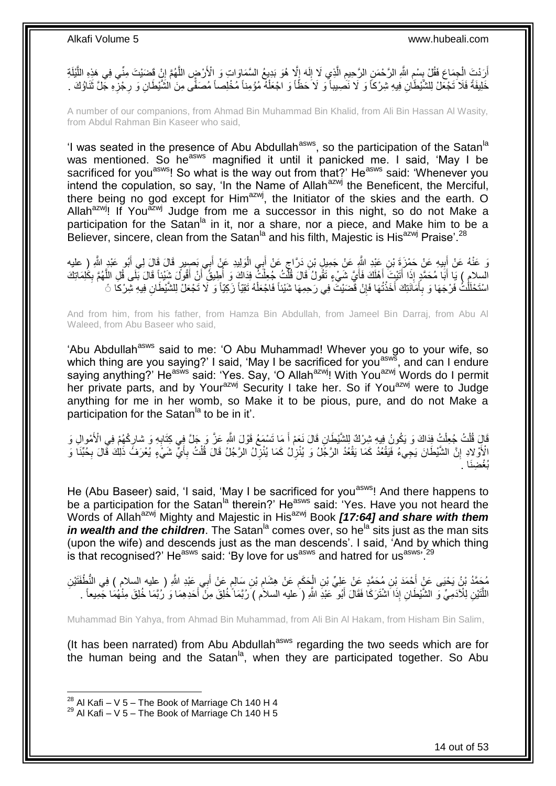أَرَدْتَ الْجِمَاعَ فَقُلْ بِسْمِ اللَّهِ الرَّحْمَنِ الرَّحِيمِ الَّذِي لَا إِلَهَ إِلَّا هُوَ بَدِيعُ السَّمَاوَاتِ وَ الْأَرْضِ اللَّهُمَّ إِنْ قَضَيْتَ مِنِّي فِي هَذِهِ اللَّيْلَةِ<br>وَالْأَرْضِ الْجِمَاعِ فَقُلْ بِسْمِ ِ لَ  $\frac{1}{2}$ َّ **ُ** ِ ِ ْ َّ ِ َّ خَلِيفَةً فَلاَ تَجْعَلْ لِلشَّيْطَانِ فِيهِ شِرْكاً وَ لَا نَصْبِيباً وَ لَا حَظَّاً وَ اجْعَلْهُ مُؤْمِناً مُخْلِصاً مُصَفِّى مِنَ الشَّيْطَانِ وَ رِجْزِهِ جَلَّ ثَنَاؤُكَ ِ ِ ان<br>ادا کا ْ َ

A number of our companions, from Ahmad Bin Muhammad Bin Khalid, from Ali Bin Hassan Al Wasity, from Abdul Rahman Bin Kaseer who said.

'I was seated in the presence of Abu Abdullah<sup>asws</sup>, so the participation of the Satan<sup>la</sup> was mentioned. So he<sup>asws</sup> magnified it until it panicked me. I said, 'May I be sacrificed for you<sup>asws</sup>! So what is the way out from that?' He<sup>asws</sup> said: 'Whenever you intend the copulation, so say, 'In the Name of Allah $a^{2}$ wj the Beneficent, the Merciful, there being no god except for  $\lim_{n \to \infty}$ , the Initiator of the skies and the earth. O Allah<sup>azwj</sup>! If You<sup>azwj</sup> Judge from me a successor in this night, so do not Make a participation for the Satan<sup>la</sup> in it, nor a share, nor a piece, and Make him to be a Believer, sincere, clean from the Satan $\mathrm{^{la}}$  and his filth, Majestic is His<sup>azwj</sup> Praise'.<sup>28</sup>

يَ عَنْهُ عَنْ أَبِيهِ عَنْ حَمْزَةَ بْنِ عَيْدِ اللَّهِ عَنْ جَمِيلٍ بْنِ دَرَّاجٍ عَنْ أَبِي الْوَلِيدِ عَنْ أَبِي بَصِيرٍ قَالَ قَالَ لِي أَبُو عَيْدٍ اللَّهِ رِ عليه<br>وَ عَنْهُ عَنْ أَبِيهِ عَنْ حَمْزَةَ بِنِ عَيْدِ الل **!** َ َ َ ْ ٍ السلام ) يَا أَبَا مُحَمَّدٍ إِذَا أَتَيْتَ أَهْلَكَ فَأَيَّ شَيْءٍ تَقُولُ قَالَ قُلَّتُ جُعِلْتُ فِذَاكَ وَ أَطِيقُ أَنْ أَقُولَ شَيْئاً قَالَ بَلَى قُلِ اللَّهُمَّ بِكَلِمَاتِكَ<br>مَعَينَ الْجَمَعِ الْجَمَعَ الْمَمَّ بِك ا<br>ا َ َ َ َّ َ َ ُ ْ ا<br>ا ِ اسْتَحْلَلْتُ فَرْجَهَا وَ بِأُمَانَتِكَ أَخَذْتُهَا فَإِنْ قَضَيْتَ فِي رَحِمِهَا شَيْئاً فَاجْعَلْهُ تَقِيّاً زَكِيّاً وَ لَا تَجْعَلْ لِلشَّيْطَانِ فِيهِ شِرْكَا نَّ ْ ِ **ٔ** َ **∶** ْ

And from him, from his father, from Hamza Bin Abdullah, from Jameel Bin Darraj, from Abu Al Waleed, from Abu Baseer who said,

'Abu Abdullah<sup>asws</sup> said to me: 'O Abu Muhammad! Whever you go to your wife, so which thing are you saying?' I said, 'May I be sacrificed for you<sup>asws</sup>, and can I endure saying anything?' He<sup>asws</sup> said: 'Yes. Say, 'O Allah<sup>azwj</sup>! With You<sup>azwj</sup> Words do I permit her private parts, and by Your<sup>azwj</sup> Security I take her. So if You<sup>azwj</sup> were to Judge anything for me in her womb, so Make it to be pious, pure, and do not Make a participation for the Satan<sup>la</sup> to be in it'.

َّفَالَ قُلْتُ جُعِلْتُ فِذَاكَ وَ يَكُونُ فِيهِ شِرْكٌ لِلشَّيْطَانِ قَالَ نَعَمْ أَ مَا تَسْمَعُ قَوْلَ اللَّهِ عَزَّ وَ جَلَّ فِي كِتَابِهِ وَ شارِكْهُمْ فِي الْأَمْوِالِ وَ َ ْ ْ ្ន **∶** الْأَوْلاِدِ إِنَّ الشَّيْطَانَ يَجِيءُ فَيَقْعُدُ كَمَا يَقْعُدُ الرَّجُلُ وَ يُنْزِلُ كَمَا يُنْزِلُ الرَّجُلُ قَالَ قُلْتُ بِأَيٍّ شَيْءٍ يُعْرَفُ ذَلِكَ فَّالَ بِخُبِّنَا وَ ِ َ **∶** ْ **ٍ** ِ ِ بُغْضِنَا .

He (Abu Baseer) said, 'I said, 'May I be sacrificed for you<sup>asws</sup>! And there happens to be a participation for the Satan<sup>la</sup> therein?' He<sup>asws</sup> said: 'Yes. Have you not heard the Words of Allah<sup>azwj</sup> Mighty and Majestic in His<sup>azwj</sup> Book *[17:64] and share with them in wealth and the children*. The Satan<sup>la</sup> comes over, so he<sup>la</sup> sits just as the man sits (upon the wife) and descends just as the man descends'. I said, 'And by which thing is that recognised?' He<sup>asws</sup> said: 'By love for us<sup>asws</sup> and hatred for us<sup>asws, 29</sup>

مُحَمَّدُ بْنُ يَحْيَى عَنٍْ أَحْمَدَ بْنِ مُحَمَّدٍ عَنْ عَلِيِّ بْنِ الْجَكَمِ عَنْ هِشَامِ بْنِ سَالِمٍ عَنْ أَبِي عَبْدِ اللَّهِ ( عِليه السلام ) فِي النُّطْفَتَيْنِ<br>يَجِمَدُ بْنُ يَحْيَى عَنٍْ أَحْمَدَ بْنِ مُحَمَّدٍ َ ֧֧֧֖֧֧֧֧֦֧֧֧֚֓֝֬֝֝֓֝֬֟֓֟֓֓֝֓֝֬֝֓֝֓֟֓֟֓֝֬ ِ ِ ْ َ اللَّنَيْنِ لِلْاَدَمِيِّ وَ الشَّيْطَانِ إِذَا اَشْتَرَكَا فَقَالَ أَبُو ۖ عَبْدِ اللَّهِ ( عليه السلام ) رُبَّمَا خُلِقَ مِنْ أَحَدِهِمَا وَ رُبَّمَا خُلِقَ مِنْهُمَا جَمِيعاً . َ

Muhammad Bin Yahya, from Ahmad Bin Muhammad, from Ali Bin Al Hakam, from Hisham Bin Salim,

(It has been narrated) from Abu Abdullah $a<sup>asws</sup>$  regarding the two seeds which are for the human being and the Satan<sup>la</sup>, when they are participated together. So Abu

 $^{28}$  Al Kafi – V 5 – The Book of Marriage Ch 140 H 4

 $29$  Al Kafi – V 5 – The Book of Marriage Ch 140 H 5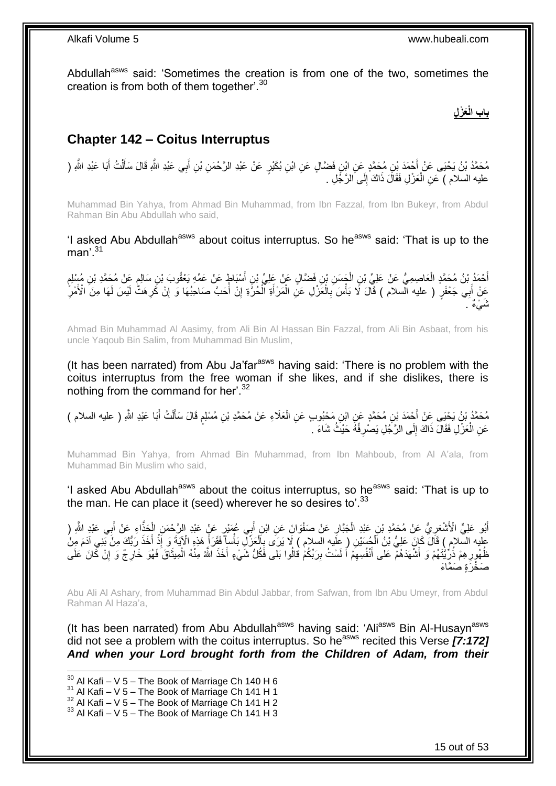Abdullah<sup>asws</sup> said: 'Sometimes the creation is from one of the two, sometimes the creation is from both of them together<sup>'.30</sup>

### **َعْز ل باب الْ**

### <span id="page-14-0"></span>**Chapter 142 – Coitus Interruptus**

**∶** مُحَمَّدُ بْنُ يَحْيَى عَنْ أَجْمَدَ بْنِ مُحَمَّدٍ عَنِ ابْنِ فَضَّالٍ عَنِ ابْنِ بُكَيْرٍ عَنْ عَبْدِ الرَّحْمَنِ بْنِ أَبِي عَبْدِ اللَّهِ فَالَ سَأَلْتُ أَبَا عَبْدِ اللَّهِ ( َ َ عليه السلام ) عَنِ الْعَزْلِ فَقَالَ ذَاكَ إِلَى الرَّجُلِ . ِ ْ

Muhammad Bin Yahya, from Ahmad Bin Muhammad, from Ibn Fazzal, from Ibn Bukeyr, from Abdul Rahman Bin Abu Abdullah who said,

'I asked Abu Abdullah<sup>asws</sup> about coitus interruptus. So he<sup>asws</sup> said: 'That is up to the man' $^{31}$ 

أَحْمَدُ بْنُ مُحَمَّدٍ الْعَاصِمِيُّ عَنْ عَلِيِّ بْنِ الْجَسَنِ بْنِ فَضَّالٍ عَنْ عَلِيٍّ بْنِ أَسْبَاطٍ عَنْ عَمِّهِ يَعْقُوبَ بْنِ سَالِمٍ عَنْ مُحَمَّدِ بْنِ مُسْلِمٍ َ ْ ْ َ ٍ ٍ عَنْ أَبِي جَعْفَرٍ ( عليه السلام ) قَالَ لَا بَأْسَ بِالْعَزْلِ عَنِ الْمَرْأَةِ الْحُرَّةِ إِنْ أَحَبَّ صَاحِبُهَا وَ إِنْ كَرِ هَتْ لَيْسَ لَهَا مِنَ الْأَمْرِ ِ ِ َ ِ ْ َ ْ ْ ِ **ٔ** ِ ِّ ٌ نُمْ ٍ .

Ahmad Bin Muhammad Al Aasimy, from Ali Bin Al Hassan Bin Fazzal, from Ali Bin Asbaat, from his uncle Yaqoub Bin Salim, from Muhammad Bin Muslim,

(It has been narrated) from Abu Ja'far<sup>asws</sup> having said: 'There is no problem with the coitus interruptus from the free woman if she likes, and if she dislikes, there is nothing from the command for her'.<sup>32</sup>

مُحَمَّدُ بْنُ يَحْيَى عَنْ أَحْمَدَ بْنِ مُحَمَّدٍ عَنِ ابْنِ مَحْبُوبٍ عَنِ الْعَلَاءِ عَنْ مُحَمَّدِ بْنِ مُسْلِمٍ قَالَ سَأَلْتُ أَبَا عَبْدِ اللَّهِ ( عليه السلام ) ٍ ْ َ ْ َ عَنِ الْعَزْلِ فَقَالَ ذَاكَ إِلَى الرَّجُلِ يَصْرِفُهُ حَيْثُ شَاءَ . ِ ∣<br>∶ ْ

Muhammad Bin Yahya, from Ahmad Bin Muhammad, from Ibn Mahboub, from Al A'ala, from Muhammad Bin Muslim who said,

'I asked Abu Abdullah<sup>asws</sup> about the coitus interruptus, so he<sup>asws</sup> said: 'That is up to the man. He can place it (seed) wherever he so desires to  $33$ 

أَبُو عَلِيٍّ الْأَشْعَرِيُّ عَنْ مُحَمَّدٍ بْنِ عَبْدِ الْجَبَّارِ عَنْ صَفْوَانَ عَنِ ابْنِ أَبِي عُهِدٍ كِمَّ أَبِي عَبْدِ الثَّهِ ( َ ِ ْ ِ ِ َ ْ عليه السّلامِ ) قَالَ كَإِنَ عَلِيُّ بْنُ اَلْجُسَيْنِ ( عِلَيه السلام ) لَا يَرَى بِاَلْعَزْلِّ بَأْساً فَقَرَأَ هَذِهِ الْآيَةَ وَ إِذْ أَخَذَ رَبُّكَ مِنْ بَنِي آدَمَ مِنْ َ ْ ْ ِ ْ َ **ٔ** ِ ظُهُورِ هِمْ ذُرِّيَّتَهُمْ وَ أَشْهَدَهُمْ عَلَى أَنْفُسِهِمْ أَ لَسْتُ بِرَبِّكُمْ فَالُوا بَلَى فَكُلُّ شَيْءٍ أَخَذَ اللَّهُ مِنْهُ الْمِيثَاقَ فَهُوَ خَارِجٌ وَ إِنْ كَانَ عَلَى ِ لَ َ ِ َ َ ِ ِ ِ َ ْ صَخْرَةٍ صَمَّاءَ

Abu Ali Al Ashary, from Muhammad Bin Abdul Jabbar, from Safwan, from Ibn Abu Umeyr, from Abdul Rahman Al Haza'a,

(It has been narrated) from Abu Abdullah<sup>asws</sup> having said: 'Ali<sup>asws</sup> Bin Al-Husayn<sup>asws</sup> did not see a problem with the coitus interruptus. So he<sup>asws</sup> recited this Verse **[7:172]** *And when your Lord brought forth from the Children of Adam, from their* 

 $30$  Al Kafi – V 5 – The Book of Marriage Ch 140 H 6

 $31$  Al Kafi – V 5 – The Book of Marriage Ch 141 H 1

 $32$  Al Kafi – V  $5$  – The Book of Marriage Ch 141 H 2

 $33$  Al Kafi – V 5 – The Book of Marriage Ch 141 H 3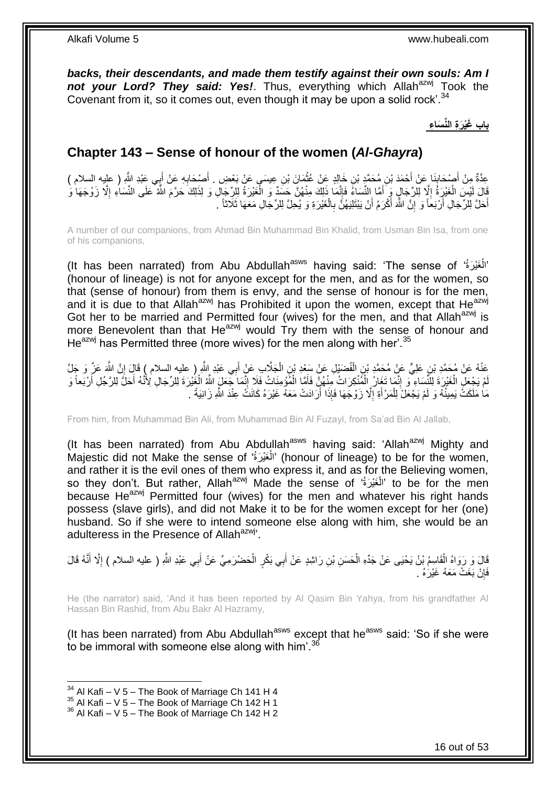*backs, their descendants, and made them testify against their own souls: Am I* not your Lord? They said: Yes!. Thus, everything which Allah<sup>azwj</sup> Took the Covenant from it, so it comes out, even though it may be upon a solid rock'.<sup>34</sup>

**باب َغْي َر ة الِّن َسا ء**

### <span id="page-15-0"></span>**Chapter 143 – Sense of honour of the women (***Al-Ghayra***)**

عِدَّةٌ مِنْ أَصْحَابِنَا عَنْ أَحْمَدَ بْنِ مُحَمَّدٍ بْنِ خَالِدٍ عَنْ عُثْمَانَ بْنِ عِيسَى عَنْ بَعْضِ . أَصْحَابِهِ عَنْ أَبِي عَبْدِ اللَّهِ ( عليه السلام ) **∶** َ ْ َ **∣** َ قَالَ لَيْسَ الْغَيْرِةُ إِلَّا لِلرِّجَالٍ وَ َأَمَّا اِلنِّسَاءُ فَإِنَّمَا ذَلِكَ مِنْهُنَّ حَسَدٌ وَ الْغَيْرَةُ لِلرِّجَالِ وَ لِذَلِكَ حَرَّمَ الثَّهُ عَلَى النِّسَاءِ إِلَّا زَوْجَهَا وَ َ ِ ْ ا<br>ا ْ ِ أَحَلَّ لِلرِّجَالِ أَرْبَعاً وَ إِنَّ اللَّهَ أَكْرَمُ أَنْ يَبْتَلِيَهُنَّ بِالْغَيْرَةِ وَ يُحِلَّ لِلرِّجَالِ مَعَهَا ثَلَاثًا ۚ . ْ **∶** َ َ יֲ<br>י َ َ

A number of our companions, from Ahmad Bin Muhammad Bin Khalid, from Usman Bin Isa, from one of his companions,

(It has been narrated) from Abu Abdullah<sup>asws</sup> having said: 'The sense of 'أَلْغَيْرَةُ' ْ (honour of lineage) is not for anyone except for the men, and as for the women, so that (sense of honour) from them is envy, and the sense of honour is for the men, and it is due to that Allah<sup>azwj</sup> has Prohibited it upon the women, except that He<sup>azwj</sup> Got her to be married and Permitted four (wives) for the men, and that Allah $a$ <sub>zwj</sub> is more Benevolent than that He<sup>azwj</sup> would  $Try$  them with the sense of honour and He $^{azwj}$  has Permitted three (more wives) for the men along with her'.  $35$ 

عَذْهُ عَنْ مُحَمَّدِ بْنِ عَلِيٍّ عَنْ مُحَمَّدِ بْنِ الْفُضْبْلِ عَنْ سَعْدِ بْنِ الْجَلَّابِ عَنْ أَبِي عَبْدِ إِللَّهِ ( عليه السلام ) قَالَ إِنَّ اللَّهَ عَزَّ وَ جَلَّ ْ ِ َ ْ مْ يَجْعَلِ الْغَيْرَةَ لِلَّئِسَاءِ ۖ وَ إِنَّمَا تَغَارُ الْمُنْكِرَاتُ مِنْهُنٍّ فَأَمَّا الْمُؤْمِنَاتُ فَلَا إِنَّمَا جَعَلَ اللَّهُ الْغُيْرَةَ لِلرِّجَالِ لِأَنَّهُ أَحَلُّ لِلرَّجُلِ أَرْبَعاً وَ ِ ْ َ ْ ِ ْ لَ ْ َ َ مَا مَلَكَتْ يَمِينُهُ وَ لَمْ يَجْعَلْ لِلْمَرْ أَةِ إِلَّا زَوْجَهَا فَإِذَا أَرَادَتْ مَعَهُ غَيْرَهُ كَانَتْ عِنْدَ اللَّهِ زَانِيَةً . َ ِ َ ْ

From him, from Muhammad Bin Ali, from Muhammad Bin Al Fuzayl, from Sa'ad Bin Al Jallab,

(It has been narrated) from Abu Abdullah<sup>asws</sup> having said: 'Allah<sup>azwj</sup> Mighty and Majestic did not Make the sense of 'أَلْغَيْرَةُ' (honour of lineage) to be for the women, ْ and rather it is the evil ones of them who express it, and as for the Believing women, so they don't. But rather, Allah<sup>azwj</sup> Made the sense of 'أَلْغَيْرَةُ' to be for the men ْ because He $^{azwj}$  Permitted four (wives) for the men and whatever his right hands possess (slave girls), and did not Make it to be for the women except for her (one) husband. So if she were to intend someone else along with him, she would be an adulteress in the Presence of Allah<sup>azwj</sup>.

قَالَ وَ رَوَاهُ الْقَاسِمُ بْنُ يَحْيَى عَنْ جَدِّهِ الْحَسَنِ بْنِ رَاشِدٍ عَنْ أَبِي بَكْرٍ الْحَضْرَمِيِّ عَنْ أَبِي عَبْدِ اللَّهِ ( عليه السلام ) إِلَّا أَنَّهُ قَالَ َ ْ َ ْ ْ َ ا<br>ا فَإِنْ بَغَتْ مَعَهُ غَيْرَهُ . ِ

He (the narrator) said, 'And it has been reported by Al Qasim Bin Yahya, from his grandfather Al Hassan Bin Rashid, from Abu Bakr Al Hazramy,

(It has been narrated) from Abu Abdullah<sup>asws</sup> except that he<sup>asws</sup> said: 'So if she were to be immoral with someone else along with him'.<sup>36</sup>

 $34$  Al Kafi – V 5 – The Book of Marriage Ch 141 H 4

 $35$  Al Kafi – V  $5$  – The Book of Marriage Ch 142 H 1

 $36$  Al Kafi – V 5 – The Book of Marriage Ch 142 H 2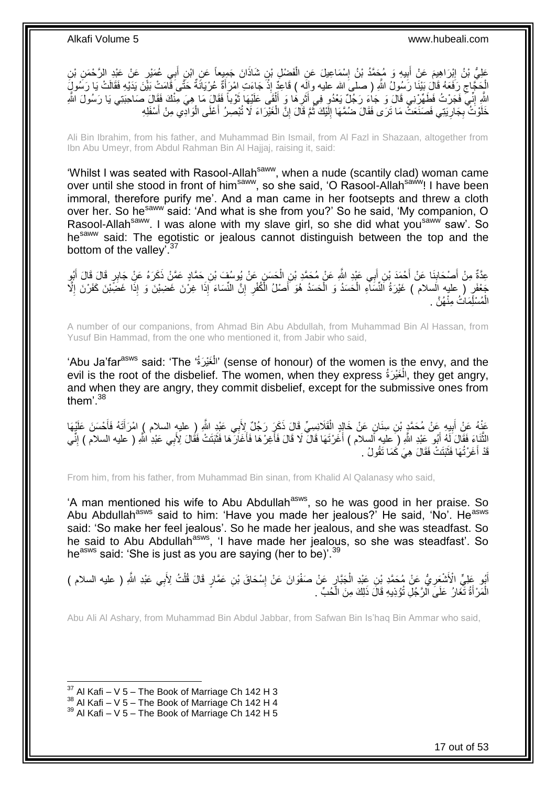عَلِيُّ بْنُ إِبْرَاهِيمَ عَنْ أَبِيهِ وَ مُحَمَّدُ بْنُ إِسْمَاعِيلَ عَنِ الْفَضْلِ بْنِ شَاذَانَ جَمِيعاً عَنِ ابْنِ أَبِي عُمَيْرٍ عَنْ عَبْدِ الرَّحْمَنِ بْنِ َ ْ ِ **!** ِ الْجَجَّاجِ رَفَعَهُ قَالَ بَيْنَا رَسُولُ اللَّهِ ( صلىَ الله عليه وإَلَه ) قَاعِدٌ إِذْ جَاءَتِ امْرَأَةٌ عُرْيَانَةٌ حَتَّىَ قَامَتْ بَيْنَ يَدَيْهِ فَقَالَتْ يَا رَسُولٍ َ .<br>.<br>. ِ اللَّهِ إِنِّي فَجَرْتُ فَطَهِّرْنِي قَالَ وَ جَاءَ رَجُلٌ يَعْدُو فِي أَثَرِهَا وَ أَلْقَى عَلَيْهَا ثَوْباً فَقَالَ مَا هِيَ مِنْكَ فَقَالَ صَاحِبَتِي يَا رَسُولَ اللَّهِ َ ْ َ ِ َ יִי (ו خَلَوْتُ بِجَارِيَتِي فَصَنَعَتْ مَا تَرَى فَقَالَ ضُمَّهَا إِلَيْكَ ثُمَّ قَالَ إِنَّ الْغَيْرَاءَ لَا تُبْصِرُ أَعْلَى الْوَادِي مِنْ أَسْفَلِهِ ِ ِ َ ْ َ ْ ِ ان<br>المقامات المقامات المقامات المقامات المقامات المقامات المقامات المقامات المقامات المقامات المقامات المقامات<br>المقامات المقامات المقامات المقامات المقامات المقامات المقامات المقامات المقامات المقامات المقامات المقامات لَ  $\frac{1}{2}$ 

Ali Bin Ibrahim, from his father, and Muhammad Bin Ismail, from Al Fazl in Shazaan, altogether from Ibn Abu Umeyr, from Abdul Rahman Bin Al Hajjaj, raising it, said:

'Whilst I was seated with Rasool-Allah<sup>saww</sup>, when a nude (scantily clad) woman came over until she stood in front of him<sup>saww</sup>, so she said, 'O Rasool-Allah<sup>saww</sup>! I have been immoral, therefore purify me'. And a man came in her footsepts and threw a cloth over her. So he<sup>saww</sup> said: 'And what is she from you?' So he said, 'My companion, O Rasool-Allah<sup>saww</sup>. I was alone with my slave girl, so she did what you<sup>saww</sup> saw'. So he<sup>saww</sup> said: The egotistic or jealous cannot distinguish between the top and the bottom of the valley'.<sup>37</sup>

عِدَّةٌ مِنْ أَصْحَابِنَا عَنْ أَحْمَدَ بْنِ أَبِي عَبْدِ اللَّهِ عَنْ مُحَمَّدِ بْنِ الْحَسَنِ عَنْ يُوسُفَ بْنِ حَمَّادٍ عَمَّنْ ذَكَرَهُ عَنْ جَابِرٍ قَالَ قَالَ أَبُو ْ َ َ ِ َ َ جُعْفَرٍ ( عليه السلام ) غَيْرَةُ اَلنِّسَاءِ الْحَسَدُ وَ الْحَسَدُ هُوَ أَصْلُ الْكُفْرِ إِنَّ النِّسَاءَ إِذَا غِرْنَ غَضِبْنَ وَ إِذَا غَضِّبْنَ كَفَرْنَ إِلَّا ِ ِ َ ْ ْ ا<br>ا الْمُسْلِّمَاتُ مِنْهُنَّ . ْ

A number of our companions, from Ahmad Bin Abu Abdullah, from Muhammad Bin Al Hassan, from Yusuf Bin Hammad, from the one who mentioned it, from Jabir who said,

'Abu Ja'far<sup>asws</sup> said: 'The 'أَلْغَيْرَةُ' (sense of honour) of the women is the envy, and the ْ evil is the root of the disbelief. The women, when they express (الْغَيْرَةُ , they get angry, ْ and when they are angry, they commit disbelief, except for the submissive ones from them'. $38$ 

عَنْهُ عَنْ أَبِيهِ عَنْ مُحَمَّدٍ بْنِ سِنَانٍ عَنْ خَالِدٍ الْقَلَانِسِيِّ قَالَ ذَكَرٍ رَجُلٌ لِأَبِي عَبْدِ اللَّهِ رِ عليهِ السلام ) امْرَأَتَهُ فَأَحْسَنَ عَلَيْهَا ْ **!** َ َ َ لَثَّنَاءَ فَقَالَ لَهُ أَبُو عَبْدِ اللَّهِ (َ عليهِ أَلسلام ) أَغَرْتَهَا قَالَ لَا قَالَ فَأَغِرْهَا فَأَغَانَ هَا فَتَبَتَتْ فَقُالَ لِأَبِي عَبْدِ اللَّهِ ( عليه السلام ) إِنِّي َ َ َ َ َ ِ قَدْ أَغَرْتُهَا فَثَبَتَتْ فَقَالَ هِيَ كَمَا تَقُولُ . اً<br>ا ا<br>ا

From him, from his father, from Muhammad Bin sinan, from Khalid Al Qalanasy who said,

'A man mentioned his wife to Abu Abdullah<sup>asws</sup>, so he was good in her praise. So Abu Abdullah<sup>asws</sup> said to him: 'Have you made her jealous?' He said, 'No'. He<sup>asws</sup> said: 'So make her feel jealous'. So he made her jealous, and she was steadfast. So he said to Abu Abdullah<sup>asws</sup>, 'I have made her jealous, so she was steadfast'. So he<sup>asws</sup> said: 'She is just as you are saying (her to be)'.<sup>39</sup>

أَبُو عَلِيٍّ الْأَشْعَرِيُّ عَنْ مُحَمَّدِ بْنِ عَيْدِ الْجَبَّارِ عَنْ صَفْوَانَ عَنْ إِسْحَاقَ بْنِ عَمَّارٍ قَالَ قُلْتُ لِأَبِي عَبْدِ اللَّهِ ( عليه السلام )<br>فَيَسْتَمَرُّ مِنْ أَنْسَعَ عَنْ مُحَمَّدِ بْنِ عَيْدِ الْ ِ َ ْ ِ ِ ْ الْمَرْ أَةُ تَّغَارُ ۚ عَلَىَ الْرَّجُلِ تُؤْذِيهِ قَالَ ذَلِكَ مِنَ الّْحُبِّ ۚ . ْ َ ْ

Abu Ali Al Ashary, from Muhammad Bin Abdul Jabbar, from Safwan Bin Is'haq Bin Ammar who said,

 $37$  Al Kafi – V 5 – The Book of Marriage Ch 142 H 3

 $38$  Al Kafi – V  $5$  – The Book of Marriage Ch 142 H 4

 $39$  Al Kafi – V 5 – The Book of Marriage Ch 142 H 5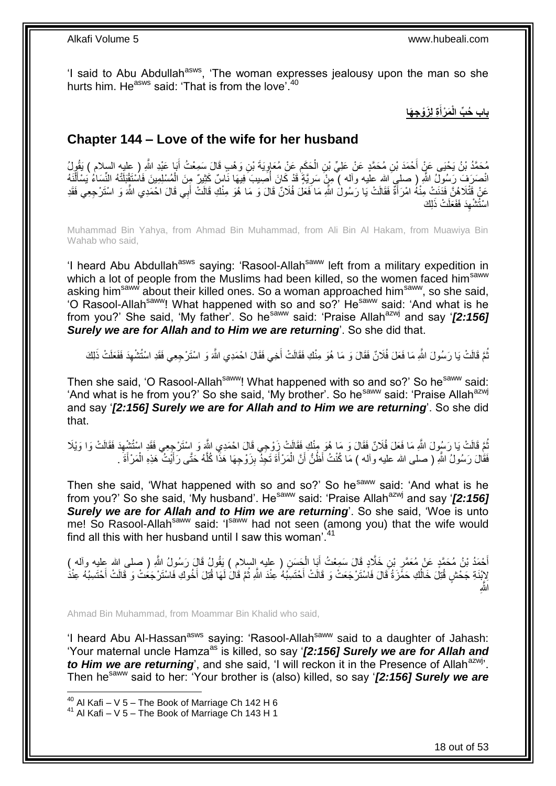'I said to Abu Abdullah<sup>asws</sup>, 'The woman expresses jealousy upon the man so she hurts him. He<sup>asws</sup> said: 'That is from the love'.<sup>40</sup>

> **ة ل َزْو ج َها َم ْرأ باب ُح ِّب الْ َ**

### <span id="page-17-0"></span>**Chapter 144 – Love of the wife for her husband**

َ ِن َو ْل ٍب َقا َل َس ِمْع ُ أ َي َة ْب َع ْن ُمَعاو َح َمم ِن ال ِن ُم َح َّمٍد َع ْن َعلِ ِّ ْب ْح َمَد ْب ُم َح َّمُد ْب ُن َي ْحَيا َع ْن أ و ُل َ َبا َعْبِد ََّّللاِ ) عليه السالم ( َيقُ ِ ِ ْ انْصَرَفَ رَسُولٌ اللَّهِ ( صلىِ الله علَيه وأله ) مِنْ سَرِيَّةٍ قَدْ كَانَ أُصِيبَ فِيهَا نَاسٌ كَثِيرٌ مِنَ الْمُسْلِمِينَ فَاسْتَقْبَلَنْهُ النِّسَاءُ يَسْأَلْنَهُ ُ ِ ْ َ ْ عَنْ قَتْلَاهُنَّ فَدَنَتْ مِنْهُ امْرَأَةً فَقَالَتْ يَا رَسُولُ اللَّهِ مَا فَعَلَ فُلَانٌ قَالَ وَ مَا هُوَ مِنْكِ قَالَتْ أَبِي قَالَ احْمَدِي اللَّهَ وَ اسْتَرْجِعِي فَقَدِ َ َ اسْتُشْهِدَ فَفَعَلَتْ ذَلِكَ ِ

Muhammad Bin Yahya, from Ahmad Bin Muhammad, from Ali Bin Al Hakam, from Muawiya Bin Wahab who said,

'I heard Abu Abdullah<sup>asws</sup> saying: 'Rasool-Allah<sup>saww</sup> left from a military expedition in which a lot of people from the Muslims had been killed, so the women faced him<sup>saww</sup> asking him<sup>saww</sup> about their killed ones. So a woman approached him<sup>saww</sup>, so she said, 'O Rasool-Allah<sup>saww</sup>! What happened with so and so?' He<sup>saww</sup> said: 'And what is he from you?' She said, 'My father'. So he<sup>saww</sup> said: 'Praise Allah<sup>azwj</sup> and say '*[2:156] Surely we are for Allah and to Him we are returning*'. So she did that.

ُّمَّ قَالَتْ يَا رَسُولَ اللَّهِ مَا فَعَلَ فُلَانٌ فَقَالَ وَ مَا هُوَ مِنْكِ فَقَالَتْ أَخِي فَقَالَ احْمَدِي اللَّهَ وَ اسْتَرْحِعِي فَقَدِ اسْتُشْهِدَ فَفَعَلَتْ ذَلِكَ َ ِ

Then she said, 'O Rasool-Allah<sup>saww</sup>! What happened with so and so?' So he<sup>saww</sup> said: 'And what is he from you?' So she said, 'My brother'. So he<sup>saww</sup> said: 'Praise Allah<sup>azwj</sup> and say '*[2:156] Surely we are for Allah and to Him we are returning*'. So she did that.

ُّعَ قَالَتْ يَا رَسُولَ اللَّهِ مَا فَعَلَ فُلَانٌ فَقَالَ وَ مَا هُوَ مِنْكِ فَقَالَتْ زِوْجِي قَالَ احْمَدِي اللَّهِ وَ إِسْتَرْجِعِي فَقَدِ اسْتُشْهِدَ فَقَالَتْ وَا وَيْلَا ُ ِ فَقَالَ رَسُولُ اللَّهِ ( صلى الله عليه وأله ) مَا كُنْتُ أَظُنُّ أَنَّ الْمَرْ أَةَ تَجِدُّ بِزَوْجِهَا هَذَا كُلَّهُ حَتَّى رَأَيْتٌ هَذِهِ الْمَرْأَةَ . َ ْ َ َّ **!** َ ْ اُ

Then she said, 'What happened with so and so?' So he<sup>saww</sup> said: 'And what is he from you?' So she said, 'My husband'. He<sup>saww</sup> said: 'Praise Allah<sup>azwj</sup> and say '*[2:156] Surely we are for Allah and to Him we are returning*'. So she said, 'Woe is unto me! So Rasool-Allah<sup>saww</sup> said: 'I<sup>saww</sup> had not seen (among you) that the wife would find all this with her husband until I saw this woman<sup>'.41</sup>

أَحْمَدُ بْنُ مُحَمَّدٍ عَنْ مُعَمَّرٍ بْنِ خَلَّادٍ قَالَ سَمِعْتُ أَبَا الْحَسَنِ ( عليه السلام ) يَقُولُ قَالَ رَسُولُ اللَّهِ ( صلى الله عليه وألم )<br>أَحْمَدُ بْنُ مُحَمَّدٍ عَنْ مُعَمَّرٍ بْنِ خَلَّادٍ وَمَنْ أَبَا الْ ْ َ ֦֧֦֦֦֦֦֦֦֦֦֝֝֝֝֜ َ ُ لِإِنْدَةِ جَحْشٍ قُتِلَ خَالُكِ حَمَّزَةُ قَالَ فَاسْتَرْجَعَتْ وَ قَالَتْ أَحْتَسِبُهُ عِنْدَ اللَّهِ ثُمَّ قَالَ لَهَا قُتِلَ أَخُوكِ فَاسْتَرْجَعَتْ وَ فَالَتْ أَحْتَسِبُهُ عِنْدَ َ اُ َ َ اللَّٰہِ

Ahmad Bin Muhammad, from Moammar Bin Khalid who said,

'I heard Abu Al-Hassan<sup>asws</sup> saying: 'Rasool-Allah<sup>saww</sup> said to a daughter of Jahash: 'Your maternal uncle Hamza<sup>as</sup> is killed, so say '**[2:156] Surely we are for Allah and** *to Him we are returning*', and she said, 'I will reckon it in the Presence of Allah<sup>azwj</sup>'. Then hesaww said to her: 'Your brother is (also) killed, so say '*[2:156] Surely we are* 

 $^{40}$  Al Kafi – V 5 – The Book of Marriage Ch 142 H 6

 $41$  Al Kafi – V 5 – The Book of Marriage Ch 143 H 1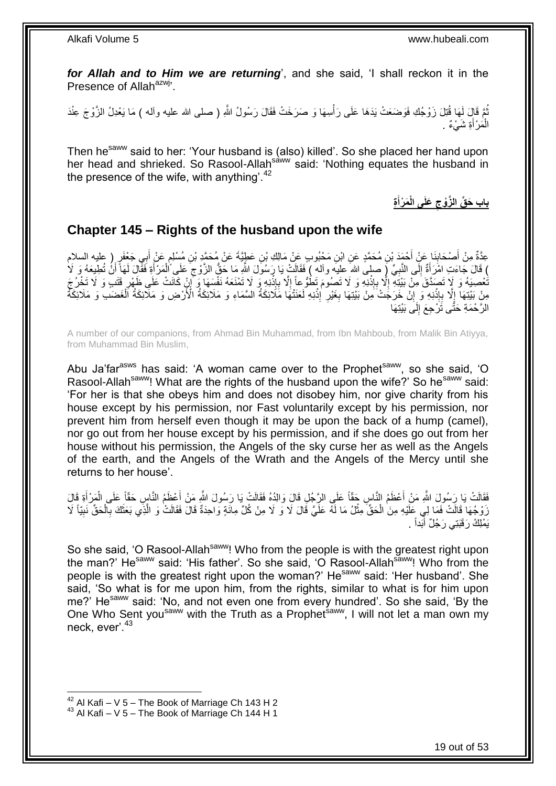*for Allah and to Him we are returning*', and she said, 'I shall reckon it in the Presence of Allah<sup>azwj</sup>'.

ُّمَّ قَالِ لَمَا قُتِلَ زَوْجُكِ فَوَضَعَتْ بَدَهَا عَلَى رَأْسِهَا وَ صَرَخَتْ فَقَالَ رَسُولُ اللَّهِ ( صلى الله عليه وألمه ) مَا يَعْدِلُ الزَّوْجَ عِنْدَ :<br>أ الْمَرْأَةِ شَيْءٌ ۚ. َ ْ

Then he<sup>saww</sup> said to her: 'Your husband is (also) killed'. So she placed her hand upon her head and shrieked. So Rasool-Allah<sup>saww</sup> said: 'Nothing equates the husband in the presence of the wife, with anything'. $42$ 

> **ة َم ْرأ َعلَى الْ باب َح ِّق ال َّزْوج َ**

#### <span id="page-18-0"></span>**Chapter 145 – Rights of the husband upon the wife**

عِدَّةٌ مِنْ أَصْحَابِنَا عَنْ أَحْمَدَ بْنِ مُحَمَّدٍ عَنِ ابْنِ مَحْبُوبٍ عَنْ مَالِكِ بْنِ عَطِيَّةَ عَنْ مُحَمَّدٍ بْنِ مُسْلِمٍ عَنْ أَبِي جَعْفَرٍ ( عليه السلام َ **∣** َ َ ֧֧֧֖֧֧֧֧֦֧֧֧֚֓֝֬֝֝֓֝֬֟֓֟֓֓֝֓֝֬֝֓֝֓֟֓֟֓֝֬ ِ ) قَالَ جَاءَتِ امْرَأَةٌ إِلَى النَّبِيِّ إِ صلِيَ الله عليه وآله ) فَقَالَتْ يَا رَسُولَ اللَّهِ مَا حَقُّ الزَّوج عَلَى الْمَرْأَةِ فَفَّالٍ لَمَا أَنُّ تُطِيعَهُ وَ لَا  $\frac{1}{2}$ َ َ ْ ِ نُّعْصِيَهُ وَ لَا تَصَدَّقَ مِنْ بَيْتِهِ إِلَّا بِإِنْنِهِ وَ لَا تَصُومَ تَطُوُّعَ إِلَّا بِإِنْنِهِ وَ لَا تَطُرُجَ .<br>.<br>. ِ ا<br>ا **ٔ** ِ ِ ِ ِ مِنْ بَيْتِهَا إِلَّا بِإِنْذِهِ وَ إِلَّ خَرَجَتْ َمِنْ بَيْتِهَا بِغَيْرِ إِذْنِهِ لَعَنَتْهَا مَلَائِكَةُ السَّمَاءِ وَ مَلَائِكَةُ الْأَرْضِ وَ مَلَائِكَةُ الْغَضَبَ وَ مَلَائِكَةُ **ٔ ∶ ∶** ِ **ٔ** ِ ِ ْ الرَّحْمَةِ حَتَّى تَُرْجِعَ إِلَى بَيْتِهَا لَ  $\frac{1}{2}$ 

A number of our companions, from Ahmad Bin Muhammad, from Ibn Mahboub, from Malik Bin Atiyya, from Muhammad Bin Muslim,

Abu Ja'far<sup>asws</sup> has said: 'A woman came over to the Prophet<sup>saww</sup>, so she said, 'O Rasool-Allah<sup>saww</sup>! What are the rights of the husband upon the wife?' So he<sup>saww</sup> said: 'For her is that she obeys him and does not disobey him, nor give charity from his house except by his permission, nor Fast voluntarily except by his permission, nor prevent him from herself even though it may be upon the back of a hump (camel), nor go out from her house except by his permission, and if she does go out from her house without his permission, the Angels of the sky curse her as well as the Angels of the earth, and the Angels of the Wrath and the Angels of the Mercy until she returns to her house'.

فَقَالَتْ يَا رَسُولَ اللَّهِ مَنْ أَعْظَمُ النَّاسِ حَقَّاً عَلَى الرَّجُلِ قَالَ وَالِدُهُ فَقَالَتْ يَا رَسُولَ اللَّهِ مَنْ أَعْظَمُ النَّاسِ حَقَّاً عَلَى الْمَرْ أَةِ قَالَ<br>مَنذُ النَّاسِ َ َ ْ َ زَوْجُهَا قَالَتْ فَمَا لِي عَلَيْهِ مِنَ الْحَقِّ مِثْلُ مَا لَهُ عَلَيَّ قَالَ لَا وَ لَا مِنْ كُلِّ مِائَةٍ وَاحِدَةٌ قَالَ فَقَالَتْ وَ الَّذِي بَعَثَكَ بِالْحَقِّ نَبِيّاً لَا **ٔ** ْ ِ ْ ِ َ َّ يَمْلِكُ رَقَبَتِي رَجُلٌ أَبَداً . َ

So she said, 'O Rasool-Allah<sup>saww</sup>! Who from the people is with the greatest right upon the man?' He<sup>saww</sup> said: 'His father'. So she said, 'O Rasool-Allah<sup>saww</sup>! Who from the people is with the greatest right upon the woman?' He<sup>saww</sup> said: 'Her husband'. She said, 'So what is for me upon him, from the rights, similar to what is for him upon me?' He<sup>saww</sup> said: 'No, and not even one from every hundred'. So she said, 'By the One Who Sent you<sup>saww</sup> with the Truth as a Prophet<sup>saww</sup>, I will not let a man own my neck, ever<sup>'43</sup>

 $42$  Al Kafi – V 5 – The Book of Marriage Ch 143 H 2

 $43$  Al Kafi – V 5 – The Book of Marriage Ch 144 H 1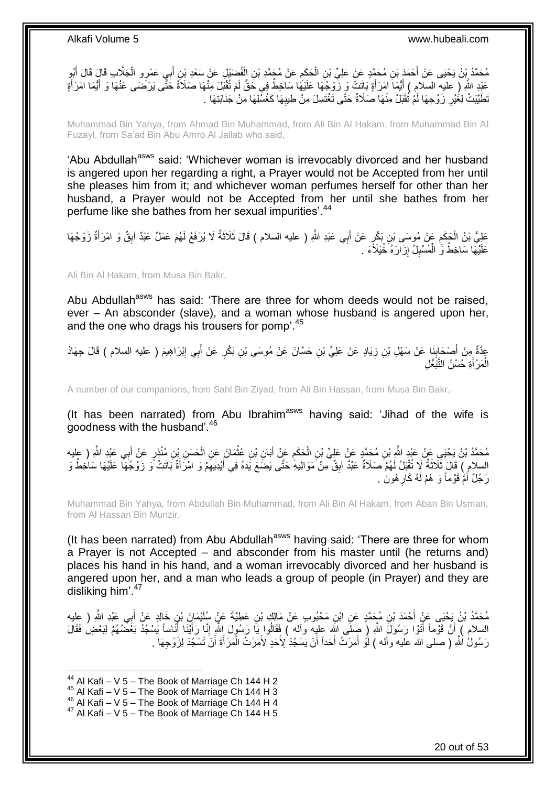مُحَمَّدُ بِنُ يَحْيَى عَنْ أَحْمَدَ بْنِ مُحَمَّدٍ عَنْ عَلِيِّ بْنِ الْحَكِمِ عَنْ مُجَمَّدِ بْنِ الْفُضَيْلِ عَنْ سَعْدِ بْنِ أَبِي عَمْرٍ و الْجَلَّابِ قَالَ أَبُو<br>. َ ْ َ ْ ِ ْ عَبْدِ اللَّهِ ( عليه السلام ) أَيُمَاً امْرَأَةٍ بَاتَتِ ۖ وَ زُّوْجُهَا عَلَيْهَا سَاخِطٌ فِي حَقٍّ لَمْ تُفْبَلْ مِنْهَا صَلَاَةٌ حَثِّى وَرُّضَى عَنْهَا وَ أَيُمَا امْرَأَةٍ َ َ َ َ َـٰطَيَّبَتْ لِغُيْرِ زَوْجِهَا لَمْ تُقْبَلْ مِنْهَا صَلَاةٌ حَتَّى تَغْتَسِلَ مِنْ طِيبِهَا كَغُسْلِهَا مِنْ جَنَابَتِهَا . ِ ِ

Muhammad Bin Yahya, from Ahmad Bin Muhammad, from Ali Bin Al Hakam, from Muhammad Bin Al Fuzayl, from Sa'ad Bin Abu Amro Al Jallab who said,

'Abu Abdullah<sup>asws</sup> said: 'Whichever woman is irrevocably divorced and her husband is angered upon her regarding a right, a Prayer would not be Accepted from her until she pleases him from it; and whichever woman perfumes herself for other than her husband, a Prayer would not be Accepted from her until she bathes from her perfume like she bathes from her sexual impurities'.<sup>44</sup>

عَلِيُّ بْنُ الْجَمَعِ عَنْ مُوسَى بْنِ بَكْرٍ عَنْ أَبِي عَبْدِ اللَّهِ ( عليه السلام ) قَالَ ثَلاَثَةٌ لَا يُرْفَعُ لَهُمْ عَمَلٌ عَبْدٌ آبِقٌ وَ امْرَأَةٌ زَوْجُهَا َ َ ِ ِ َ عَلَيْهَا سَاخِطٌ وَ ٰ الْمُسْبِلُ إِزَارَهُ ۖ خُيَلآًءَ ۚ. יִי (ו ِ ْ

Ali Bin Al Hakam, from Musa Bin Bakr,

Abu Abdullah<sup>asws</sup> has said: 'There are three for whom deeds would not be raised, ever – An absconder (slave), and a woman whose husband is angered upon her, and the one who drags his trousers for pomp'.<sup>45</sup>

عِدَّةٌ مِنْ أُصْحَابِذَا عَنْ سَهْلِ بْنِ زِيَادٍ عَنْ عَلِيِّ بْنِ حَسَّانَ عَنْ مُوسَى بْنِ بَكْرٍ عَنْ أَبِي إِبْرَاهِيمَ ( عليه السلام ) قَالَ جِهَادُ<br>أَمَّةٌ مِنْ أَصْحَابِذَا ِ َ ِ **∣** َ الْمَرْ أَةِ حُسْنُ النَّبَعُّلِ َ ْ

A number of our companions, from Sahl Bin Ziyad, from Ali Bin Hassan, from Musa Bin Bakr,

(It has been narrated) from Abu Ibrahim<sup>asws</sup> having said: 'Jihad of the wife is goodness with the husband'.<sup>46</sup>

مُحَمَّدُ بْنُ يَحْيَيِ عَنْ عَبْدِ اللَّهِ بْنِ مُحَمَّدٍ عَنْ عَلِيِّ بْنِ الْحَكَمِ عَنْ أَبَانِ بْنِ عُثْمَانَ عَنِ الْحَسَنِ بْنِ مُنْذِرٍ عَنْ أَبِي عَبْدِ اللَّهِ ( عِليه<br>مستقلِقات اللَّهِ اللَّهِ اللَّهِ اللَّهِ بَ َ ْ **ٔ** َ ِ ْ السلام ) قَالَ ثَلَاثَةٌ لَا تُقْبَلُ لَهُمْ صَلَاةٌ عَبْدٌ آبِقٌ مِنْ مَوَالِيهِ ٰحَتَّى يَضَّعَ يَدَهُ فِي أَيْدِيهِمْ وَ امْرَأَةٌ بَاتَتْ وِّ زَوْجُهَا عَلَيْهَا سَاخِطٌ وَ ِ َ ِ ٔ, رَجُلٌ أَمَّ قَوْماً وَ ۖ هُمْ لَهُ كَارِ هُونَ ۚ ـ **∶** َ

Muhammad Bin Yahya, from Abdullah Bin Muhammad, from Ali Bin Al Hakam, from Aban Bin Usman, from Al Hassan Bin Munzir,

(It has been narrated) from Abu Abdullah<sup>asws</sup> having said: 'There are three for whom a Prayer is not Accepted – and absconder from his master until (he returns and) places his hand in his hand, and a woman irrevocably divorced and her husband is angered upon her, and a man who leads a group of people (in Prayer) and they are disliking him'.<sup>47</sup>

مُحَمَّدُ بْنُ يَحْيَى عَنْ أَحْمَدَ بْنِ مُجَمَّدٍ عَنِ ابْنِ مَحْبُوبٍ عَنْ مَالِكٍ بْنِ عَطِيَّةَ عَنْ سُلَيْمَانٍ بْنِ خَالِدٍ عَنْ أَبِي عَبْدِ اللَّهِ ( عِليه<br>منصوبات اللہ اللہ عليه عَبْدِ اللہ عَليہ اللہ عَليہ اللہ َ السلام ) أَنَّ قَوْماً أَتَوْا رَسُولَ اللَّهِ ( صِلَى الله عليه واله ) فَقَالُوا يَا رَسُولَ اللَّهِ إِنَّا رَأَيْنَا أُنَاساً يَسْجُدُ بَعْضُهُمْ لِبَعْضٍ فَقَالَ َ ر<br>ا َ ِ رَسُولُ اللَّهِ (َ صَلَّى الله عليه وآله ) لَوْ أَمَرْتُ أَحَداً أَنْ يَسْجُدَ لِأَحَدٍ لَأَمَرْتُ الْمَرْأَةَ أَنْ تَسْجُدَ لِزَوْجِهَا ۚ َ َ ْ َ

- $45$  Al Kafi V 5 The Book of Marriage Ch 144 H 3
- $^{46}$  Al Kafi V 5 The Book of Marriage Ch 144 H 4

 $44$  Al Kafi – V 5 – The Book of Marriage Ch 144 H 2

 $47$  Al Kafi – V 5 – The Book of Marriage Ch 144 H 5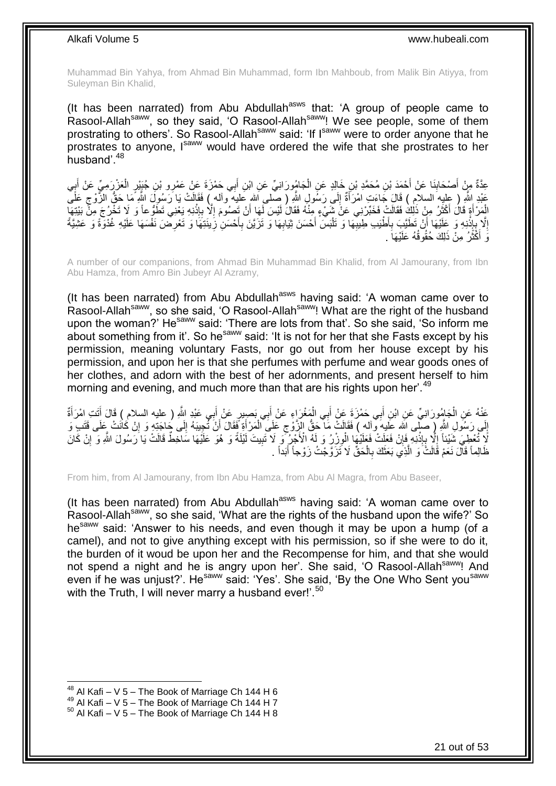Muhammad Bin Yahya, from Ahmad Bin Muhammad, form Ibn Mahboub, from Malik Bin Atiyya, from Suleyman Bin Khalid,

(It has been narrated) from Abu Abdullah<sup>asws</sup> that: 'A group of people came to Rasool-Allah<sup>saww</sup>, so they said, 'O Rasool-Allah<sup>saww</sup>! We see people, some of them prostrating to others'. So Rasool-Allah<sup>saww</sup> said: 'If I<sup>saww</sup> were to order anyone that he prostrates to anyone, Isaw would have ordered the wife that she prostrates to her husband'.<sup>48</sup>

ْ عِدَّةٌ مِنْ أَصْحَابِنَا عَنْ أَحْمَدَ بْنِ مُحَمَّدِ بْنِ خَالِدٍ عَنِ الْجَامُورَانِيِّ عَنِ ابْنِ أَبِي حَمْزَةَ عَنْ عَمْرِو بْنِ جُنِيْرٍ الْعَزْرَمِيِّ عَنْ أَبِي َ ِ َ **∶** َ ْ َ عَبْدِ اِللَّهِ ( عِلْيِهَ السلامِ ) قَالَ جَاءَتِ امْرَأَةٌ إِلَى رَسُولِ اللَّهِ ( صَّلمى اَلله عَليهَ وألم ) فَقَالَتْ يَا رَسُولَ اللَّهِ مَا حَقُّ الزَّوْجِ عَلَّى ِ َ ِ الْمَرْ أَةٍ قَالَ أَكْثَرُ مِنْ ذَلِكَ فَقَالَتْ فَخَبِّرْنِي عَنْ شَيْءٍ مِنْهُ فَقَالَ لَيْسَ لَمِا أَنْ تَصِبُومَ إِلَّا بِإِنْنِهِ يَعْنِي تَطَوُّعاً وَ لَا تَخْرُجَ مِنْ بَيْتِهَا ۖ ة<br>ا َ َ **ٔ** ِ ِ اُ إِلَّا بِإِذْنِهِ وَ عَلَيْهَا أَنْ تَطَيَّبِ بِأَطْيَبِ طِيبِّهَا وَ تَنْسَ أَحْسَنَ ثِيَابِهَا وَ تَزَيَّنَ بِأَحْسَنِ زِينَتِهَا وَ تَعْرِضَ نَفْسَهَا عَلَيْهِ غُذْوَةً وَ عَشِيَّةً ْ ِ **∶** اً **ٔ** ِ ِ ِ **∶** َ ِ ِ وَ أَكْثَرُ مِنْ ذَلِكَ حُقُوقُهُ عَلَيْهَا ۖ ـ ة<br>أ َ

A number of our companions, from Ahmad Bin Muhammad Bin Khalid, from Al Jamourany, from Ibn Abu Hamza, from Amro Bin Jubeyr Al Azramy,

(It has been narrated) from Abu Abdullah<sup>asws</sup> having said: 'A woman came over to Rasool-Allah<sup>saww</sup>, so she said, 'O Rasool-Allah<sup>saww</sup>! What are the right of the husband upon the woman?' He<sup>saww</sup> said: 'There are lots from that'. So she said, 'So inform me about something from it'. So he<sup>saww</sup> said: 'It is not for her that she Fasts except by his permission, meaning voluntary Fasts, nor go out from her house except by his permission, and upon her is that she perfumes with perfume and wear goods ones of her clothes, and adorn with the best of her adornments, and present herself to him morning and evening, and much more than that are his rights upon her'.<sup>49</sup>

ِ عَنْهُ عَنِ الْجَامُورَانِيِّ عَنِ ابْنِ أَبِي حَمْزَةَ عَنْ أَبِي الْمَغْرَاءِ عَنْ أَبِي بَصِيرٍ عَنْ أَبِي عَبْدِ اللَّهِ ( عليه السلام ) قَالَ أَتَتِ امْرَأَةٌ اُ ْ َ َ َ َ ْ َ إِلَى رَسُولِ اللَّهِ ( صلَّى الله عَليهِ وَّاله ) فَقَالَتْ مَا حَقُّ الزِّوْجِ عَلَى الْمَرْأَةِ فَقَالَ أَنْ تُجِيبَهُ إِلَى جَاجَتِهِ وَ إِنْ كَانَتْ عَلَى قَتَبٍ وَ ِ اُ َ ْ ِ ِ ِ لَا تُُعْطِيَ شَيْئاً إِلَّا بِإِذْنِهِ فَإِنْ فَعَلَتْ فَعَلَيْهَا الْوِزْرُ وَ لَهُ الْأَجْرُ ۖ وَ لاَ تَبِيتَ لَيْلَةً وَ هُوَ عَلَيْهَا سَاخِطٌ قَالَتْ يَا رَسُولَ اللَّهِ وَ إِنْ كَانَ ِ ِ ِ **ٔ** ِ ِ ِ ظَالِماً قَالَ نَعَمْ قَالَتُّ وَ الَّذِي بَعَثَكَ بِالْحَقِّ لَا تَزَوَّجْتُ زَوْجاً أَبَداً . اُ َ ْ **∶** ٔ،

From him, from Al Jamourany, from Ibn Abu Hamza, from Abu Al Magra, from Abu Baseer,

(It has been narrated) from Abu Abdullah<sup>asws</sup> having said: 'A woman came over to Rasool-Allah<sup>saww</sup>, so she said, 'What are the rights of the husband upon the wife?' So he<sup>saww</sup> said: 'Answer to his needs, and even though it may be upon a hump (of a camel), and not to give anything except with his permission, so if she were to do it, the burden of it woud be upon her and the Recompense for him, and that she would not spend a night and he is angry upon her'. She said, 'O Rasool-Allah<sup>saww</sup>! And even if he was unjust?'. He<sup>saww</sup> said: 'Yes'. She said, 'By the One Who Sent you<sup>saww</sup> with the Truth, I will never marry a husband ever!'.<sup>50</sup>

 $48$  Al Kafi – V 5 – The Book of Marriage Ch 144 H 6

 $49$  Al Kafi – V  $5$  – The Book of Marriage Ch 144 H 7

 $50$  Al Kafi – V 5 – The Book of Marriage Ch 144 H 8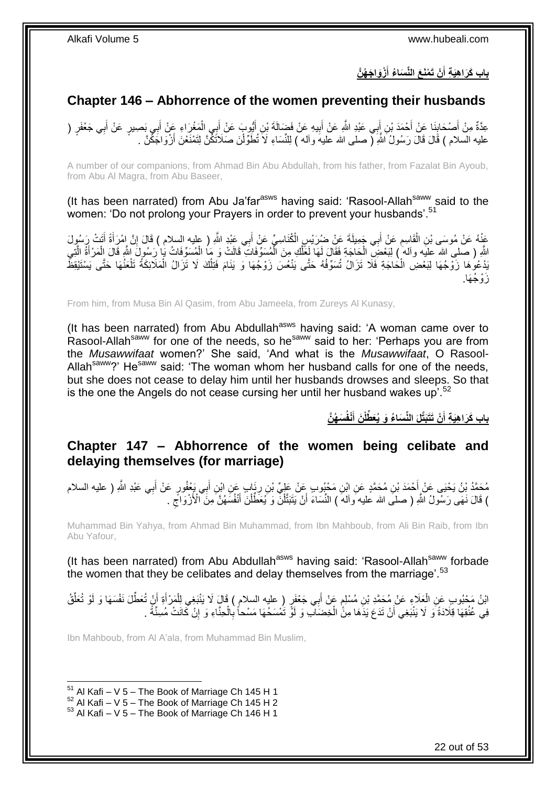#### **ْزَوا َج ُه َّن ْن َت ْمَن َع الِّن َسا ُء أ باب َكَرا هَي ة أ َ َ**

### <span id="page-21-0"></span>**Chapter 146 – Abhorrence of the women preventing their husbands**

عِدَّةٌ مِنْ أَصْحَابِنَا عَنْ أَحْمَدَ بْنِ أَبِي عَبْدِ اللَّهِ عَنْ أَبِيهِ عَنْ فَضَالَةَ بْنِ أَيُّوبٍ عَنْ أَبِي الْمَغْرَاءِ عَنْ أَبِي بَصِببِ عَنْ أَبِي جَعْفَرٍ ( ْ َ َ ِ َ َ َ ِ َ َ عليه السلام ) قَالَ قَالَ رَسُولُ اللَّهِ (ّ صلى الله عليه وأله ) لِلنِّسَاءِ لَا نُطَوِّلْنَ صَلاَتَكِّنَّ لِتَمْنَعْنَ أَزْوَاجَكَّنَّ ـ َ ْ

A number of our companions, from Ahmad Bin Abu Abdullah, from his father, from Fazalat Bin Ayoub, from Abu Al Magra, from Abu Baseer,

(It has been narrated) from Abu Ja'far<sup>asws</sup> having said: 'Rasool-Allah<sup>saww</sup> said to the women: 'Do not prolong your Prayers in order to prevent your husbands'.<sup>51</sup>

عَنْهُ عَنْ مُوسَى بْنِ الْقَاسِمِ عَنْ أَبِي جَمِيلَةَ عَنْ ضُرَيْسٍ الْكُنَاسِيِّ عَنْ أَبِي عَبْدٍ اللَّهِ ( عليه السلام ) قَالَ إِنَّ إِمْرَأَةً أَتَتْ رَسُولَ َ َ ِ ْ َ َ ِ اللَّهِ ( صلى الله عليه وأله ) لِبَعْضِ الْحَاجَةِ فَقَالَ لَمَا لَعَظَّكِ مِنَ الْمُسَوِّفَاتِ قَالَتْ وَ مَا الْمُسَوِّفَاتُ بَٰبِ ْ رَسُولَ اللَّهِ قَالَ الْمَرْأَةُ الَّتِي ْ َّ َ ْ ْ ْ َّ َبْدْعُوهَا زَوْجُهَا لِبَعْضِ الْحَاجَةِ فَلَا تَزَالُ تُسَوِّفُهُ حَتَّى يَنْعُسَ زَوْجُهَا وَ يَنَامَ فَتِلْكَ لَا تَزَالُ الْمَلَائِكَةُ تَلْعَنُهَا حَتَّى يَسْتَيْقِظَ ْ ْ ْ ْ َزْو ُج َها.

From him, from Musa Bin Al Qasim, from Abu Jameela, from Zureys Al Kunasy,

(It has been narrated) from Abu Abdullah<sup>asws</sup> having said: 'A woman came over to Rasool-Allah<sup>saww</sup> for one of the needs, so he<sup>saww</sup> said to her: 'Perhaps you are from the *Musawwifaat* women?' She said, 'And what is the *Musawwifaat*, O Rasool-Allah<sup>saww</sup>?' He<sup>saww</sup> said: 'The woman whom her husband calls for one of the needs, but she does not cease to delay him until her husbands drowses and sleeps. So that is the one the Angels do not cease cursing her until her husband wakes up'.<sup>52</sup>

> **َس ُه َّن ْنفُ َن أ ْن َتَتَبَّتلَ الِّن َسا ُء َو ُيَع ِّطلْ باب َكَرا هَي ة أ َ َ**

### <span id="page-21-1"></span>**Chapter 147 – Abhorrence of the women being celibate and delaying themselves (for marriage)**

مُحَمَّدُ بْنُ يَحْيَى عَنْ أَحْمَدَ بْنِ مُحَمَّدٍ عَنِ ابْنِ مَحْبُوبٍ عَنْ عَلِيٍّ بْنِ رِيَابٍ عَنِ ابْنِ أَبِي يَعْفُورٍ عَنْ أَبِي عَبْدِ اللَّهِ ( عليه السلام َ ِ َ ) قَالَ نَهَى رَسُولُ اللَّهِ ( صلبَى الله عَليه وآله ) النِّسَاءَ أَنْ يَتَبَتَّلْنَّ وَ يُعَطِّلْنَ أَنْفُسَهُنَّ مِنَ الْأَزْوَاجِّ .  $\zeta$ َ ْ ْ َ

Muhammad Bin Yahya, from Ahmad Bin Muhammad, from Ibn Mahboub, from Ali Bin Raib, from Ibn Abu Yafour,

(It has been narrated) from Abu Abdullah<sup>asws</sup> having said: 'Rasool-Allah<sup>saww</sup> forbade the women that they be celibates and delay themselves from the marriage'.  $53$ 

ابْنُ مَحْبُوبٍ عَنِ الْعَلَاءِ عَنْ مُحَمَّدِ بْنِ مُسْلِمٍ عَٖنْ أَبِي جَعْفَرٍ (ِ عليه السلامِ ) قَالٍَ لَا يَنْبَغِي لِلْمَرْ أَةِ أَنٍْ تُعَطِّّلَ نَفْسَهَا وَ لَوْ تُعَلِّقُ ْ َ ٍ ْ َ ِّ فِي عُلُقِهَا قِلَادَةً وَ لَا يَنْبَغِي أَنْ تَدَعَ يَدَهَا مِنًّ الْخِضَالَّبِ وَ لَوْ تَمْسَحُهَا مَسْحاً بِالْحِنَّاءِ وَ إِنْ كَانَتْ مُسِنَّةً . ِ ْ ِ ْ اُ

Ibn Mahboub, from Al A'ala, from Muhammad Bin Muslim,

 $51$  Al Kafi – V 5 – The Book of Marriage Ch 145 H 1

 $52$  Al Kafi – V 5 – The Book of Marriage Ch 145 H 2

 $53$  Al Kafi – V 5 – The Book of Marriage Ch 146 H 1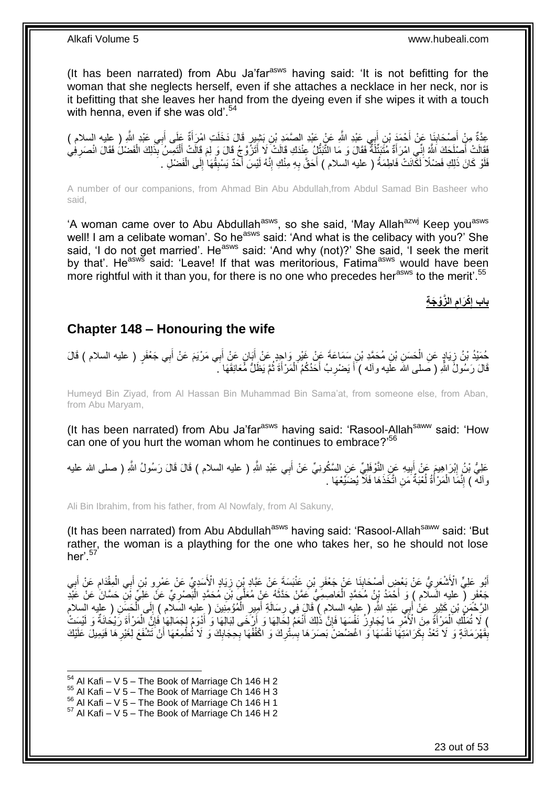(It has been narrated) from Abu Ja'far<sup>asws</sup> having said: 'It is not befitting for the woman that she neglects herself, even if she attaches a necklace in her neck, nor is it befitting that she leaves her hand from the dyeing even if she wipes it with a touch with henna, even if she was old'.<sup>54</sup>

عِدَّةٌ مِنْ أَصْحَابِنَا عَنْ أَحْمَدَ بْنِ أَبِي عَبْدِ اللَّهِ عَنْ عَبْدِ الصَّمَدِ بْنِ بَشِيرٍ قَالَ دَخَلَتِ امْرَأَةٌ عَلَى أَبِي عَبْدِ اللَّهِ ( عليه السلام )<br>ِيَرَةٌ وَمَّ ذَكَرَ اللَّهُ فَيَّ أَنْ أَحْمَدَ الل َ َ ِ َ َ َفَقَالَتْ أَصَلْحَكَ اللَّهُ إِنِّي امْرَأَةٌ مُثَنَبِّئَةٌ فَقَالَ وَ مَا التَّبَتُّلُ عِنْدَكِ قَالَتْ لَا أَتَزَوَّجُ قَالَ وَ لِمَ قَالَتْ أَلْتَمِسُ بِذَلِكَ الْفَضْلُ فَقَالَ انْصَرِفِي<br>تَبَعَثَ الْمَسْلَمَاتُ اللَ َ ِ َ ْ ْ َ َ ِ فَلَوْ كَانَ ذَلِكِ فَضْلًا لَكَّانَتْ فَاطِمَةُ ( عليه السلام ) أَحَقَّ بِهِ مِنْكِ إِنَّهُ لَيْسَ أَحَدٌ يَسْبِقُهَا ٰإِلَى الْفَضْلِ ِ َ ِ ِ َ ْ ِ

A number of our companions, from Ahmad Bin Abu Abdullah,from Abdul Samad Bin Basheer who said,

'A woman came over to Abu Abdullah<sup>asws</sup>, so she said, 'May Allah<sup>azwj</sup> Keep you<sup>asws</sup> well! I am a celibate woman'. So he<sup>asws</sup> said: 'And what is the celibacy with you?' She said, 'I do not get married'. He<sup>asws</sup> said: 'And why (not)?' She said, 'I seek the merit by that'. He<sup>asws</sup> said: 'Leave! If that was meritorious, Fatima<sup>asws</sup> would have been more rightful with it than you, for there is no one who precedes her<sup>asws</sup> to the merit'.<sup>55</sup>

> **ال َّزْو َج ة ْكَرام باب إ**

#### <span id="page-22-0"></span>**Chapter 148 – Honouring the wife**

حُمَّدُ بْنُ زِيَادٍ عَنِ الْحَسَنِ بْنِ مُحَمَّدِ بْنِ سَمَاعَةَ عَنْ غَيْرِ وَاجِدٍ عَنْ أَبَانٍ عَنْ أَبِي مَرْيَمَ عَنْ أَبِي جَعْفَرٍ ( عليه السلام ) قَالَ َ َ ِ ْ ِ قَالَ رَسُولُ اللَّهِ ( صَلمى الله علَيه وآله ) أَ يَضْرِبُ أَحَدُكُمُ الْمَرْأَةَ ثُمَّ يَظَلُّ مُّعَانِقَهَا كَ ُ َ ْ َ ِ َ

Humeyd Bin Ziyad, from Al Hassan Bin Muhammad Bin Sama'at, from someone else, from Aban, from Abu Maryam,

(It has been narrated) from Abu Ja'far<sup>asws</sup> having said: 'Rasool-Allah<sup>saww</sup> said: 'How can one of you hurt the woman whom he continues to embrace?'<sup>56</sup>

عَلِيُّ بْنُ إِبْرَاهِيمَ عَنْ أَبِيهِ عَنِ النَّوْفَلِيِّ عَنِ السَّكُونِيِّ عَنْ أَبِي عَبْدِ اللَّهِ ( عليه السلام ) قَالَ قَالَ رَسُولُ اللَّهِ ( صلى الله عليه َ **!** ِ والله ) إِنَّمَا الْمَرْأَةُ لُعْبَةٌ مَنِ اتَّخَذَهَا فَلاَ يُضَيِّعْهَا . ُ َ ْ ِ

Ali Bin Ibrahim, from his father, from Al Nowfaly, from Al Sakuny,

(It has been narrated) from Abu Abdullah<sup>asws</sup> having said: 'Rasool-Allah<sup>saww</sup> said: 'But rather, the woman is a plaything for the one who takes her, so he should not lose her' $57$ 

أَبُو عَلِيٍّ الْأَشْعَرِيُّ عَنْ بَعْضٍ أَصْحَابِنَا عَنْ جَعْفَرِ بْنِ عَنْبَسَةَ عَنْ عَبَّادِ بْنِ زِيَادٍ الْأَسَدِيِّ عَنْ عَمْرِو بْنِ أَبِي الْمِقْدَامِ عَنْ أَبِي **ٍ** ِ **∣** َ **∶** ِ َ ِ ْ َ جَعْفَرٍ ( عليهِ السلام ) وَ أَحْمَدُ بْنُ مُحَمَّدٍ الْعَاصِمِيُّ عَمَّنْ حَدَّثَهُ عَنْ مُعَلَّىَ بْنِ مُحَمَّدٍ الْبَصْرِيِّ عَنَ عَلَي فَلْ عَبْدِ مَعْلَمَ لِّهِ حَمَّرٍ فَيَا عَنْ عَبْدِ َ ْ َ ِ ْ الرَّحْمَنُِ بْنِ كَثِيرٍ عَنْ أَبِي عَبْدِ اللَّهِ ( عِليه السلام ) قَالَ فِي رِسَالَةِ أَمِيرِ الْمُؤْمِنِينَ ( عِليه السَلام ) إِلَى الْحَسَنِ ( عِليه السلام ْ **∶** َ **ٍ** َ ْ ِ ْ ) لَا تُمَلَّكِ اَلْمَرْأَةً مِنَ الْأَمْرِ مَا يُجَاوِزُ نَفْسَهَا فَإِنَّ ذَٰلِكَ أَنْعَمُ لِخَالِهَا وَ أَلِّكَ فَالِكَاهَا وَ أَدْوَمُ لِجَمَالِهَا فَإِنَّ الْمَرْأَةَ رَيْحَانَةٌ وَ لَيْسَتْ ِّ َ َ ِ **∶** ِ َ َ ْ ∣ļ بِقَهْرَمَانَةٍ وَ لَا تَعْدُ بِكَرَامَتِهَا نَفْسَهَا وَ اغْضُضْ بَصَرَهَا بِسِٰتُرِكَ وَ اكْفُفْهَا بِجِجَابِكَ وَ لَا تُطْمِعْهَا أَنْ تَشْفَعَ لِغَيْرِهَا فَيَمِيلَ عَلَيْكَ ِ ِ **ِ** ِ َ ِ ِ **∶** 

<sup>1</sup>  $54$  Al Kafi – V 5 – The Book of Marriage Ch 146 H 2

 $55$  Al Kafi – V 5 – The Book of Marriage Ch 146 H 3

 $56$  Al Kafi – V  $5$  – The Book of Marriage Ch 146 H 1

 $57$  Al Kafi – V 5 – The Book of Marriage Ch 146 H 2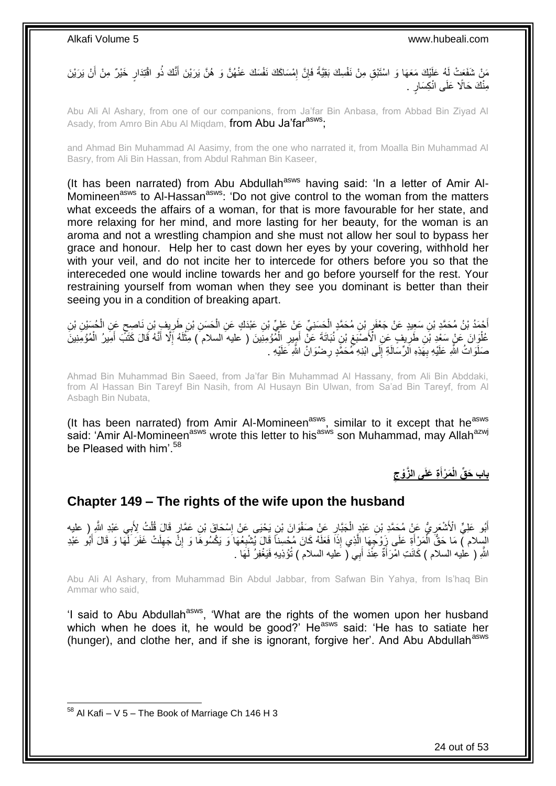مَنْ شَفَعَتْ لَهُ عَلَيْكَ مَعَهَا وَ اسْتَبْقِ مِنْ نَفْسِكَ بَقِيَّةً فَإِنَّ إِمْسَاكَكَ نَفْسَكَ عَنْهُنَّ وَ هُنَّ يَرَيْنَ أَنَّكَ ذُو اقْتِدَارٍ خَيْرٌ مِنْ أَنْ يَرَيْنَ ِ ِ َ مِنْكَ حَالًا عَلَى انْكِسَارٍ .

Abu Ali Al Ashary, from one of our companions, from Ja'far Bin Anbasa, from Abbad Bin Ziyad Al Asady, from Amro Bin Abu Al Miqdam, from Abu Ja'far<sup>asws</sup>;

and Ahmad Bin Muhammad Al Aasimy, from the one who narrated it, from Moalla Bin Muhammad Al Basry, from Ali Bin Hassan, from Abdul Rahman Bin Kaseer,

(It has been narrated) from Abu Abdullah<sup>asws</sup> having said: 'In a letter of Amir Al-Momineen<sup>asws</sup> to Al-Hassan<sup>asws</sup>: 'Do not give control to the woman from the matters what exceeds the affairs of a woman, for that is more favourable for her state, and more relaxing for her mind, and more lasting for her beauty, for the woman is an aroma and not a wrestling champion and she must not allow her soul to bypass her grace and honour. Help her to cast down her eyes by your covering, withhold her with your veil, and do not incite her to intercede for others before you so that the intereceded one would incline towards her and go before yourself for the rest. Your restraining yourself from woman when they see you dominant is better than their seeing you in a condition of breaking apart.

أَحْمَدُ بْنُ مُحَمَّدٍ بْنِ سَعِيدٍ عَنْ جَعْفَرٍ بْنِ مُحَمَّدٍ الْحَسَنِيِّ عَنْ عَلِيِّ بْنِ عَبْدَكٍ عَنِ الْحَسَنِ بْنِ طَرِيِفٍ بْنِ نَاصِحٍ عَنِ الْحُسَيْنِ بْنِ<br>. ْ ِ َ ْ ٍ ِ ْ عُلْوَانَ عَنْ سَعْدِ بْنِ طَرِيفٍ عِنِ الْأَصْنَعِ بْنِ نُبَاتَهَ عَنَّ أَمِيِّرِ الْمُؤْمِنِّينَ ( عَليه السلام ) مَثْلَهُ إَلَّا أَنَّهُ قَالَ كَثَبَ أَمِيرُ الْمُؤْمِنِينَ ِ لَ **ٔ** ْ ِ َ  $\ddot{\phantom{0}}$ ِ ْ َ َ صَلَوَاتُ اللَّهِ عَلَيْهِ بِهَذِهِ اَلرِّسَالَةِ إِلَى ابْنِهِ مُمَحَّدٍ رِضْوَانُ اللَّهِ عَلَيْهِ . ِ ِ **∶** 

Ahmad Bin Muhammad Bin Saeed, from Ja'far Bin Muhammad Al Hassany, from Ali Bin Abddaki, from Al Hassan Bin Tareyf Bin Nasih, from Al Husayn Bin Ulwan, from Sa'ad Bin Tareyf, from Al Asbagh Bin Nubata,

(It has been narrated) from Amir Al-Momineen<sup>asws</sup>, similar to it except that he<sup>asws</sup> said: 'Amir Al-Momineen<sup>asws</sup> wrote this letter to his<sup>asws</sup> son Muhammad, may Allah<sup>azwj</sup> be Pleased with him<sup>'58</sup>

> **باب َح ِّق ة َعلَى ال َّزْوج َم ْرأ الْ َ**

### <span id="page-23-0"></span>**Chapter 149 – The rights of the wife upon the husband**

أَبُو عَلِيٍّ الْأَشْعَرِ يُّ عَنْ مُحَمَّدِ بْنِ عَبْدٍ الْجَبَّارِ عَنْ صَفْوَانَ بْنِ يَحْيَى عَنْ اِسْحَاقَ بْنِ عَمَّارٍ قَالَ قُلْتُ لِأَبِي عَبْدِ اللَّهِ ( عليه ِ ِ ْ **∶** ْ السِلام ﴾ مَا حَقٌّ الْمَرْ أَةِ عَلَى زَوْجَهَا إِلَّذِي إِذَا فَعَلَهُ كَانَ مُحْسِناً قَالَ يُشْبِعُهَا وَ يَكْسُوهَا وَ إِنَّ جَهِلَتْ غَفَرَ لَّهَا وَ قَالَ أَبُو عَبْدِ ِ ِ ِ َّ َ ْ َ اللَّهِ ( عليه السلام ) كَانَتِ امْرَأَةٌ عِنْدَ أَبِي ( عليه السلام ) تُؤذِيهِ فَيَغْفِرُ لَهَا . َ َ لَ

Abu Ali Al Ashary, from Muhammad Bin Abdul Jabbar, from Safwan Bin Yahya, from Is'haq Bin Ammar who said,

'I said to Abu Abdullah<sup>asws</sup>, 'What are the rights of the women upon her husband which when he does it, he would be good?' He<sup>asws</sup> said: 'He has to satiate her (hunger), and clothe her, and if she is ignorant, forgive her'. And Abu Abdullah<sup>asws</sup>

<sup>1</sup>  $58$  Al Kafi – V 5 – The Book of Marriage Ch 146 H 3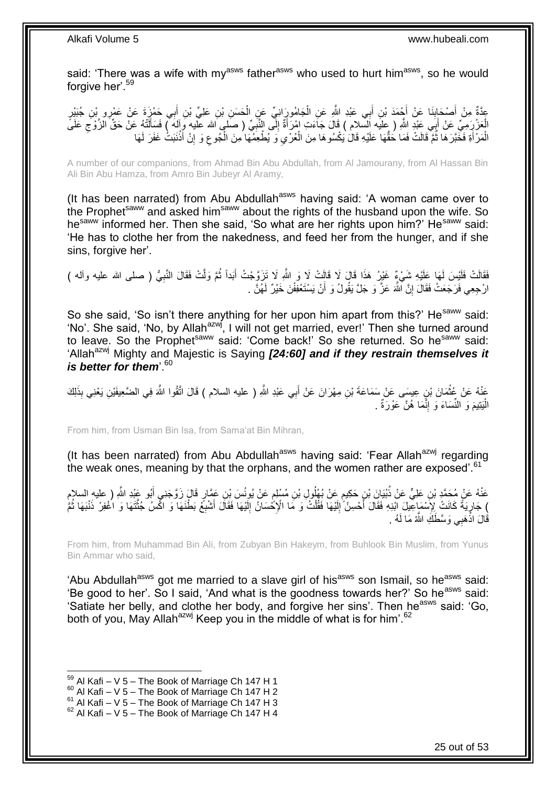said: 'There was a wife with my<sup>asws</sup> father<sup>asws</sup> who used to hurt him<sup>asws</sup>, so he would forgive her'.<sup>59</sup>

**∶** عِدَّةٌ مِنْ أَصْحَابِذَا عَنْ أَجْمَدَ بْنِ أَبِي عَبْدِ اللَّهِ عَنِ الْجَامُورَانِيِّ عَنِ الْحَسَنِ بْنِ عَلِيِّ بْنِ أَبِي حَمْزَةَ عَنْ عَمْرِو بْنِ جُبَيْرِ<br>يَعْمَدُ مِنْ أَصِدَ بِنِ مَعْرِدٍ مِن الْجَمْدَ بْنِ أَب َ ِ َ َ ْ ْ الْعَزْرَمِيِّ عَنْ أَبَى عَنْدِ اللَّهِ ( عِلَيه اَلسَّلام ) قَالَ جَاَءَتِ امْرَأَةٌ إِلَى النَّبِّيِّ ( صَلبٍ الله عليه وِإِلهَ ) فَسَأَلْتُهُ عَنْ حَقِّ الْزَّوْجِ عَلَى ِ ِ َ َ لَ ِ الْمَرْ أَةِ فَخَّبَرَ هَا ثُمَّ قَالَتْ فَمَا حَقُّهَا عَلَيْهِ قَالَ يَكْسُوهَا مِنَ الْعُرْيِ وَ يُطْعِمُهَا مِنَ الْجُوعِ وَ إِنْ أَذْنَبَتْ غَفَرَ لَهَا ِ ْ  $\ddot{\phantom{0}}$ ْ اً<br>ا َ **ٔ** َ ِ لَ

A number of our companions, from Ahmad Bin Abu Abdullah, from Al Jamourany, from Al Hassan Bin Ali Bin Abu Hamza, from Amro Bin Jubeyr Al Aramy,

(It has been narrated) from Abu Abdullah<sup>asws</sup> having said: 'A woman came over to the Prophet<sup>saww</sup> and asked him<sup>saww</sup> about the rights of the husband upon the wife. So he<sup>saww</sup> informed her. Then she said, 'So what are her rights upon him?' He<sup>saww</sup> said: 'He has to clothe her from the nakedness, and feed her from the hunger, and if she sins, forgive her'.

فَقَالَتْ فَلَيْسَ لَمَها عَلَيْهِ شَيْءٌ غَيْرُ هَذَا قَالَ لَا قَالِتْ لَا وَ اللّهِ لَا تَزَوَّجْتُ أَبَداً ثُمَّ وَلَّتْ فَقَالَ النَّبِيُّ ( صلى الله عليه وأله ) ِ ا پایا<br>سال َ ارْجِعِي فَرَجَعَتْ فَقَالَ إِنَّ اللَّهَ عَزَّ وَ جَلَّ يَقُولُ وَ أَنْ يَسْنَعْفِفْنَ خَيْرٌ لَهُنَّ . اُ יֲ<br>י

So she said, 'So isn't there anything for her upon him apart from this?' He<sup>saww</sup> said: 'No'. She said, 'No, by Allah<sup>azwj</sup>, I will not get married, ever!' Then she turned around to leave. So the Prophet<sup>saww</sup> said: 'Come back!' So she returned. So he<sup>saww</sup> said: 'Allah<sup>azwj</sup> Mighty and Majestic is Saying **[24:60] and if they restrain themselves it** *is better for them*<sup>60</sup>

عَذْهُ عَنْ عُثْمَانَ بْنٍ عِيسَى عَنْ سَمَاعَةَ بْنِ مِهْرَانَ عَنْ أَبِي عَبْدِ اللَّهِ ( عليه السلام ) قَالَ اتَّقُوا اللَّهَ فِي الضَّعِيفَيْنِ يَعْنِي بِذَلِكَ َ ់<br>" الْبَنِيمَ وَ النِّسَاءَ وَ إِنَّمَا هُنَّ عَوْرَةٌ . ِ :<br>ا

From him, from Usman Bin Isa, from Sama'at Bin Mihran,

(It has been narrated) from Abu Abdullah<sup>asws</sup> having said: 'Fear Allah<sup>azwj</sup> regarding the weak ones, meaning by that the orphans, and the women rather are exposed'.<sup>61</sup>

عَنْهُ عَنْ مُحَمَّدٍ بْنِ عَلِيٍّ عَنْ ذُبْيَانَ بْنِ حَكِيمٍ عَنْ بُهْلُولِ بْنِ مُسْلِمٍ عَنْ يُونُسَ بْنِ عَمَّارٍ قَالَ زَوَّجَنِي أَبُو عَيْدِ اللَّهِ ( عليهِ السلام م<br>م ٍ َ ِ جَارِيَةً كَانَتْ لِإِنَّسْهَاعِلِّلَ الَّذِهِ فَقَالَ أَحْسِنْ إِلَيْهَا فَقُلْتُ وَ مَا الْإِحْسَانُ إِلَيْهَا فَقَالَ أَشْبِعْ بَطْنَهَا وَ اكْفرْ ذَنْبَهَا ثُمَّ ِ َّ **∶** َ لَ ِ ْ لَ ∣<br>∶ َ الا<br>أ ُقَالَ اذْهَبِي وَسَّطَٰكِ اللَّهُ مَا لَهُ . اد<br>-<br>ـ

From him, from Muhammad Bin Ali, from Zubyan Bin Hakeym, from Buhlook Bin Muslim, from Yunus Bin Ammar who said,

'Abu Abdullah<sup>asws</sup> got me married to a slave girl of his<sup>asws</sup> son Ismail, so he<sup>asws</sup> said: 'Be good to her'. So I said, 'And what is the goodness towards her?' So he<sup>asws</sup> said: 'Satiate her belly, and clothe her body, and forgive her sins'. Then he<sup>asws</sup> said: 'Go, both of you, May Allah<sup>azwj</sup> Keep you in the middle of what is for him'.<sup>62</sup>

 $59$  Al Kafi – V 5 – The Book of Marriage Ch 147 H 1

 $60$  Al Kafi – V 5 – The Book of Marriage Ch 147 H 2

 $61$  Al Kafi – V  $5$  – The Book of Marriage Ch 147 H 3

 $62$  Al Kafi – V 5 – The Book of Marriage Ch 147 H 4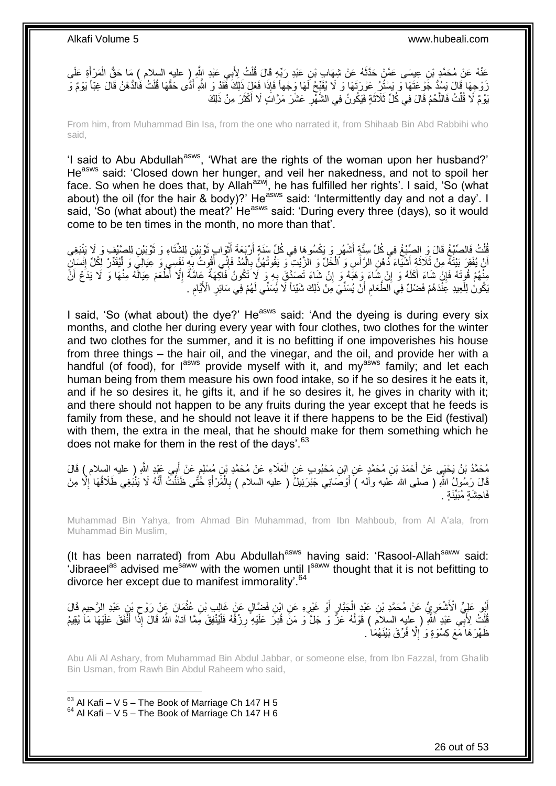عَنْهُ عَنْ مُحَمَّدٍ بْنِ عِيسَى عَمَّنْ حَذَّنَهُ عَنْ شِهَابٍ بْنِ عَبْدِ رَبِّهِ قَالَ قُلْتُ لِأَبِي عَبْدِ اشَّرٍ ( عليهِ السلام ) مَا حَقُّ الْمَرْ أَةِ عَلَى<br>ِ ْ  $\ddot{\phantom{0}}$ َ ْ رَوْجِهَا قَالَ يَسُدُّ جَوْعَتَهَا وَ يَسْتُرُ عَوْرَتَهَا وَ لَا يُقَبِّحُ لَهَا وَجْهاً فَإِذَا فَعَلَ ذَلِكَ فَقَدْ وَ اللَّهِ أَذَّى حَقَّهَا قُلْتُ فَالدُّهْنُ قَالَ غِبَّاً يَوْمٌ وَ<br>زِيجِهَا قَالَ يَبِدَّدُ جَوْعَ ْ َ يَوْمٌ لَا قُلْتُ فَاللَّحْمُ قَالَ فِي كُلِّ ثَلاَثَةٍ فَيَكُونُ فِي الشَّهْرِ عَشْرَ مَرَّاتٍ لَا أَكْثَرَ مِنْ ذَلِكَ ة<br>أ َ **∶** ة<br>ا َّ ْ

From him, from Muhammad Bin Isa, from the one who narrated it, from Shihaab Bin Abd Rabbihi who said,

'I said to Abu Abdullah<sup>asws</sup>, 'What are the rights of the woman upon her husband?' Heasws said: 'Closed down her hunger, and veil her nakedness, and not to spoil her face. So when he does that, by Allah<sup>azwj</sup>, he has fulfilled her rights'. I said, 'So (what about) the oil (for the hair & body)?' He<sup>asws</sup> said: 'Intermittently day and not a day'. I said, 'So (what about) the meat?' He<sup>asws</sup> said: 'During every three (days), so it would come to be ten times in the month, no more than that'.

قُلْتُ فَالصَّبْغُ قَالَ وَ الصَّبْغُ فِي كُلِّ سِتَّةٍ أَشْهُرٍ وَ يَكْسُوهَا فِي كُلِّ سَنَةٍ أَرْبَعَةَ أَثْوَابٍ ثَوْبَيْنِ لِلشَّنَاءِ وَ نَّوْبَيْنِ لِلصَّيْفِ وَ لَا يَنْبَغِي<br>نَسْءُ تَلْفُسُونَ مِنْ يَسْبَبُونَ فَ َ **ٔ** ا<br>ا اُ َ ْ َ أَنْ يُفْقِرَ بَيْتَهُ مِنْ ثَلَاثَةٍ أَشْيَاءَ دُهْنِ الرَّأْسِ وَ اَلْخَلِّ وَ الزَّيْتِ وَ يَقُوتُهُنَّ بِالْمُدِّ فَإِنِّي أَقُوتُ بِهِ نَفْسِي وَ عِيَالِيَ وَ الْمِثَدِّرِ لِكُلِّ إِنْسَانٍ اً ِ َ ِ ْ ِ ْ ْ َ ٔ, ِ ْ مِنّْهُمْ قُوِّتَهُ فَإِنْ شَاءَ أَكَلَهُ وَ إِنْ شَاءَ زِهَبَهُ وَ إِنْ شَاءَ تَصِدَّقَ بِهِ وَ لَإِ تَكُونُ فَآكِهَةٌ عَامَّةٌ إِلَّا أَطْعَمَ عِيَالَهُ مِنْهَا وَ لَا يَدَعُ أَنَّ ِ ِ ِ ِ َ ا<br>ا يَكُونُ لِلْعِيدِ عَنّْدَهُمْ فَضْلٌ فِي اَلْطَّعَامِ أَنْ يُسَنِّيَ مِنْ ذَلِكَ شَيْئاً لَّا يُسَنِّي لَهُمْ فِي سَائِرِ الْأَيَّامِ . ِ َ ِ ْ ِ

I said, 'So (what about) the dye?' He<sup>asws</sup> said: 'And the dyeing is during every six months, and clothe her during every year with four clothes, two clothes for the winter and two clothes for the summer, and it is no befitting if one impoverishes his house from three things – the hair oil, and the vinegar, and the oil, and provide her with a handful (of food), for lasws provide myself with it, and my<sup>asws</sup> family; and let each human being from them measure his own food intake, so if he so desires it he eats it, and if he so desires it, he gifts it, and if he so desires it, he gives in charity with it; and there should not happen to be any fruits during the year except that he feeds is family from these, and he should not leave it if there happens to be the Eid (festival) with them, the extra in the meal, that he should make for them something which he does not make for them in the rest of the days'.<sup>63</sup>

َ مُحَمَّدُ بْنُ يَحْيَى عَنْ أَحْمَدَ بْنِ مُحَمَّدٍ عَنِ ابْنِ مَحْبُوبٍ عَنِ الْعَلَاءِ عَنْ مُحَمَّدِ بْنِ مُسْلِمٍ عَنْ أَبِي عَيْدِ اللَّهِ ( عليه السلام ) قَالَ<br>مَذْ يَنْ يَحْبَى عَنْ أَحْمَدَ بْنِ مُحَمَّدٍ عَنِ ابْن ֧֖֧֖֖֖֖֧֧֧֧֧֧֧֧֧ׅ֧֧֧֧֧֧֧֧֧֧֧֚֚֚֚֚֚֝֝֝֟֓֟֓֝֓֟֓֝֓֝֬֝֓֝֬֜֝֓֝֬֝֓֓֜֟֓֝֬֝֓֝֬֝֓֝֬֝֓֬֝֬֝֬֝ ْ َ قَالَ رَسُولُ اللَّهِ ( صلى الله عَليه وأله ) أَوْصَانِي جَبْرَئِيلُ ( عليه السلام ) بِالْمَرْأَةِ خَُتَّى ظَنَنْتُ أَنَّهُ لَا يَنْبَغِي طَلَاقُهَا إِلَّا مِنْ َ َ ْ ِ اُ ِ فَاحشَة مُنَنِّنَة

Muhammad Bin Yahya, from Ahmad Bin Muhammad, from Ibn Mahboub, from Al A'ala, from Muhammad Bin Muslim,

(It has been narrated) from Abu Abdullah<sup>asws</sup> having said: 'Rasool-Allah<sup>saww</sup> said:  $\cdot$ Jibraeel<sup>as</sup> advised me<sup>saww</sup> with the women until I<sup>saww</sup> thought that it is not befitting to divorce her except due to manifest immorality<sup>'.64</sup>

أَبُو عَلِيٍّ الْأَشْعَرِيُّ عَنْ مُحَمَّدِ بْنِ عَيْدِ الْجَبَّارِ أَوْ غَيْرِهِ عَنِ ابْنِ فَضَّالٍ عَنْ غَالِبٍ بْنِ عُثْمَانَ عَنْ رَوْحٍ بْنِ عَبْدِ الرَّحِيمِ قَالَ ْ **∶** َ ِ ْ ِ م<br>برا ِ َّلْكَ لِأَبِّي عَبْدِ أَللَّهِ ( عِلْيه السلام ) قَوْلُهُ عَزَّ وَ جَلَّ وَ مَنَّ قُدِّرَ عَلَيْهِ رِزْقُهُ فَلْيُنْفِقْ مِمَّا آتاه اللَّهُ قَالَ إِذَا أَنْفَقَ عَلَيْهَا مَا يُقِيمُ ا<br>ا ْ َ ْ ِ ظَهْرَ هَا َمَّعَ كِسْوَةٍ وَ ۚ إِلَّا فُرِّقَ بَيْنَهُمَاۚ . ِ

Abu Ali Al Ashary, from Muhammad Bin Abdul Jabbar, or someone else, from Ibn Fazzal, from Ghalib Bin Usman, from Rawh Bin Abdul Raheem who said,

 $63$  Al Kafi – V 5 – The Book of Marriage Ch 147 H 5  $64$  Al Kafi – V 5 – The Book of Marriage Ch 147 H 6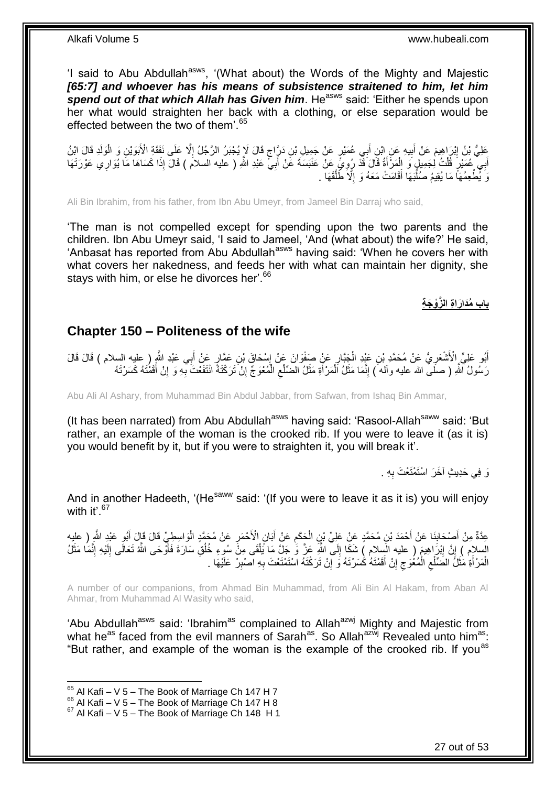'I said to Abu Abdullah<sup>asws</sup>, '(What about) the Words of the Mighty and Majestic *[65:7] and whoever has his means of subsistence straitened to him, let him*  spend out of that which Allah has Given him. He<sup>asws</sup> said: 'Either he spends upon her what would straighten her back with a clothing, or else separation would be effected between the two of them'.<sup>65</sup>

عَلِيُّ بْنُ إِبْرَاهِيمَ عَنْ أَبِيهِ عَنِ ابْنِ أَبِي عُمَيْرٍ عَنْ جَمِيلِ بْنِ دَرِّاجٍ قَالَ لَإِ يُجْبَرُ الرَّجُلُ إِلَّا عَلَى نَفَقَةِ الْأَبَوَيْنِ وَ الْوَلَدِ قَالَ الِّنُ ٍ ِ َ ِ ْ ا<br>ا أَبِي عُمَيْرٍ قُلْتُ لِجَمِيلٍ وَ الْمَرْأَةُ قَالَ قَذْ رُوِيَّ عَنْ عَنْبَسَةَ عَنْ أَبِيٍّ عَبْدِ اللَّهِ ( عليه السلام ) قَالَ إِذَا كَسَاهَا مَا يُوَارِي عَوْرَتَهَا َ ِ َ ْ ْ َ ِ وَ يُّطْعِمُهَاً مَا يُقِيمُ صُلُّبَهَا أَقَامَتْ مَعَهُ وَ إِلَّا ظَلَّقَهَا ۚ ـ َّ ِ َ :<br>أ

Ali Bin Ibrahim, from his father, from Ibn Abu Umeyr, from Jameel Bin Darraj who said,

'The man is not compelled except for spending upon the two parents and the children. Ibn Abu Umeyr said, 'I said to Jameel, 'And (what about) the wife?' He said, 'Anbasat has reported from Abu Abdullah<sup>asws</sup> having said: 'When he covers her with what covers her nakedness, and feeds her with what can maintain her dignity, she stays with him, or else he divorces her'.<sup>66</sup>

**باب ُمَدا َرا ة ال َّزْو َج ة**

### <span id="page-26-0"></span>**Chapter 150 – Politeness of the wife**

أَبُو عَلِيٍّ الْأَشْعَرِيُّ عَنْ مُحَمَّدِ بْنِ عَيْدِ الْجَبَّارِ عَنْ صَفْوَانَ عَنْ إِسْحَاقَ بْنِ عَمَّارٍ عَنْ أَبِي عَبْدِ الثَّهِ ( عليه السلام ) قَالَ قَالَ َ ∣l<br>∶ ِ ْ ِ رَسُولُ اللَّهِ ( صلَـىّ الله عليه وآلـه َ) إِنَّمَا مَثَلُ الْمَرْأَةِ مَثَلُ الضّلْع الْمُعْوَجِّ إِنْ تَرَكْتَهُ انْتَفَعْتَ بِّهِ وَ إِنْ أَقَمْتَهُ كَسَرْتَهُ ْ ِ َ َ ْ  $\ddot{\cdot}$ ِ َ ِ **∶** ِ

Abu Ali Al Ashary, from Muhammad Bin Abdul Jabbar, from Safwan, from Ishaq Bin Ammar,

(It has been narrated) from Abu Abdullah<sup>asws</sup> having said: 'Rasool-Allah<sup>saww</sup> said: 'But rather, an example of the woman is the crooked rib. If you were to leave it (as it is) you would benefit by it, but if you were to straighten it, you will break it'.

> وَ فِي حَدِيثٍ آخَرَ اسْتَمْتَعْتَ بِهِ . ِ

And in another Hadeeth, '(He<sup>saww</sup> said: '(If you were to leave it as it is) you will enjoy with it' $67$ 

ْ عِدَّةٌ مِنْ أَصْحَابِنَا عَنْ أَحْمَدَ بْنِ مُحَمَّدٍ عَنْ عَلِيٍّ بْنِ الْحَكَمِ عَنْ أَبَانٍ الْأَحْمَرِ عَنْ مُحَمَّدٍ الْوَاسِطِيِّ قَالَ قَإِلَ أَبُوٍ عَبْدٍ اللَّهِ ( عليه ِ َ ِ ْ َ ِ َ َ السلام ) إِنَّ إِبْرَ اهِيمَ ( عليه الَسلام ) شَكَا إِلَى اللَّهِ عَزَّ وَ جَلِّ مَا يَلْقَى مِنْ سُوءٍ خُلُقِ سَارَةَ فَأَوْحَى اللَّهُ تَعَالَى إِلَيْهِ إِنَّمَا مَثَلُ ِ َ ُ ْ  $\frac{1}{2}$  ِ َ ِ لَ ِ الْمَرْأَةِ مَثَلَ الضَّلْعِ الْمُغُوَجِ إِنْ أَقَمْتَهُ كَسَرْتَهُ وَ إِنْ تَرَكْتَهُ اسْتَمْتَعْتَ بِهِ اصْبِرْ عَلَيْهَا . ِ َ ِ  $\zeta$ ْ ِ ة<br>ا َ ْ ِ ِ

A number of our companions, from Ahmad Bin Muhammad, from Ali Bin Al Hakam, from Aban Al Ahmar, from Muhammad Al Wasity who said,

'Abu Abdullah<sup>asws</sup> said: 'Ibrahim<sup>as</sup> complained to Allah<sup>azwj</sup> Mighty and Majestic from what he<sup>as</sup> faced from the evil manners of Sarah<sup>as</sup>. So Allah<sup>azwj</sup> Revealed unto him<sup>as</sup>: "But rather, and example of the woman is the example of the crooked rib. If you<sup>as</sup>

 $65$  Al Kafi – V 5 – The Book of Marriage Ch 147 H 7

 $^{66}_{-2}$  Al Kafi – V 5 – The Book of Marriage Ch 147 H 8

 $67$  Al Kafi – V 5 – The Book of Marriage Ch 148 H 1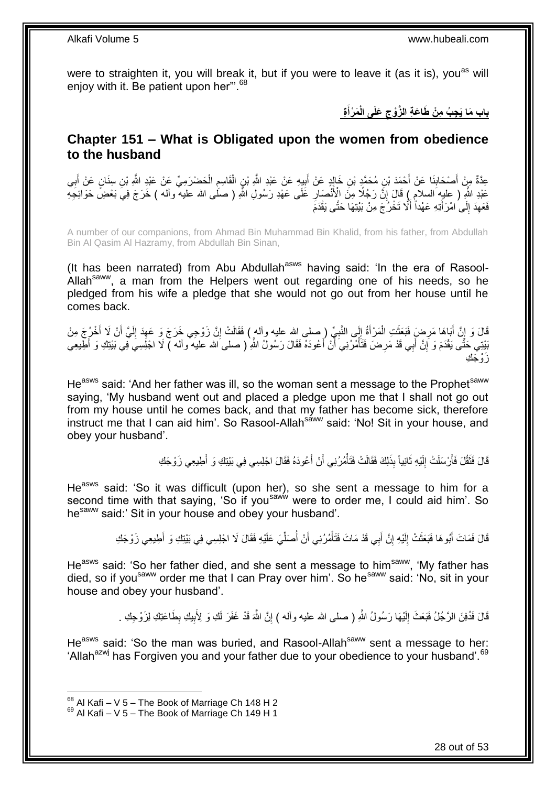were to straighten it, you will break it, but if you were to leave it (as it is), you<sup>as</sup> will enjoy with it. Be patient upon her"<sup>68</sup>

> **ة َم ْرأ َعلَى الْ ج ُب م ْن َطا َع ة ال َّزْوج باب َما َي َ**

### <span id="page-27-0"></span>**Chapter 151 – What is Obligated upon the women from obedience to the husband**

عِدَّةٌ مِنْ أَصْحَابِنَا عَنْ أَحْمَدَ بْنِ مُحَمَّدٍ بْنِ خَالِدٍ عَنْ أَبِيهِ عَنْ عَبْدِ اللَّهِ بْنِ عَال<br>عِدَّةٌ مِنْ أَصْحَابِنَا عَنْ أَحْمَدَ بْنِ مُحَمَّدٍ بْنِ خَالِدٍ عَنْ أَبِيهِ عَنْ عَبْدِ اللَّهِ بِاسْتِهِ ْ ِ ْ **!** َ **ِ** َ ِ َ عَلْدِ اللَّهِ ( عليهِ السلامِ ) قَالَ إِنَّ رَجُلًا مِنَ الْإِنْمُصَارِ عَلَى عَهْدِ رَسُولِ اللَّهِ ( صَلّٰى الله عليه وآلم ) خَرَجَ فِيَّ بَعْضٍ حَوَائِجِيم **∶** ِ فَعَهِدَ إِلَى امْرَأَتِهِ عَهْداً أَلَّا تَخْرُجَ مِنْ بَيْتِهَا حَتَّى يَقْدَمَ َ  $\frac{1}{2}$ ِ

A number of our companions, from Ahmad Bin Muhammad Bin Khalid, from his father, from Abdullah Bin Al Qasim Al Hazramy, from Abdullah Bin Sinan,

(It has been narrated) from Abu Abdullah $^{asws}$  having said: 'In the era of Rasool-Allah<sup>saww</sup>, a man from the Helpers went out regarding one of his needs, so he pledged from his wife a pledge that she would not go out from her house until he comes back.

قَالَ وَ إِنَّ أَبَاهَا مَرِضٍ فَبَعَثَتِ الْمَرْأَةُ إِلَى النَّبِيِّ (ِصلى الله عليه وأله ٍ) فَقَالَتْ إِنَّ زَوْجِي خَرَجَ وَ عَهِدَ إِلَيَّ أَنْ لَا أُخْرُجَ مِنْ ِ ِ ِ َ ْ ة<br>أ **∶** َ )<br>ะ َ َ لَ ِ ِ َبْنِتِي حَتَّى يَقْدَمَ وَ إِنَّ أَبِي قَدْ مَرِضَ فَتَأْمُرُنِيَ أَنْ أَعُودَهُ فَقَالَ رَسُولُ اللَّهِ ( صلى الله عليه والـه ) لَا اجْلِسِيَ فِي بَيْنِكِ وَ أَطِيعِي َ َ ْ ِ َ ِ َ زَ وْ جَك

He<sup>asws</sup> said: 'And her father was ill, so the woman sent a message to the Prophet<sup>saww</sup> saying, 'My husband went out and placed a pledge upon me that I shall not go out from my house until he comes back, and that my father has become sick, therefore instruct me that I can aid him'. So Rasool-Allah<sup>saww</sup> said: 'No! Sit in your house, and obey your husband'.

> قَالَ فَثَقُٰلَ فَأَرْسَلَتْ إِلَيْهِ ثَانِياً بِذَلِكَ فَقَالَتْ فَتَأْمُرُنِي أَنْ أُعُودَهُ فَقَالَ اجْلِسِي فِي بَيْتِكِ وَ أَطِيعِي زَوْجَكِ َ َ ْ َ لَ ِ َ َ َ

He<sup>asws</sup> said: 'So it was difficult (upon her), so she sent a message to him for a second time with that saying, 'So if you<sup>saww</sup> were to order me, I could aid him'. So he<sup>saww</sup> said:' Sit in your house and obey your husband'.

> **∶** قَالَ فَمَاتَ أَبُوهَا فَبَعَثَتْ إِلَيْهِ إِنَّ أَبِي قَدْ مَاتَ فَتَأْمُرُنِي أَنْ أَصَلِّيَ عَلَيْهِ فَقَالَ لَا اجْلِسِي فِي بَيْتِكِ وَ أَطِيعِي زَوْجَكِ َ ِ لَ  $\frac{1}{2}$ َ َ ِّ ُ ْ

He<sup>asws</sup> said: 'So her father died, and she sent a message to him<sup>saww</sup>, 'My father has died, so if you<sup>saww</sup> order me that I can Pray over him'. So he<sup>saww</sup> said: 'No, sit in your house and obey your husband'.

> قَالَ فَدُفِنَ الرَّجُلُ فَبَعَثَ إِلَيْهَا رَسُولُ اللَّهِ ( صلى الله عليه وأله ) إِنَّ اللَّه قَدْ غَفَرَ لَكِ وَ لِأَبِيكِ بِطَاعَتِكِ لِزَوْجِكِ . ِ ِ لَ ِ ِ

He<sup>asws</sup> said: 'So the man was buried, and Rasool-Allah<sup>saww</sup> sent a message to her: 'Allah<sup>azwj</sup> has Forgiven you and your father due to your obedience to your husband'.<sup>69</sup>

 $68$  Al Kafi – V 5 – The Book of Marriage Ch 148 H 2

 $69$  Al Kafi – V 5 – The Book of Marriage Ch 149 H 1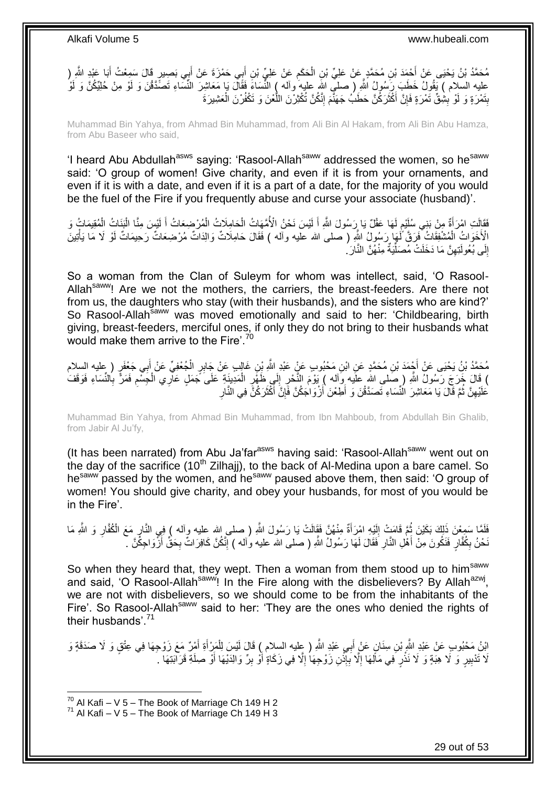مُحَمَّدُ بْنُ يَحْيَى عَنْ أَحْمَدَ بْنِ مُحَمَّدٍ عَنْ عَلِيِّ بْنِ الْحَكَمِ عَنْ عَلِيٍّ بْنِ أَبِي حَمْزَةَ عَنْ أَبِي بَصِبِرٍ قَالَ سَمِعْتُ أَبَا عَبْدِ الثَّهِ ( َ َ **ُ** ْ َ َ عليه السلام ) يَقُولُ خَطَبَ رِبَسُولُ اللَّهِ ( صلـّي اللهِ عليه واله ) النِّسَاءَ فَقَالَ يَا مَعَاشِرَ النِّسَاءِ تَصَدَّقْنَ وَ لَوْ مِنْ حُلِيِّكُنَّ وَ لَوْ بِتَمْرَةٍ وَ لَوْ بِشِْقٍّ تَمْرَةٍ فَإِنَّ أَكْثَرَكُنَّ حَطَبُ جَهَنَّمَ إِنَّكُنَّ تُكْثِرْنَ اللَّعْنَ وَ تَكْفُرْنَ الْعَشِيرَةَ ْ َّ ِ  $\ddot{\phantom{0}}$ َ ِ ِ **ِ** 

Muhammad Bin Yahya, from Ahmad Bin Muhammad, from Ali Bin Al Hakam, from Ali Bin Abu Hamza, from Abu Baseer who said,

'I heard Abu Abdullah<sup>asws</sup> saying: 'Rasool-Allah<sup>saww</sup> addressed the women, so he<sup>saww</sup> said: 'O group of women! Give charity, and even if it is from your ornaments, and even if it is with a date, and even if it is a part of a date, for the majority of you would be the fuel of the Fire if you frequently abuse and curse your associate (husband)'.

فَقَالَتِ امْرَأَةٌ مِنْ بَنِي سُلَيْم لَهَا عَقْلٌ يَا رِرَسُولَ اللَّهِ أَ لَيْسَ نَحْنُ الْأُمَّهَاتُ الْحَامِلَاتُ الْمُرْضِعَاتُ أَ لَيْسَ مِنَّا الْبَنَاتُ الْمُقِيمَاتُ وَ لَ َ لَ ٍ َ ْ ْ لَ َ ْ ْ الْأَخَوَاتُ الْمُشْفِقَاتُ خَرَقَ َلَمَهَا رَسُولُ اللَّهِ ( صلى الله عليه وأله ) فَقَالَ حَامِلَاتٌ وَالِدَاتَّ مُرْضِعَاتٌ رَحِيمَاتٌ لَوْ لَا مَا يَأْتِينَ ْ ْ إِلَى بُعُولَتِهِنَّ مَا دَخَلَتْ مُصَلِّيَةٌ مِنْهُنَّ النَّارَ ُ ِ יִי<br>; ِّ

So a woman from the Clan of Suleym for whom was intellect, said, 'O Rasool-Allah<sup>saww</sup>! Are we not the mothers, the carriers, the breast-feeders. Are there not from us, the daughters who stay (with their husbands), and the sisters who are kind?' So Rasool-Allah<sup>saww</sup> was moved emotionally and said to her: 'Childbearing, birth giving, breast-feeders, merciful ones, if only they do not bring to their husbands what would make them arrive to the Fire'.<sup>70</sup>

مُحَمَّدُ بْنُ يَحْيَى عَنْ أَجْمَدَ بْنِ مُحَمَّدٍ عَنِ ابْنِ مَحْبُوبٍ عَنٍْ عَبْدِ اللَّهِ بْنِ غَالِبٍ عَنْ جَابِرٍ الْجُعْفِيِّ عَنْ أَبِي جَعْفَرٍ ( عليه السلام ْ َ ) قَالَ خَرَجَ رَسُولُ اللَّهِ ( صَلى الله علَيه وَآله ) يَوْمَ النَّحْرِ إِلَي ظَهَّرٍ الْمَدِينَةِ عَلَى جَمَلٍ عَاْرِي الْجَسْمِ فَمَرًّ بِالنِّسَاءِ فَوَقَفَ ْ ِ ِ ِ ِ ْ ِ ْعَلَيْهِنَّ ثُمَّ قَالَ يَا مَعَاشِرَ الْنِّسَاءِ تَصَدَّقْنَ وَ أَطِعْنَ ْأَزْوَاجَكُنَّ فَإِنَّ أَكْثَرَكُنَّ فِي النَّارِ َ َ ِ اُ َ .<br>• • • • ِ

Muhammad Bin Yahya, from Ahmad Bin Muhammad, from Ibn Mahboub, from Abdullah Bin Ghalib, from Jabir Al Ju'fy,

(It has been narrated) from Abu Ja'far<sup>asws</sup> having said: 'Rasool-Allah<sup>saww</sup> went out on the day of the sacrifice (10<sup>th</sup> Zilhaji), to the back of Al-Medina upon a bare camel. So hesaww passed by the women, and hesaww paused above them, then said: 'O group of women! You should give charity, and obey your husbands, for most of you would be in the Fire'.

فَلَمَّا سَمِعْنَ ذَلِكَ بَكَيْنَ ثُمَّ قَامَتْ إِلَيْهِ امْرَأَةٌ مِنْهُنَّ فَقَالَتْ يَا رَسُولَ اللَّهِ ( صلح الله عليه وألمه ) فِي الذَّارِ مَعَ الْكُفَّارِ وَ اللَّهِ مَا َ لَ ∣∣<br>ِ∶ ا ماہ<br>سال ِ ِ ِ َخْنُ بِكُفَّارٍ فَنَكُونَ مِنْ أَهْلِ الذَّارِ فَقَالَ لَمَهَا رَسُولُ اللَّهِ ( صلى الله عليه وُاله ) إِنَّكُنَّ كَافِرَاتٌ بِحَقٌّ أَزَّوَاجِكُنَّ حَ ِ ِ َ ِ َ

So when they heard that, they wept. Then a woman from them stood up to him<sup>saww</sup> and said, 'O Rasool-Allah<sup>saww</sup>! In the Fire along with the disbelievers? By Allah<sup>azwj</sup>, we are not with disbelievers, so we should come to be from the inhabitants of the Fire'. So Rasool-Allah<sup>saww</sup> said to her: 'They are the ones who denied the rights of their husbands'.<sup>71</sup>

ائِنُ مَحْبُوبِ عَنْ عَبْدِ اللَّهِ بْنِ سِنَانٍ عَنْ أَبِي عَبْدِ اللَّهِ ( عِليه السِلام ) قَالَ لَيْسَ لِلْمَزِ أَةِ أَمْرٌ مَعَ زَوْجِهَا فِي عِتْقٍ وَ لَا صَدَقَةٍ وَ َ َ ْ لَا تَدْبِيرٍ وَ لَا هِبَةٍ وَ لَا نَذْرٍ فِي مَالِّهَا إِلَّا بِإِذْنِ زَوْجِهَا إِلَّا فِي زَكَاةٍ أَوْ بِرِّ وَالِدَيْهَا أَوْ صِلَةِ قَرَآبَتِهَا ۚ **!** َ ِ اُ ِ ة<br>-ِ ِ **ٔ** 

 $^{70}$  Al Kafi – V 5 – The Book of Marriage Ch 149 H 2

 $71$  Al Kafi – V 5 – The Book of Marriage Ch 149 H 3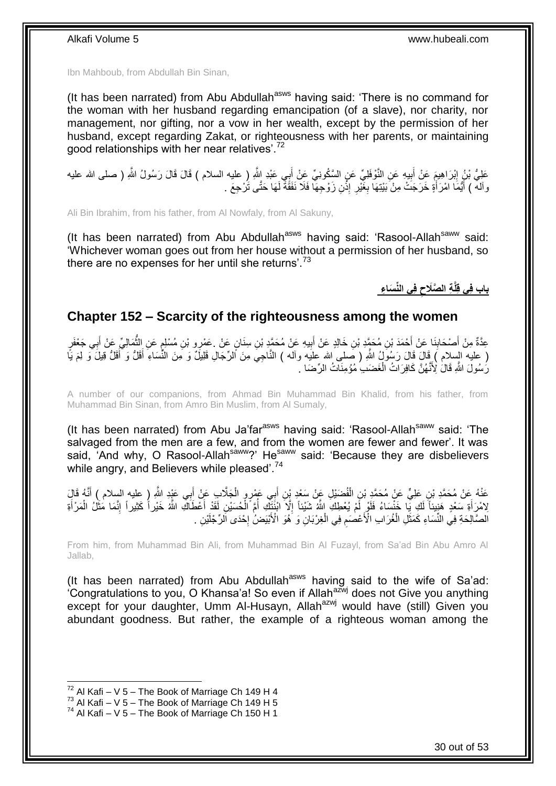Ibn Mahboub, from Abdullah Bin Sinan,

(It has been narrated) from Abu Abdullah<sup>asws</sup> having said: 'There is no command for the woman with her husband regarding emancipation (of a slave), nor charity, nor management, nor gifting, nor a vow in her wealth, except by the permission of her husband, except regarding Zakat, or righteousness with her parents, or maintaining good relationships with her near relatives'.<sup>72</sup>

عَلِيُّ بْنُ إِبْرَاهِيمَ عَنْ أَبِيهِ عَنِ النَّوْفَلِيِّ عَنِ السَّكُونِيِّ عَنْ أَبِي عَبْدِ اللَّهِ ( عليه السلام ) قَالَ قَالَ رَسُولُ اللَّهِ ( صلى الله عليه َ **!** َ ِ واْلَهُ ﴾ أَيُّمَا امْرَأَةٍ خَرَجَتْ مِنْ بَيْتِهَا بِغََيْرِ إِذْنِ زَوْجِهَا فَلَا نَفَقَّةً لَهَا حَتَّى تَرْجِعَ َ ْ ِ ِ َ

Ali Bin Ibrahim, from his father, from Al Nowfaly, from Al Sakuny,

(It has been narrated) from Abu Abdullah<sup>asws</sup> having said: 'Rasool-Allah<sup>saww</sup> said: 'Whichever woman goes out from her house without a permission of her husband, so there are no expenses for her until she returns'.<sup>73</sup>

> **ف ي الِّن َسا ء ة ال َّصَالح باب ف ي ق لَّ**

#### <span id="page-29-0"></span>**Chapter 152 – Scarcity of the righteousness among the women**

عِدَّةٌ مِنْ أَصْحَابِنَا عَنْ أَحْمَدَ بْنِ مُحَمَّدٍ بْنِ خَالِدٍ عَنْ أَبِيهِ عَنْ مُحَمَّدٍ بْنِ سِنَانٍ عَنْ ۚ عَمْرِو بْنِ مُسْلِمٍ عَنِ الثَّمَالِيِّ عَنْ أَبِي جَعْفَرٍ ِ َ ُّ **q !** َ َ ( عليه السلام ) قَالَ قَالَ رَسُولُ اللّهِ ( صلى الله عليه وأله ) النَّاجِيَ مِنَ الرِّجَالِ قَلِيلٌ وَ مِنَ النُّسَاءِ أَقَلُّ وَ لَقَلُّ قِيلَ وَ لِمَ يَا َ َ رَسُولَ اللَّهِ قَالَٰ لِأَنَّهُنَّ كَافِرَاتُ الْغَضَبِ مُؤْمِنَاتُ الرِّضَا ۚ ْ

A number of our companions, from Ahmad Bin Muhammad Bin Khalid, from his father, from Muhammad Bin Sinan, from Amro Bin Muslim, from Al Sumaly,

(It has been narrated) from Abu Ja'far $a<sup>sws</sup>$  having said: 'Rasool-Allah $a<sup>sww</sup>$  said: 'The salvaged from the men are a few, and from the women are fewer and fewer'. It was said, 'And why, O Rasool-Allah<sup>saww</sup>?' He<sup>saww</sup> said: 'Because they are disbelievers while angry, and Believers while pleased<sup>', 74</sup>

عَذْهُ عَنْ مُحَمَّدِ بْنِ عَلِيٍّ عَنْ مُحَمَّدِ بْنِ الْفُضَيْلِ عَنْ سَعْدِ بْنِ أَبِي عَمْرٍ وِ الْجَلَّابِ عَنْ أَبِي عَيْدٍ اللَّهِ ( عليه السلام ) أَنَّهُ قَالَ<br>. َ ْ َ ْ َ ْلِامْرَأَةِ سَعْدٍ هَنِيئاً لَكِ يَا خَنْسَاءُ فَلَوْ لَمْ يُعْطِكِ اللَّهُ شَيْئاً إِلَّا انْتَنَكَّ أُمَّ الْمُشْئِلِ لَقَدْ أَعْطَاكَ اللَّهُ خَيْراً كَثِيراً إِنَّمَا مَثَّلُ الْمَرْأَةِ لَ َ َ ْ ا<br>ا َ ْ ֺ֧֦֦֧֚֚֝֝֝֟֟֟֝֝֬֝֓֕֓֝ ِ الصَّالِحَةِ فِي النِّسَاءِ كَمَثَلِ الْغُرَابِ الْأَعْصَمِ فِي الْغِرْبَانِ وَ هُوَ الْأَبْيَضُ إِحْدَى الرِّجْلَيْنِ . **∶** ْ ِ ْ َ

From him, from Muhammad Bin Ali, from Muhammad Bin Al Fuzayl, from Sa'ad Bin Abu Amro Al Jallab,

(It has been narrated) from Abu Abdullah<sup>asws</sup> having said to the wife of Sa'ad: 'Congratulations to you, O Khansa'a! So even if Allah $^{a\bar{z}wj}$  does not Give you anything except for your daughter, Umm Al-Husayn, Allah<sup>azwj</sup> would have (still) Given you abundant goodness. But rather, the example of a righteous woman among the

 $72$  Al Kafi – V 5 – The Book of Marriage Ch 149 H 4

 $^{73}$  Al Kafi – V 5 – The Book of Marriage Ch 149 H 5

 $74$  Al Kafi – V 5 – The Book of Marriage Ch 150 H 1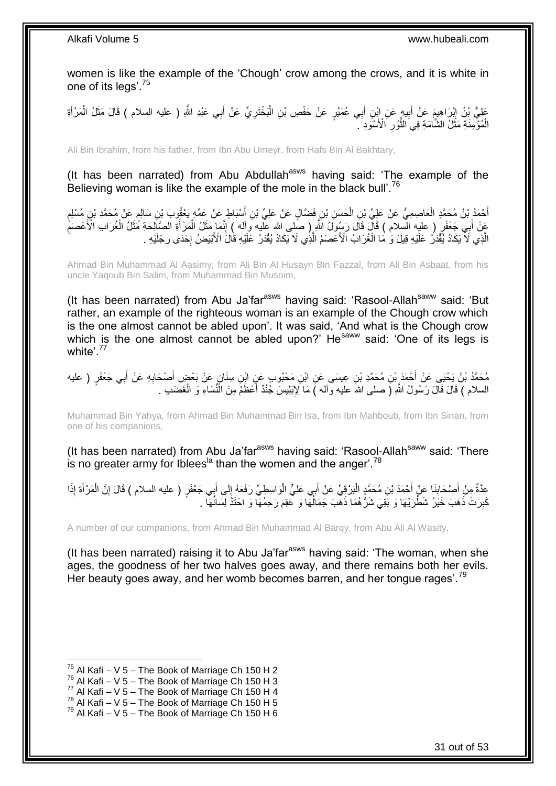women is like the example of the 'Chough' crow among the crows, and it is white in one of its legs'.<sup>75</sup>

عَلِيُّ بْنُ إِبْرَاهِيمَ عَنْ أَبِيهٍ عَنِ إِبْنِ أَبِي عُمَيْرٍ عَنْ حَفْصِ بْنِ الْبَخْتَرِيِّ عَنْ أَبِي عَبْدِ اللَّهِ ( عليه السلام ) قَالَ مَثَلُ الْمَرْأَةِ َ **∶** ْ َ **!** َ ון<br>∶ َ ْ َ الْمُؤْمِنَةِ مَثَّلٌ الشَّامَةِ فِي النُّوْرِ ۗ الْأَسْوَدِ ۖ ِ َّ ٔ • ْ

Ali Bin Ibrahim, from his father, from Ibn Abu Umeyr, from Hafs Bin Al Bakhtary,

(It has been narrated) from Abu Abdullah<sup>asws</sup> having said: 'The example of the Believing woman is like the example of the mole in the black bull'.<sup>76</sup>

ْ أَحْمَدُ بْنُ مُحَمَّدٍ الْعَاصِمِيُّ عَنْ عَلِيِّ بْنِ الْحَسَنِ بْنِ فَضَّالٍ عَنْ عَلِيِّ بْنِ أَسْبَاطٍ عَنْ عَمِّهِ يَعْقُوبَ بْنِ سَالِمٍ عَنْ مُحَمَّدِ بْنِ مُسْلِمٍ ֖֖֖֦֧֦֦֧֦֧ׅ֧ׅ֪֦֧ׅ֧֚֚֚֚֚֚֩֘֝֝֝֓֝֜֓֜֟֓֟֓֡֟֓֜֓֜֝֬ َ ْ ٍ عَنْ أَبِي جَعْفَرٍ ( عليه السلام ) قَالَ قَالَ رَسُولُ اللَّهِ ( صلى الله عليه وَاله ) إِنَّمَا مَثَلُ الْمَرْأَةِ الصَّالِحَةِ مُثَلُ الْغُرَابِ الْأَعْصَمِّ ْ َ ِ َ ِ ْ َ َ الَّذِي لَا يَكَادُ يُّقْدَرُ عَلَيْهِ قِيلَ وَ مَا الْغُرَابُ الْأَعْصَمُ الَّذِي لَا يَكَادُ يُقْدَرُ عَلَيْهِ قَالَ الْأَبْيَضُ إِحْدَى رِجْلَيْهِ . َّ ْ ِ יֲ<br>י

Ahmad Bin Muhammad Al Aasimy, from Ali Bin Al Husayn Bin Fazzal, from Ali Bin Asbaat, from his uncle Yaqoub Bin Salim, from Muhammad Bin Musoim,

(It has been narrated) from Abu Ja'far<sup>asws</sup> having said: 'Rasool-Allah<sup>saww</sup> said: 'But rather, an example of the righteous woman is an example of the Chough crow which is the one almost cannot be abled upon'. It was said, 'And what is the Chough crow which is the one almost cannot be abled upon?' He<sup>saww</sup> said: 'One of its legs is white<sup>'</sup>.77

مُحَمَّدُ بْنُ يَحْيَى عَنْ أَحْمَدَ بْنِ مُحَمَّدِ بْنِ عِيسَى عَنِ ابْنِ مَحْبُوبٍ عَنِ ابْنِ سِنَانٍ عَنْ بَعْضٍ أَصنْحَابِهِ عَنْ أَبِي جَعْفَرٍ ( عليه<br>. َ ِ َ السلام ) قَالَ قَالَ رَسُولُ اللَّهِ (َ صلـى اللهَ عليه وألـه )َ مَا لِإِبْلِيسَ جُنْدٌ أَعْظَمُ مِنَ الْنَّسَاءِ وَ الْغَضَىبِ . ْ َ

Muhammad Bin Yahya, from Ahmad Bin Muhammad Bin Isa, from Ibn Mahboub, from Ibn Sinan, from one of his companions,

(It has been narrated) from Abu Ja'far<sup>asws</sup> having said: 'Rasool-Allah<sup>saww</sup> said: 'There is no greater army for Iblees<sup>la</sup> than the women and the anger'.<sup>78</sup>

عِدَّةٌ مِنْ أَصْحَابِنَا عَنْ أَحْمَدَ بْنِ مُحَمَّدٍ الْبَرْقِيِّ عَنْ أَبِي عَلِيٍّ الْوَاسِطِيِّ رَفَعَهُ إِلَى أَبِي جَعْفَرٍ ( عليه السلام ) قَالَ إِنَّ الْمَرْأَةَ إِذَا **∣** َ َ ْ ِ َ  $\frac{1}{2}$ ْ ْ كَبِرَتْ ذَهَبَ خَيْرُ شَطَّرَيْهَا وَ بَقِيَ شَرُّهُمَا ۖ ذَهَّبَ جَمَالُهَا وَ عَقِمَ رَحِمُهَا ۖ وَ احْتَذَّ لِسَانُهَا ۖ . .<br>ا ِ

A number of our companions, from Ahmad Bin Muhammad Al Barqy, from Abu Ali Al Wasity,

(It has been narrated) raising it to Abu Ja'far<sup>asws</sup> having said: 'The woman, when she ages, the goodness of her two halves goes away, and there remains both her evils. Her beauty goes away, and her womb becomes barren, and her tongue rages'.<sup>79</sup>

 $^{75}$  Al Kafi – V 5 – The Book of Marriage Ch 150 H 2

 $76$  Al Kafi – V 5 – The Book of Marriage Ch 150 H 3

 $77$  Al Kafi – V 5 – The Book of Marriage Ch 150 H 4

 $78$  Al Kafi – V  $5$  – The Book of Marriage Ch 150 H 5

 $79$  Al Kafi – V 5 – The Book of Marriage Ch 150 H 6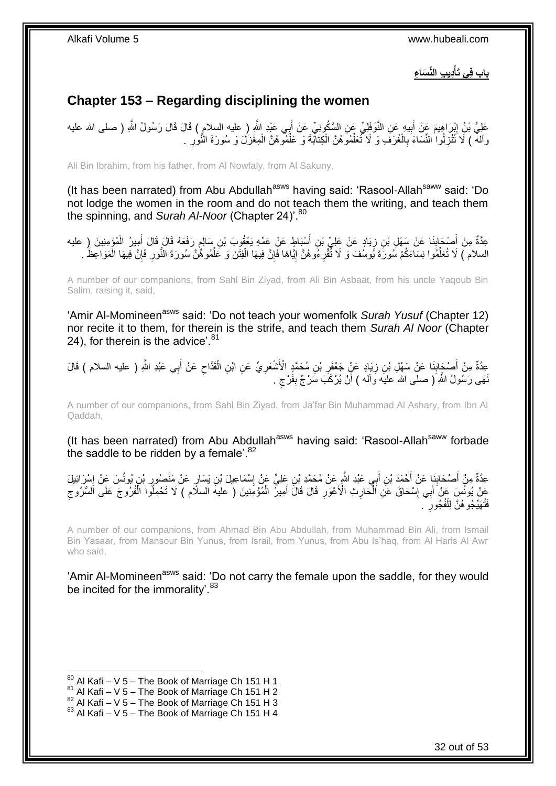**دي ب الِّن َسا ء باب ف ي َتأ ْ**

## <span id="page-31-0"></span>**Chapter 153 – Regarding disciplining the women**

عَلِيُّ بْنُ إِبْرَاهِيمَ عَنْ أَبِيهِ عَنِ النَّوْفَلِيِّ عَنِ السَّكُونِيِّ عَنْ أَبِي عَبْدِ النَّهِ ( عليه السلام ) قَالَ قَالَ رَسُولُ النَّهِ ( صلى الله عليه َ **!** ِ وَالْمْ ﴾ لَا تُنْزِلُوا النَّسَاءَ بِالْغُرَفَ وَ لَا تُعَلِّمُوَهُنَّ الْكِتَابَةَ وَ عَلَّمُوهُنَّ الْمِغْزَلَ وَ سُورَةَ النُّوْرِ . ْ ِّ ْ ِّ ْ ِ **∶** 

Ali Bin Ibrahim, from his father, from Al Nowfaly, from Al Sakuny,

(It has been narrated) from Abu Abdullah<sup>asws</sup> having said: 'Rasool-Allah<sup>saww</sup> said: 'Do not lodge the women in the room and do not teach them the writing, and teach them the spinning, and *Surah Al-Noor* (Chapter 24)<sup>'.80</sup>

عِدَّةٌ مِنْ أَصْحَابِنَا عَنْ سَهْلِ بْنِ زِيَادٍ عَنْ عَلِيٍّ بْنِ أَسْبَاطٍ عَنْ عَمِّهِ يَعْقُوبَ بْنِ سَالِمٍ رَفَعَهُ قَالَ قَالَ أُمِيرُ الْمُؤْمِنِينَ (ِ عليه **∣** َ ْ َ ֧֖֚֚֓֝֝֬֝ َ ِ السلام ) لَا تُعَلَّمُوا نِسَاءَكُمْ سُورَةَ يُوسُفَ وَ لَا تُقْرِءُوهُنَّ إِيَّاهَا فَإِنَّ فِيهَا الْفِتَنَ وَ عَلَّمُوهُنَّ سُورَةَ النُّورِ فَإِنَّ فِيهَا الْمَوَاعِظَ . ِّ ْ ِ ֖֧֦֧֦֧֦֧֦֧֦֧֦֧֦֧ׅ֧֦֧֦֧ׅ֧֦֧ׅ֧֦֧ׅ֧֦֧֦֧֦֧֦֧֦֧֦֧֦֧֦֧֦֧֦֧֦֧֧֦֧֧֧ׅ֦֧֧֧֚֚֜֓֓֜֓֓֜֓֓֜֓֓֓֡֓֡֓֞֡֡֡֡֡֡֡֓ **ٍ** ِّ ْ ∣ļ ِ

A number of our companions, from Sahl Bin Ziyad, from Ali Bin Asbaat, from his uncle Yaqoub Bin Salim, raising it, said,

'Amir Al-Momineen<sup>asws</sup> said: 'Do not teach your womenfolk *Surah Yusuf* (Chapter 12) nor recite it to them, for therein is the strife, and teach them *Surah Al Noor* (Chapter 24), for therein is the advice'.  $81$ 

َ عِدَّةٌ مِنْ أَصْحَابِنَا عَنْ سَهْلِ بْنِ زِيَادٍ عَنٍّ جَعْفَرِ بْنِ مُحَمَّدٍ الْأَشْعَرِيِّ عَنِ ابْنِ الْقَدَّاحِ عَنْ أَبِي عَبْدِ اللَّهِ ( عليه السلام ) قَالَ<br>-ِ ْ ِ **∶ ∶ ∣** َ ِ َنَّهَى رَسُولُ اللَّهِ ۖ( صلـى اللهُ عليه وَالْـه ) أَنْ يُرْكَبَ سَرْجٌ بِفَرْجٍ . ٍ **ِ** 

A number of our companions, from Sahl Bin Ziyad, from Ja'far Bin Muhammad Al Ashary, from Ibn Al Qaddah,

(It has been narrated) from Abu Abdullah<sup>asws</sup> having said: 'Rasool-Allah<sup>saww</sup> forbade the saddle to be ridden by a female<sup>'.82</sup>

عِدَّةٌ مِنْ أَصْحَابِنَا عَنْ أَحْمَدَ بْنِ أَبِي عَبْدِ اللَّهِ عَنْ مُحَمَّدِ بْنِ عَلِيٍّ عَنْ إِسْمَاعِيلَ بْنِ يَسَارٍ عَنْ مَنْصِنُورٍ بْنِ يُونُسَ عَنْ إِسْرَائِيلَ ِ اُ َ ِ َ ِ ِ ُ َّقْ يُونُسَ عَنْ َأَبِي إِسْحَاقَ عَنِ الْحَارِثِ الْأَعْوَرِ قَالَ قَالَ أَمِيزٌ الْمُؤْمِنِينَ ( عليه السلَّام ) لَا تَحْمِلُوَّا الْفُرُوجَ عَلَى السُّرُوجِ ْ َ ِ ِ ْ ِ َ ِ ْ <sup>ُفَ</sup>تُهَيِّجُو هُنَّ لِلْفُجُورِ ۖ . ِ ْ

A number of our companions, from Ahmad Bin Abu Abdullah, from Muhammad Bin Ali, from Ismail Bin Yasaar, from Mansour Bin Yunus, from Israil, from Yunus, from Abu Is'haq, from Al Haris Al Awr who said,

'Amir Al-Momineen<sup>asws</sup> said: 'Do not carry the female upon the saddle, for they would be incited for the immorality'.<sup>83</sup>

<sup>1</sup>  $80$  Al Kafi – V 5 – The Book of Marriage Ch 151 H 1

 $81$  Al Kafi – V 5 – The Book of Marriage Ch 151 H 2

 $82$  Al Kafi – V  $5$  – The Book of Marriage Ch 151 H 3

 $83$  Al Kafi – V 5 – The Book of Marriage Ch 151 H 4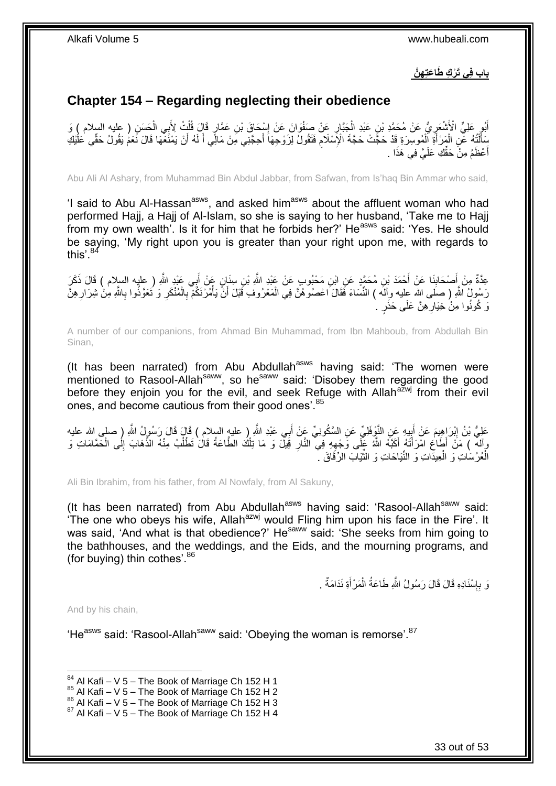**ه َّن باب ف ي َت ْر ك َطا َعت** 

### <span id="page-32-0"></span>**Chapter 154 – Regarding neglecting their obedience**

أَبُو عَلِيٍّ الْأَشْعَرِ يُّ عَنْ مُحَمَّدِ بْنِ عَبْدِ الْجَبَّارِ عَنْ صَفْوَانَ عَنْ إِسْحَاقَ بْنِ عَمَّارٍ قَالَ قُلْتُ لِأَبِي الْحَسَنِ ( عليه السلام ) وَ ْ ِ ِ ْ **∶** ْ سَأَلْتُهُ عَنِ الْمَرْأَةِ الْمُوسِرَةِ قَدْ حَجَّتْ حَجَّةَ الْإِسْلَامِ فَتَقُولُ لِزَوْجِهَا أَحِجَّنِي مِنْ مَالِّي أَ لَهُ أَنْ يَمْنَعَهَا قَالَ نَعَمُ يَقُولُ حَقِّي عَلَيْكِ<br>يَسْمَأْتُهُمْ عَلَى الْمَرْأَةِ الْمُ ֺ֦֧֦֦֧֦֧֦֦֧֦֧֦֪֦֧֦֪֦֪֦֪֦֪֦֪֦֧֦֪֦֪֪֦֪֪֦֝֟֟֟֟֟֟֟֟֟֟֟֟֟֟֟֟֟֟֟֟֟֓֟֟֟֓֟֓֟֓֕֟֓֟֓֟֓֟֓֟֓֟֟֓֟֟֓֟֟֟֟֟֟֟֟ َ لَ َ َ ِ ْ َ أَ ْ أَعْظَمُ مِنَْ حَقِّكِ عَلَيَّ فِي هَذَا . َ

Abu Ali Al Ashary, from Muhammad Bin Abdul Jabbar, from Safwan, from Is'haq Bin Ammar who said,

'I said to Abu Al-Hassan<sup>asws</sup>, and asked him<sup>asws</sup> about the affluent woman who had performed Hajj, a Hajj of Al-Islam, so she is saying to her husband, 'Take me to Hajj from my own wealth'. Is it for him that he forbids her?' He<sup>asws</sup> said: 'Yes. He should be saying, 'My right upon you is greater than your right upon me, with regards to this'.<sup>84</sup>

عِدَّةٌ مِنْ أَصْحَابِنَا عَنْ أَحْمَدَ بْنِ مُحَمَّدٍ عَنِ ابْنِ مَحْبُوبٍ عَنْ عَبْدِ اللَّهِ بْنِ سِنَانٍ عَنْ أَبِي عَبْدِ اللَّهِ ( عِليه السلام ) قَالَ ذَكَرَ<br>عَبْدَ اللَّهُ ( عِليه السلام ) قَالَ ذَكَرَ َ **∣** َ رَسُولُ اللَّهِ ( صَلَى الله عليه وِألَه ) النِّسَاءَ فَقَالَ اعْصُوهُنَّ فِي الْمَعْرُوفِ قَبْلَ أَنَّ يَأْمُرْنَكُمْ بِالْمُنْكَرِ وَ نَتَعَوَّذُوا بِاللَّهِ مِنْ شِرَارِهِنَّ ْ **∶ المناخ العامل** َ ْ ِ **∶** رَ كُونُوا مِنْۢ خِيَارِ هِنَّ عَلَى حَذَرٍ ۚ ۚ ِ

A number of our companions, from Ahmad Bin Muhammad, from Ibn Mahboub, from Abdullah Bin Sinan,

(It has been narrated) from Abu Abdullah<sup>asws</sup> having said: 'The women were mentioned to Rasool-Allah<sup>saww</sup>, so he<sup>saww</sup> said: 'Disobey them regarding the good before they enjoin you for the evil, and seek Refuge with Allah<sup>azwj</sup> from their evil ones, and become cautious from their good ones'.<sup>85</sup>

عَلِيُّ بْنُ إِبْرَاهِيمَ عَنْ أَبِيهِ عَنِ النَّوْفَلِيِّ عَنِ السَّكُونِيِّ عَنْ أَبِي عَبْدِ اللَّهِ ( عليه السلام ) فَإِلَ قَالَ رَسُولُ اللَّهِ ( صلى الله عليه **∣** יִין<br>: َ وَالَهُ ﴾ مَنْ أَطَاعِ امْرَأَتَهُ أَكَبَّهُ اللَّهُ عَلَى وَّجْهِهِ فِي النَّارِ قَيْلٌ وَ مَا تِلْكَ الطَّاعَةُ قَالَ تَطْلُبُ مِنْهُ الذَّهَابَ إِلَى الْحَمَّامَاتِ وَ ُ ْ ِ ِ َ ْ الْعُرُسَاتِ وَ الْعِيدَاتِ وَ النِّيَاحَاتِ وَ النَّيَابَ الرِّقَاقَ ۚ ِّ ْ ْ

Ali Bin Ibrahim, from his father, from Al Nowfaly, from Al Sakuny,

(It has been narrated) from Abu Abdullah<sup>asws</sup> having said: 'Rasool-Allah<sup>saww</sup> said: 'The one who obeys his wife, Allah<sup>azwj</sup> would Fling him upon his face in the Fire'. It was said, 'And what is that obedience?' He<sup>saww</sup> said: 'She seeks from him going to the bathhouses, and the weddings, and the Eids, and the mourning programs, and (for buying) thin cothes'. 86

> وَ بِإِسْنَادِهِ قَالَ قَالَ رَسُولُ اللَّهِ طَاعَةُ الْمَرْأَةِ نَدَامَةٌ . ِ **∶** َ ْ

And by his chain,

'He<sup>asws</sup> said: 'Rasool-Allah<sup>saww</sup> said: 'Obeying the woman is remorse'.<sup>87</sup>

<sup>1</sup>  $84$  Al Kafi – V 5 – The Book of Marriage Ch 152 H 1

 $85$  Al Kafi – V 5 – The Book of Marriage Ch 152 H 2

 $86$  Al Kafi – V  $5$  – The Book of Marriage Ch 152 H 3

 $87$  Al Kafi – V 5 – The Book of Marriage Ch 152 H 4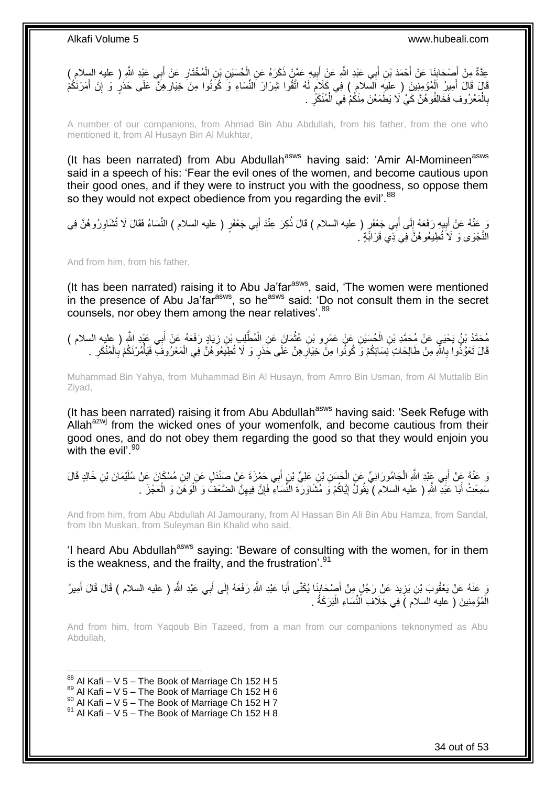عِدَّةٌ مِنْ أَصْحَابِنَا عَنْ أَحْمَدَ بْنِ أَبِي عَبْدِ اللَّهِ عَنِْ أَبِيهِ عَمَّنْ ذَكَرَهُ عَنِ الْحُسَيْنِ بْنِ الْمُخْتَارِ عَنْ أَبِي عَبْدِ اللَّهِ ( عليه السلام )<br>حَدَّةٌ مِنْ أَصْحَابِنَا عَنْ أَحْمَدَ بْنِ أَب **!** َ َ ِ َ َ ِ ْ ْ قَالَ قَالَ أُمِيرُ الْمُؤْمِنِينَ ( عليه السلام ) فِي كَلاَمٍ لَهُ اتَّقُوا شِرَارَ النِّسَاءِ وَ كُونُوا مِنْ خِيَارِهِنَّ عَلَى حَذَرٍ وَ إِنْ أَمَرْنَكُمْ ِ لَ ٍ ْ َ َ ِ بِالْمَعْرُوفِ فَخَالِفُوهُنَّ كَيْ لَا يَطْمَعْنَ مِنْكُمْ فِي الْمُنْكَرِّ ۚ . ْ **∶** ِ ْ

A number of our companions, from Ahmad Bin Abu Abdullah, from his father, from the one who mentioned it, from Al Husayn Bin Al Mukhtar,

(It has been narrated) from Abu Abdullah<sup>asws</sup> having said: 'Amir Al-Momineen<sup>asws</sup> said in a speech of his: 'Fear the evil ones of the women, and become cautious upon their good ones, and if they were to instruct you with the goodness, so oppose them so they would not expect obedience from you regarding the evil'.<sup>88</sup>

وَ عَنْهُ عَنْ أَبِيهِ رَفَعَهُ إِلَى أَبِي جَعْفَرٍ ( عليه السلام ) قَالَ ذُكِرَ عِنْدَ أَبِي جَعْفَرٍ ( عليه السلام ) النِّسَاءُ فَقَالَ لَا تُشَاوِرُوهُنَّ فِي َ َ  $\frac{1}{2}$ **!** ِ النَّجْوَى وَ لَاَ تُطِيعُوهُنَّ فِي َذِي قَرَابَةٍ م

And from him, from his father,

(It has been narrated) raising it to Abu Ja'far<sup>asws</sup>, said, 'The women were mentioned in the presence of Abu Ja'far<sup>asws</sup>, so he<sup>asws</sup> said: 'Do not consult them in the secret counsels, nor obey them among the near relatives'. 89

مُحَمَّدُ بْنُ يَحْيَى عَنْ مُحَمَّدِ بْنِ الْحُسَيْنِ عَنْ عَمْرِو بْنِ عُثْمَانَ عَنِ الْمُطَّلِبِ بْنِ زِيَادٍ رَفَعَهُ عَنْ أَبِي عَبْدِ اللَّهِ ( عليه السلام )<br>يَدِينَ يَهُمْ يَنْ يَحْيَى عَنْ مَجْدِينِ بِإِمْ أَسْرَ ْ َ ِ ْ **ٔ** ْ قَالَ تَعَوَّذُوا بِاللَّهِ مِنْ طَالِحَاتِ نِسَائِكُمْ وَ كُونُوا مِنَّ خِيَارِ هِنَّ عَلَى خَذَرٍ وَ لَا تُطِيَعُوَ هُنَّ فِي الْمَعْرُوفَ ۖ فَيَأْمُرْنَكُمْ بِالْمُنْكَرِ . **∶ ∶** ِ ْ ِ **ٔ** 

Muhammad Bin Yahya, from Muhammad Bin Al Husayn, from Amro Bin Usman, from Al Muttalib Bin Ziyad,

(It has been narrated) raising it from Abu Abdullah<sup>asws</sup> having said: 'Seek Refuge with Allah $a^{2xy}$  from the wicked ones of your womenfolk, and become cautious from their good ones, and do not obey them regarding the good so that they would enjoin you with the evil'.<sup>90</sup>

وَ عَنْهُ عَنْ أَبِي عَِبْدِ اللَّهِ الْجَامُورَانِيِّ عَنِ الْحَسَنِ بْنِ عَلِيِّ بْنِ أَبِي حَمْزَةَ عَنْ صَنْدَلٍ عَنِ ابْنِ مُسْكَانَ عَنْ سُلَيْمَانَ بْنِ خَالِدٍ قَالَ ْ ْ َ َ سَمِعْتُ أَبَا عَبْدِ اللَّهِ ( عليه السلام ) يَقُولُ إِيَّاكُمْ وَ مُشَاوَرَةَ النِّسَاءِ فَإِنَّ فِيهِنَّ الضَّعْفُ وَ اَلْوَهْنَ وَ الْعَجْزَ . ْ ِ ِ ِ َ ْ

And from him, from Abu Abdullah Al Jamourany, from Al Hassan Bin Ali Bin Abu Hamza, from Sandal, from Ibn Muskan, from Suleyman Bin Khalid who said,

'I heard Abu Abdullah<sup>asws</sup> saying: 'Beware of consulting with the women, for in them is the weakness, and the frailty, and the frustration'.  $91$ 

وَ عَنْهُ عَنْ يَعْقُوبَ بْنِ يَزِيدَ عَنْ رَجُلٍ مِنْ أَصْحَابِنَا يُكَنَّى أَبَا عَبْدِ اللَّهِ رَفَعَهُ إِلَى أَبِي عَبْدِ اللَّهِ ( عليه السلام ) قَالَ قَالَ أَمِيرُ َ ِ َ ∣, َ **∶** أَ الْمُؤْمِنِينَ ( عليه السلاَم ) فِي خِلَافِ اَلنِّسَاءِ الْبَرَكَةُ . ْ ْ

And from him, from Yaqoub Bin Tazeed, from a man from our companions teknonymed as Abu Abdullah,

1  $88$  Al Kafi – V 5 – The Book of Marriage Ch 152 H 5

- $89$  Al Kafi V 5 The Book of Marriage Ch 152 H 6
- $^{90}$  Al Kafi V 5 The Book of Marriage Ch 152 H 7

 $91$  Al Kafi – V 5 – The Book of Marriage Ch 152 H 8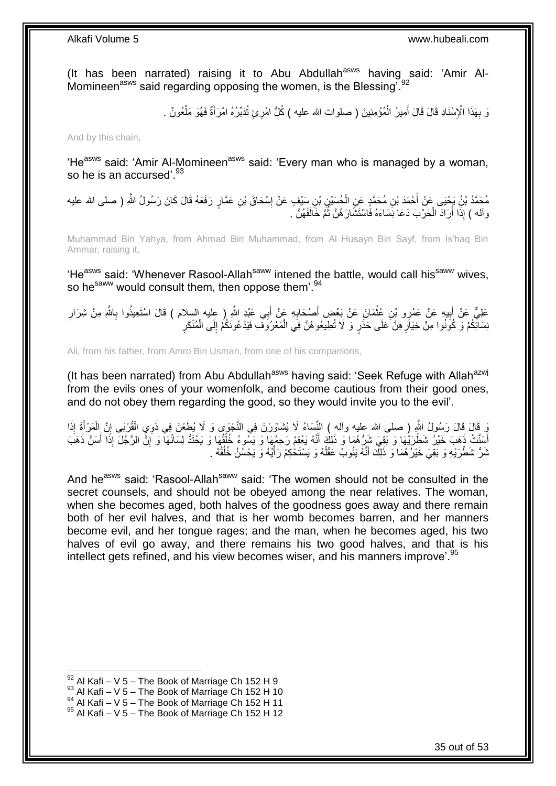(It has been narrated) raising it to Abu Abdullah<sup>asws</sup> having said: 'Amir Al-Momineen $^{asws}$  said regarding opposing the women, is the Blessing<sup>7,92</sup>

> ْ وَ بِهَذَا الْإِسْنَادِ قَالَ قَالَ أَمِيرُ الْمُؤْمِنِينَ ( صلوات الله عليه ) كُلُّ امْرِئٍ تُدَبِّرُهُ امْرَأَةٌ فَهُوَ مَلْعُونٌ . َ ْ َ **∶**

And by this chain,

'He<sup>asws</sup> said: 'Amir Al-Momineen<sup>asws</sup> said: 'Every man who is managed by a woman, so he is an accursed'.<sup>93</sup>

مُحَمَّدُ بْنُِ يَجْيَى عَنْ أَحْمَدَ بْنِ مُحَمَّدٍ عَنِ الْحُسَيْنِ بْنِ سَيْفٍ عَنْ إِسْحَاقَ بْنِ عَمَّارٍ رَفَعَهُ قَالَ كَانَ رَسُولُ اللَّهِ ( صلى الله عليه ∣l<br>∶ ْ واْله ) إِذَا أَرَادَ الْحَرْبَ دَعَا نِسَاءَهُ فَاسْتَشَارَهُنَّ ثُمَّ خَالَفَهُنَّ ۚ ـ ُ ْ

Muhammad Bin Yahya, from Ahmad Bin Muhammad, from Al Husayn Bin Sayf, from Is'haq Bin Ammar, raising it,

'He<sup>asws</sup> said: 'Whenever Rasool-Allah<sup>saww</sup> intened the battle, would call his<sup>saww</sup> wives, so he<sup>saww</sup> would consult them, then oppose them<sup>'.94</sup>

عَلِيٌّ عَنْ أَبِيهِ عَنْ عَمْرِو بْنِ عُثْمَانَ عَنْ بَعْضِ أَصْحَابِهِ عَنْ أَبِي عَبْدِ اللَّهِ ( عليه السلام ) قَالَ اسْتَعِيذُوا بِاللَّهِ مِنْ شِرَارِ َ ِ َ **ٔ !** َ ِ ِ ُنِسَائِكُمْ وَ كُونُوا مِنْ خِيَاَرِ هِنَّ عَلَى حَذَرٍ وَ لَا تُطِيعُوهُنَّ فِي الْمَعْرُوَفِ فَيَدْعُونَكُمْ إِلَى الْمُنْكَرِ ْ ِ ِ ْ ِ

Ali, from his father, from Amro Bin Usman, from one of his companions,

(It has been narrated) from Abu Abdullah<sup>asws</sup> having said: 'Seek Refuge with Allah<sup>azwj</sup> from the evils ones of your womenfolk, and become cautious from their good ones, and do not obey them regarding the good, so they would invite you to the evil'.

ْ َوَ قَالَ ذَلكَ رَسُولُ اللَّهِ ( صلى الله عليه وأله ) النِّسَاءُ لَا يُشَاوَرْنَ فِي النَّجْوَى وَ لَا يُطَعْنَ فِي ذَوِي الْقُرْبَى إِنَّ الْمَرْأَةِ إِذَا َ ْ ِ أَسَنَّتْ ذَهَبَ خَيْرٌ شَطْرَيْهَا وَ بَعِيَ شَرُّهُمَا وَ ذَلِكَ أَنَّهُ يَعْقِمُ رَحِمُهَا وَ يَشُّوءُ فَأُفْهَا وَ يَحْتَدُّ لِسَانُهَا وَ إِنِّ الرَّجْلَ إِذَا أَسَنَّ ذَهَبَ ُ َ َ ِ ثَلُّ شَطْرَيْهِ وَ بَقِيَ خَيْرٌ هُمَا وَ ذَلِكَ أَنَّهُ يَئُوبٌ عَقْلُهُ وَ يَسْتَخْكِمُ رَأْيُهُ وَ يَحْسُنُ خُلُقُهُ . ا<br>ا َ ُ ة<br>أ

And he<sup>asws</sup> said: 'Rasool-Allah<sup>saww</sup> said: 'The women should not be consulted in the secret counsels, and should not be obeyed among the near relatives. The woman, when she becomes aged, both halves of the goodness goes away and there remain both of her evil halves, and that is her womb becomes barren, and her manners become evil, and her tongue rages; and the man, when he becomes aged, his two halves of evil go away, and there remains his two good halves, and that is his intellect gets refined, and his view becomes wiser, and his manners improve'.<sup>95</sup>

 $92$  Al Kafi – V 5 – The Book of Marriage Ch 152 H 9

 $93$  Al Kafi – V 5 – The Book of Marriage Ch 152 H 10

 $^{94}$  Al Kafi – V 5 – The Book of Marriage Ch 152 H 11

 $95$  Al Kafi – V 5 – The Book of Marriage Ch 152 H 12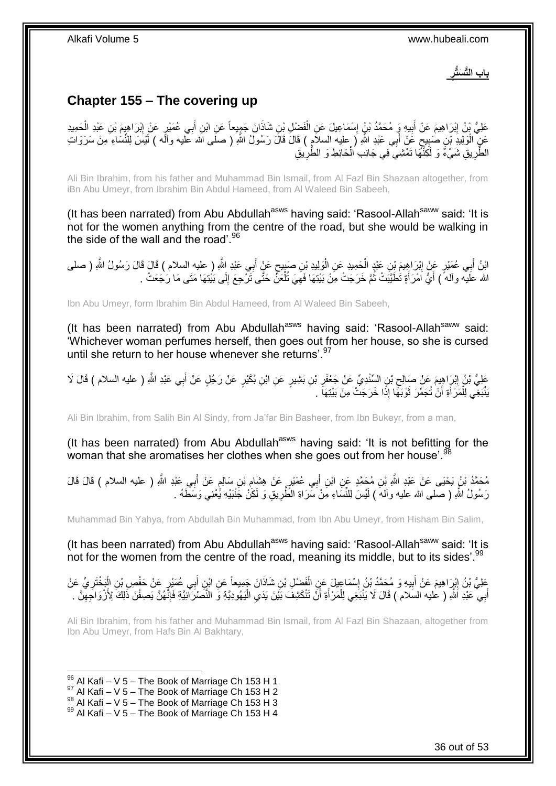**باب الَّت َسُّتر**

## <span id="page-35-0"></span>**Chapter 155 – The covering up**

عَلِيُّ بِْنُ إِبْرَاهِيمَ عَنْ أَبِيهِ وَ مُحَمَّدُ بْنُ إِسْمَاعِيلَ عَنِ الْفَضْلِ بْنِ شَاذَانَ جَمِيعاً عَنِ ابْنِ أَبِي عُمَيْرٍ عَنْ إِبْرَاهِيمَ بْنِ عَبْدِ الْحَمِيدِ َ ْ ِ **!** َ ِ ْ ِ عَنٍّ الْوَلِيدِّ بْنِ صُبِيعٍ عََنْ أَبِي عَبْدِ اللَّهِ ( عليه السلاَمِ ) قَالَ قَالَ رَسُولُ اللَّهِ ( صلَى الله عَليه والَه ) لَيْسَ لِلنِّسَاءِ مِنْ سَرَوَاتِ َ ٍ ِ ْ الطَّرِيقِ شَيْءً وَ لَكِنَّهَا تَمْشِيَ فِي جَانِبِ الْحَائِطِ وَ الطَّرِيقِ ِ **ٍ** ْ

Ali Bin Ibrahim, from his father and Muhammad Bin Ismail, from Al Fazl Bin Shazaan altogether, from iBn Abu Umeyr, from Ibrahim Bin Abdul Hameed, from Al Waleed Bin Sabeeh,

(It has been narrated) from Abu Abdullah<sup>asws</sup> having said: 'Rasool-Allah<sup>saww</sup> said: 'It is not for the women anything from the centre of the road, but she would be walking in the side of the wall and the road'.<sup>96</sup>

ائِنُ أَبِي عُمَيْرٍ عَنِّ إِبْرَاهِيمَ بْنِ عَبْدٍ الْحَمِيدِ عَنِ الْوَلِيدِ بْنِ صَبِيحٍ عَنٍْ أَبِي عَبْدِ اللَّهِ ( عليه السلام ) قَالَ قَالَ رَسُولُ اللَّهِ ( صلى َ ٍ ِ ْ ْ ِ الله علَيْه وأله ً) أَيُّ اَمْرَ أَةٍ تُطَيَّبَتْ ثُمَّ خَرَجَتْ مِنْ بَيْتِهَا فَهِيَ تُلْعَنَّ حَتَّى ثَرْجِعَ إِلَى بَيْتِهَا مَتَى مَا رَجَعَتْ . ِ ْ ِ ُ َ

Ibn Abu Umeyr, form Ibrahim Bin Abdul Hameed, from Al Waleed Bin Sabeeh,

(It has been narrated) from Abu Abdullah<sup>asws</sup> having said: 'Rasool-Allah<sup>saww</sup> said: 'Whichever woman perfumes herself, then goes out from her house, so she is cursed until she return to her house whenever she returns'  $97$ 

عَلِيُّ بْنُ إِبْرٍ اهِبِمَ عَنْ صَالِحٍ بْنِ السِّنْدِيِّ عَنْ جَعْفَرِ بْنِ بَشِيرٍ عَنِ ابْنِ بُكَيْرٍ عَنْ رَجُلٍ عَنْ أَبِي عَبْدِ اللَّهِ ( عليه السلام ) قَالَ لَا َ ِ ِ َبْنْبَغِّي لِلْمَرْ أَةِ أَنْ تُجَمِّرَ ثَوْبَهِّا إِذَا خَرَجَتْ مِنْ بَيْتِهَا ۚ ـِ ة<br>ا َ َ ْ

Ali Bin Ibrahim, from Salih Bin Al Sindy, from Ja'far Bin Basheer, from Ibn Bukeyr, from a man,

(It has been narrated) from Abu Abdullah<sup>asws</sup> having said: 'It is not befitting for the woman that she aromatises her clothes when she goes out from her house'.<sup>98</sup>

مُحَمَّدُ بْنُ يَحْيَى عَنْ عَبْدِ اللَّهِ بْنِ مُحَمَّدٍ عَنِ ابْنِ أَبِي عُمَيْرٍ عَنْ هِشَامٍ بْنِ سَالِمٍ عَنْ أَبِي عَبْدِ اللَّهِ ( عليه السلام ) قَالَ قَالَ َ ֧֧֧֧֚֓֝֝֓֝֓֝֬֝֓ ِ َ رَسُولُ اللَّهِ ( صَلمى الله عليه وألهَ ) لَيْسَ لِلنِّسَاءِ مِنْ سَّرَاةِ الطَّرِيقِ وَ لَكِنْ جَنْبَيْهِ يُحْنِي وَسَطَّهُ . ِ

Muhammad Bin Yahya, from Abdullah Bin Muhammad, from Ibn Abu Umeyr, from Hisham Bin Salim,

(It has been narrated) from Abu Abdullah<sup>asws</sup> having said: 'Rasool-Allah<sup>saww</sup> said: 'It is not for the women from the centre of the road, meaning its middle, but to its sides'.<sup>99</sup>

عَلِيُّ بْنُ إِنْرَاهِيمَ عَنْ أَبِيهِ وَ مُحَمَّدُ بْنُ إِسْمَاعِيلَ عَنِ الْفَضْلِ بْنِ شَاذَانَ جَمِيعاً عَنِ ابْنِ أَبِي عُمَيْرٍ عَنْ حَفْصِ بْنِ الْبَخْتَرِيِّ عَنْ َ ْ ِ **!**  ِ ِ ْ أَبِي ۖ عَبْدِ اَللَّهِ ( عليه السَلام ) قَالَ لَا يَنْنَجِي لِلْمَرْ أَةِ أَنْ تَنْكَشِفَ بَيِّنَ يَدَيِ الْيَهُودِيَّةِ وَّ النَّصْرَ اَنِيَّةٍ فَإِنَّهُنَّ يَصِفْنَ ذَلِكَ لِأَزْوَاجِهِنَّ . اُ َ ْ َ ِ ِ ْ  $\ddot{\phantom{0}}$ 

Ali Bin Ibrahim, from his father and Muhammad Bin Ismail, from Al Fazl Bin Shazaan, altogether from Ibn Abu Umeyr, from Hafs Bin Al Bakhtary,

<sup>1</sup>  $96$  Al Kafi – V 5 – The Book of Marriage Ch 153 H 1

 $^{97}$  Al Kafi – V 5 – The Book of Marriage Ch 153 H 2

 $98$  Al Kafi – V 5 – The Book of Marriage Ch 153 H 3

 $99$  Al Kafi – V 5 – The Book of Marriage Ch 153 H 4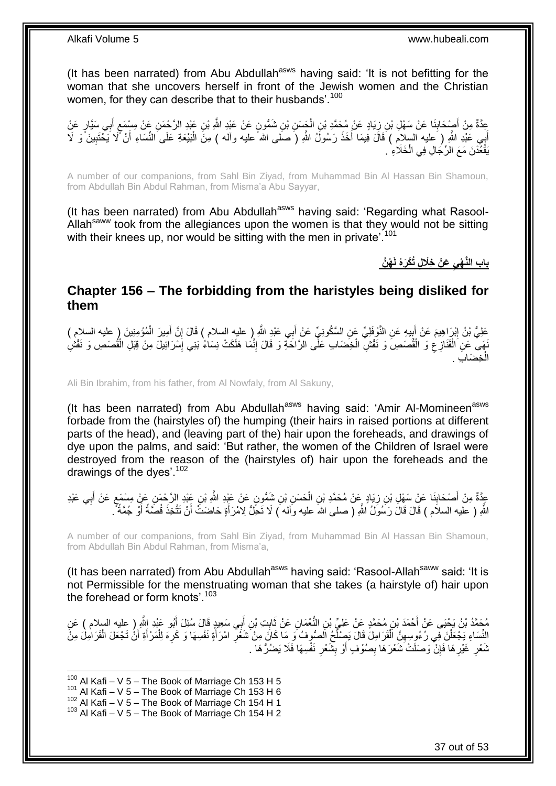(It has been narrated) from Abu Abdullah<sup>asws</sup> having said: 'It is not befitting for the woman that she uncovers herself in front of the Jewish women and the Christian women, for they can describe that to their husbands'.<sup>100</sup>

عِدَّةٌ مِنْ أَصْبِحَابِذَا عَنْ سَهْلِ بْنِ زِيَادٍ عَنْ مُحَمَّدِ بْنِ الْجَسَنِ بْنِ شَمُّونٍ عَنْ عَبْدِ اللَّهُ بْنِ عَبْدِ الرَّحْمَنِ عَنْ مِسْمَعٍ أَبِي سَيَّارٍ عَنْ ِ َ ِ َ ٍ ْ ِ أَبِي عَبْدِ اللَّهِ ( َعِليه السلام ) قَالَ فِيمَا أَخَذَ رَسُولُ اللَّهِ (َ صَلَى الله ً عليه وأله ) مِنَ الْمَيْعَةِ عَلَى النِّسَاءِ أَنْ كَمَا يَحْتَبِينَ ًوَ لَا ْ َ َ ِ َ يَقْعُدْنَ مَعَ الرِّجَالِ فِي الْخَلَاءِ ْ

A number of our companions, from Sahl Bin Ziyad, from Muhammad Bin Al Hassan Bin Shamoun, from Abdullah Bin Abdul Rahman, from Misma'a Abu Sayyar,

(It has been narrated) from Abu Abdullah<sup>asws</sup> having said: 'Regarding what Rasool-Allah<sup>saww</sup> took from the allegiances upon the women is that they would not be sitting with their knees up, nor would be sitting with the men in private<sup>'.101</sup>

**ُه َّن َع ْن خَال ٍل ُتْكَرهُ لَ باب الَّن ْهي** 

### <span id="page-36-0"></span>**Chapter 156 – The forbidding from the haristyles being disliked for them**

عَلِيُّ بْنُ إِبْرَاهِيمَ عَنْ أَبِيهِ عَنِ النَّوْفَلِيِّ عَنِ السَّكُونِيِّ عَنْ أَبِي عَبْدِ اللَّهِ إِ طلبِهِ السلام ) قَالَ إِنَّ أَمِيرَ الْمُؤْمِنِينَ إِ عليه السلام ) َ ِ َ ِ ْ َ ِ نَهَى عَنِ الْقَنَازِعِ وَ الْقُصَصِ وَ نَقْشِ الْخِضَابِ عَلَّى الرَّاحَةِ وَ قَالَ إِنَّمَا هَلَكَتْ نِسَاءُ بَنِي إِسْرَائِيلَ مِنْ قِبَلِ الْقُصَصِ وَ نَقْشِ ِ ِ ْ ْ ِ ْ ْ خِضَابِ . ْ ال

Ali Bin Ibrahim, from his father, from Al Nowfaly, from Al Sakuny,

(It has been narrated) from Abu Abdullah<sup>asws</sup> having said: 'Amir Al-Momineen<sup>asws</sup> forbade from the (hairstyles of) the humping (their hairs in raised portions at different parts of the head), and (leaving part of the) hair upon the foreheads, and drawings of dye upon the palms, and said: 'But rather, the women of the Children of Israel were destroyed from the reason of the (hairstyles of) hair upon the foreheads and the drawings of the dyes'.<sup>102</sup>

عَذَّةٌ مِنْ أَصْحَابِنَا عَنْ سَهْلِ بْنِ زِيَادٍ عَنْ مُحَمَّدِ بْنِ الْحَسَنِ بْنِ شَمُّونٍ عَنْ عَبْدِ اللَّهِ بْنِ عَبْدِ الرَّحْمَنِ عَنْ مِسْمَعٍ عَنْ أَبِي عَبْدِ ْ ِ **∣** َ ِ َ **≀** اللَّهِ ( عليه السلام ) قَالَ قَالَ رَسُولُ اللَّهِ ( صلى اللهَ عليه واله ) لَا تَحِلُّ لِامْرَأَةٍ حَاضَتَ أَنْ تَتَّخِذَ قُصَّةً أَوْ جُمَّةً ۚ. َ َ َ

A number of our companions, from Sahl Bin Ziyad, from Muhammad Bin Al Hassan Bin Shamoun, from Abdullah Bin Abdul Rahman, from Misma'a,

(It has been narrated) from Abu Abdullah<sup>asws</sup> having said: 'Rasool-Allah<sup>saww</sup> said: 'It is not Permissible for the menstruating woman that she takes (a hairstyle of) hair upon the forehead or form knots' 103

مُحَمَّدُ بْنُ يَحْيَى عَنْ أَحْمَدَ بْنِ مُحَمَّدٍ عَنْ عَلِيٍّ بْنِ النُّعْمَانِ عَنْ ثَابِتِ بْنِ أَبِي سَعِيدٍ قَالَ سُئِلَ أَبُو عَبْدِ النَّهِ إِحْلِيهِ السلام ) عَنِ<br>مُحَمَّدُ بْنُ يَحْيَى عَنْ أَحْمَدَ بْنِ مُحَمَّ َ **ِ** َ َ َ النِّسَاءِ يَجْعَلْنَ فِي رُءُوِسِهِنَّ الْقَرَامِلَ قَالَ يَصِلْحُ الصُّوفُ وَ مَا كَانَ مِنْ شَعُّرِ امْرَأَةٍ نَفْسِهَا وَ كَرِهَ لِلْمَرْأَةِ أَنْ تَجْعَلَ الْقَرَامِلَ مِنْ ْ َ َ ْ ِ َ ِ ُ ْ ْ نَّعْرِ غَيْرِهَا فَإِنّْ وَصَلَتْ شَعْرَهَا بِصُوْفٍ أَوْ بِشَّعْرِ نَفْسِهَا فَلَا يَضُرُّهَا . ِ **∣** ِ ِ ِ **∶** 

 $100$  Al Kafi – V 5 – The Book of Marriage Ch 153 H 5

 $101$  Al Kafi – V 5 – The Book of Marriage Ch 153 H 6

 $102$  Al Kafi – V 5 – The Book of Marriage Ch 154 H 1

 $103$  Al Kafi – V 5 – The Book of Marriage Ch 154 H 2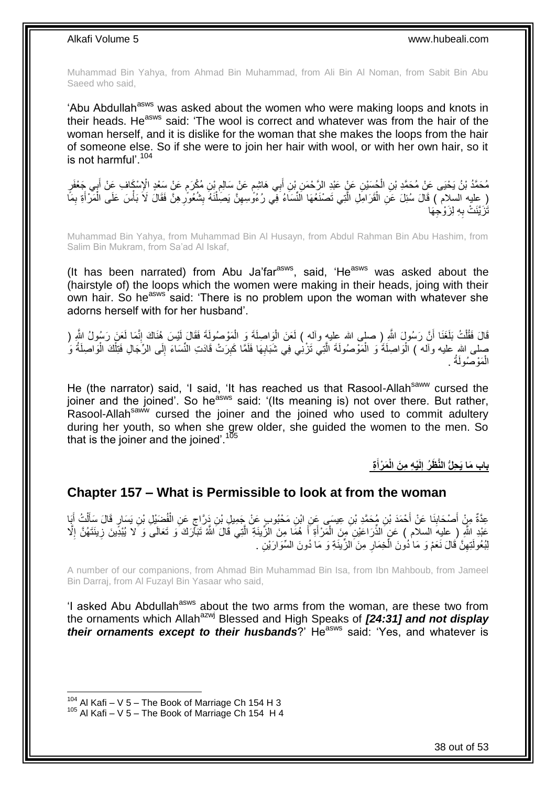Muhammad Bin Yahya, from Ahmad Bin Muhammad, from Ali Bin Al Noman, from Sabit Bin Abu Saeed who said,

'Abu Abdullah<sup>asws</sup> was asked about the women who were making loops and knots in their heads. He<sup>asws</sup> said: 'The wool is correct and whatever was from the hair of the woman herself, and it is dislike for the woman that she makes the loops from the hair of someone else. So if she were to join her hair with wool, or with her own hair, so it is not harmful'.<sup>104</sup>

مُحَمَّدُ بْنُ يَحْيَى عَنْ مُحَمَّدِ بْنِ الْحُسَيْنِ عَنْ عَبْدِ الرَّحْمَنِ بْنِ أَبِي هَاشِم عَنْ سَالِمِ بْنِ مُكْرَمٍ عَنْ سَعْدٍ الْإِسْكَافِ عَنْ أَبِي جَعْفَرٍ ْ َ ֧֖֖֖֦֧֦֧֦֧֧֦֧֚֚֚֩֘֝֬֝֝֓֝֓֜*֬* ِ ֧֧֚֓֝֝֓֝֬ َ ( ِعِليه السلام ) قَالَ سُئِلَ عَنِ الْقَرَامِلِ الَّتِي تَصْنَعُهَا النِّسَاءُ فِي رُءُوَّسِهِنَّ يَصَنْنُهُ بِشُعُورِ هِنَّ فَقَالَ لَاَ بَأْسَ عَلَى الْمَرْأَةِ بِمَا **ٍ** ِ ْ ِ َّ ْ ْ ِ َ ْ َتَزَيَّنَتْ بِهِ لِزَوْجِهَا ِ

Muhammad Bin Yahya, from Muhammad Bin Al Husayn, from Abdul Rahman Bin Abu Hashim, from Salim Bin Mukram, from Sa'ad Al Iskaf,

(It has been narrated) from Abu Ja'far $a_{\text{sws}}$ , said, 'He $a_{\text{sws}}$  was asked about the (hairstyle of) the loops which the women were making in their heads, joing with their own hair. So he<sup>asws</sup> said: 'There is no problem upon the woman with whatever she adorns herself with for her husband'.

قَالَ فَقُلْتُ بَلَغَنَا أَنَّ رَسُولَ اللَّهِ ( صلبى الله عليهِ وألمه ) لَعَنَ الْوَاصِلَةَ وَ الْمَوْصُولَةَ فَقَالَ لَيْسَ هُنَاكَ إِنَّمَا لَعَنَ رَسُولُ اللَّهِ ( اً ْ ِ ْ ْ صلى الله عليه وأله ) الْوَاصِلَةَ وَ الْمَوْصُولَةَ الَّتِي تَزْنِي فِي شَبَابِهَا فَلَمَّا كَبِرَتْ قَادَتِ النِّسَاءَ إِلَى الرِّجَالِ فَتِلْكَ الْوَاصِلَةُ وَ ِ ِ ِ َّ ْ ْ ْ الْمَوْصُولَةُ . ْ

He (the narrator) said, 'I said, 'It has reached us that Rasool-Allah<sup>saww</sup> cursed the joiner and the joined'. So he<sup>asws</sup> said: '(Its meaning is) not over there. But rather, Rasool-Allah<sup>saww</sup> cursed the joiner and the joined who used to commit adultery during her youth, so when she grew older, she guided the women to the men. So that is the joiner and the joined'.<sup>105</sup>

> **ة َم ْرأ ْي ه م َن الْ لَ باب َما َي حلُّ الَّن َظ ُر إ َ**

### <span id="page-37-0"></span>**Chapter 157 – What is Permissible to look at from the woman**

عِدَّةٌ مِنْ أَصْحَابِنَا عَنْ أَحْمَدَ بْنِ مُحَمَّدِ بْنِ عِيسَى عَنِ ابْنِ مَحْبُوبٍ عَنْ جَمِيلِ بْنِ دَرَّاجٍ عَنِ الْفُضِيْلِ بْنِ يَسَارٍ قَالَ سَأَلْتُ أَبَا ْ ٍ َ **ِ** َ ْ َ عَبْدِ اللَّهِ ( عليهَ السلام ) عَنِ الذِّرَاعَيْنِ مِنَ الْمَرْأَةِ أَ هُمَا مِنَ الزِّينَةِ الَّتِي قَالَ الشَّهُ تَبَأَّرَكَ وَ تَعَالَى وَ لا يُبْدِّينَ زِينَتَهُنَّ إِلَّا<br>... َ َ ْ ِ ِ َّ لِبُعُولَٰتِهِنَّ قَالَ نَعَمْ وَ مَا ٰذُونَ الْخِمَارِ مِنَ الزِّينَةِ وَ مَا دُونَ السِّوَارَيْنِ . **∶** ْ ِ

A number of our companions, from Ahmad Bin Muhammad Bin Isa, from Ibn Mahboub, from Jameel Bin Darraj, from Al Fuzayl Bin Yasaar who said,

'I asked Abu Abdullah<sup>asws</sup> about the two arms from the woman, are these two from the ornaments which Allah<sup>azwj</sup> Blessed and High Speaks of **[24:31] and not display** *their ornaments except to their husbands*?' He<sup>asws</sup> said: 'Yes, and whatever is

 $104$  Al Kafi – V 5 – The Book of Marriage Ch 154 H 3

 $105$  Al Kafi – V 5 – The Book of Marriage Ch 154 H 4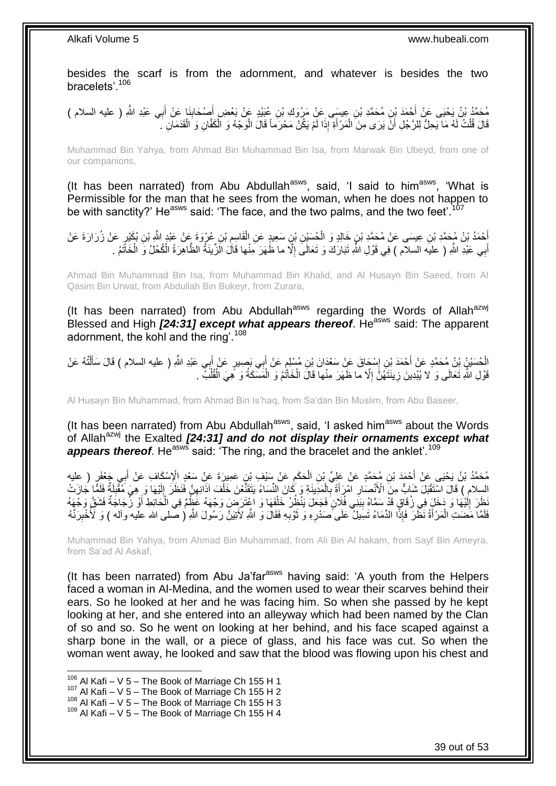besides the scarf is from the adornment, and whatever is besides the two bracelets'.<sup>106</sup>

مُحَمَّدُ بْنُ يَحْيَى عَنْ أَحْمَدَ بْنِ مُحَمَّدِ بْنِ عِيسَى عَنْ مَرْوَكِ بْنِ عُيَيْدٍ عَنْ بَعْضٍ أَصْحَابِنَا عَنْ أَبِي عَبْدِ اللَّهِ ( عليه السلام )<br>يُمْدَمُّهُ بِي أَي مَن يَمْدِينَ بِنَّ مُحَمَّدِ بْنِ عِيسَى َ َ َ ِ قَالَ قُلْتُ لَهُ مَا يَحِلُّ لِلرَّجُلِ أَنَّ يَرَى مِنَ الْمَرْ أَةِ إِذَا لَمْ يَكُنْ مَحْرَماً قَالَ الْوَجْهُ وَ الْكَفَّانِ وَ الْقَدَمَانِ ۗ. ْ ْ َ ْ اُ ْ ْ

Muhammad Bin Yahya, from Ahmad Bin Muhammad Bin Isa, from Marwak Bin Ubeyd, from one of our companions,

(It has been narrated) from Abu Abdullah<sup>asws</sup>, said, 'I said to him<sup>asws</sup>, 'What is Permissible for the man that he sees from the woman, when he does not happen to be with sanctity?' He<sup>asws</sup> said: 'The face, and the two palms, and the two feet'.<sup>107</sup>

َعْمَدُ بْنُ مُجَمَّدِ بْنِ عِيسَى عَنْ مُحَمَّدِ بْنٍ خَالِدٍ وَ الْحُسَيْنِ بْنِ سَعِيدٍ عَنِ الْقَاسِمِ بْنِ عُرْوَةَ عَنْ عَنْدٍ الثَّهِ بْنِ بُكَيْرٍ عَنْ زُرَارَةَ عَنْ  $\ddot{\phantom{a}}$ ْ ْ أَبِي عَبْدِ اللَّهِ ( عليه السلام ) فِي قَوْلِ اللَّهِ تَبَارَكَ وَ تَعَالَىَ إِلَّا ما ظَهَرَ مِنْها قَالَ الَزِّينَةُ الظَّاهِرَةُ الْكُحْلُ وَ الْخَاتَمُ . َ ِ ْ

Ahmad Bin Muhammad Bin Isa, from Muhammad Bin Khalid, and Al Husayn Bin Saeed, from Al Qasim Bin Urwat, from Abdullah Bin Bukeyr, from Zurara,

(It has been narrated) from Abu Abdullah<sup>asws</sup> regarding the Words of Allah<sup>azwj</sup> Blessed and High [24:31] except what appears thereof. He<sup>asws</sup> said: The apparent adornment, the kohl and the ring'.<sup>108</sup>

لْحُسَيْنُ بْنُ مُحَمَّدٍ عَنْ أَحْمَدَ بْنِ إِسْجَاقَ عَنْ سَعْدَانَ بْنِ مُسْلِمٍ عَنْ أَبِي بَصِيرٍ عَنْ أَبِي عَبْدِ اللَّهِ ( عليه السلام ) قَالَ سَأَلْتُهُ عَنْ<br>ُ ْ ْ َ َ َ ٍ ِ ْ قَوْلِ اللَّهِ تَعَالَى وَ لا يُبْدِينَ زِينَتَهُنَّ إِلَّا ما ظَهَرَ مِنْها قَالَ الْخَاتُمُ وَ الْمَسَكَةُ وَ هِيَ الْقُلُبِّ . ْ ْ ِ ِ ْ

Al Husayn Bin Muhammad, from Ahmad Bin Is'haq, from Sa'dan Bin Muslim, from Abu Baseer,

(It has been narrated) from Abu Abdullah<sup>asws</sup>, said, 'I asked him<sup>asws</sup> about the Words of Allah<sup>azwj</sup> the Exalted **[24:31] and do not display their ornaments except what** appears thereof. He<sup>asws</sup> said: 'The ring, and the bracelet and the anklet'.<sup>109</sup>

مُحَمَّدُ بْنُ يَحْيَى عَنْ أَحْمَدَ بْنِ مُحَمَّدٍ عَنْ عَلِيٍّ بْنِ الْحَكَمِ عَنْ سَنْيْبِ بْنِ عَمِيرَةَ عَنْ سَعْدِ الْإِسْكَافِ عَنْ أَبِي جَعْفَرٍ ( عليه<br>بدين المقام وكان المقام المقام المقام المقام المقام المقام ا  $\ddot{\phantom{a}}$ ْ َ السِلام ) قَالَ اسْتَقْبَلَ شَابٍّ مِنَ الْأَنْصَارِ امْرَأَةً بِالْمَدِينَةِ وَ كَانَ النِّسَاءُ يَتَقَنَّعْنَ خَلْفَ آذَانِهِنَّ فَنَظَرَ إِلَيْهَا وَ ِهِيَ مُقْبِلَةٌ فَلَمًّا جَازَتْ ِ ِ ْ ْ ِ َ **∶** ِ لَ َظِّرَ اِلْيُهَا وَ دَخَلَ فِي زُقَاقٍ قَدْ سَمَّاهُ بِبَنِّي فُلَانٍ فَجَعَلَ يَنْظُرُ خَلْفَهَا وَ اعْتَرَضَ وَجْهَهُ عَظِّمَ فِي الْحَائِطِ أَوْ زُجَاجَةٌ فَشَقَّ وَجْهَهُ **!** لَ ِ َ ْ ْ فَلَمَّا مَضَتِ الْمَرْأَةُ نَظَّرَ فَإِذًّا الدِّمَاءُ تَسِيلُ عَلَى ۖصَدْرِهِ وَ تَوْبِهِ فَقَالَ وَ اللَّهِ لِأَنْتِيَنَّ رَسُولَ اللَّهِ ( صلى الله عليه واله ) وَ لَأُخْبِرَنَّهُ ِ َ ِ َ ْ ِ

Muhammad Bin Yahya, from Ahmad Bin Muhammad, from Ali Bin Al hakam, from Sayf Bin Ameyra, from Sa'ad Al Askaf,

(It has been narrated) from Abu Ja'far<sup>asws</sup> having said: 'A youth from the Helpers faced a woman in Al-Medina, and the women used to wear their scarves behind their ears. So he looked at her and he was facing him. So when she passed by he kept looking at her, and she entered into an alleyway which had been named by the Clan of so and so. So he went on looking at her behind, and his face scaped against a sharp bone in the wall, or a piece of glass, and his face was cut. So when the woman went away, he looked and saw that the blood was flowing upon his chest and

 $106$  Al Kafi – V 5 – The Book of Marriage Ch 155 H 1

 $107$  Al Kafi – V 5 – The Book of Marriage Ch 155 H 2

 $108$  Al Kafi – V  $5$  – The Book of Marriage Ch 155 H 3

 $109$  Al Kafi – V 5 – The Book of Marriage Ch 155 H 4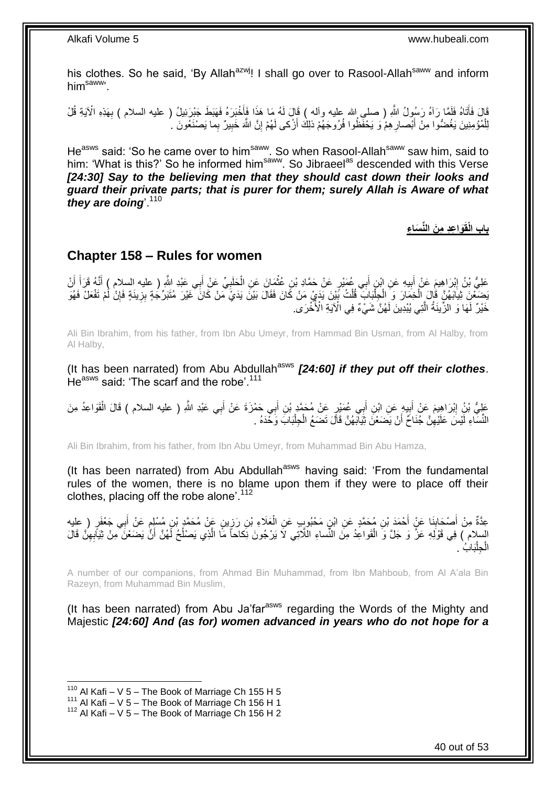his clothes. So he said, 'By Allah<sup>azwj</sup>! I shall go over to Rasool-Allah<sup>saww</sup> and inform himsaww'.

قَالَ فَأَتَنَاهُ فَلَمَّا رَآهُ رَسُولُ اللَّهِ ( صلى الله عليه وألمه ) قَالَ لَمُه مَا هَذَا فَأَخْبَرَهُ فَهَبَطَ جَبْرَئِيلُ ( عليه السلام ) بِهَذِهِ الْآيَةِ قُلْ َ َ **∶** لِلْمُؤْمِنِينَ يَغُضُّوا مِنْ أَبْصارِ هِمْ وَ يَخْفَظُوا فُرُوجَهُمْ ذلِكَ أَزْكى لَهُمْ إِنَّ اللَّهَ خَبِيرٌ بِما يَصْنَغُونَ <sub>.</sub> ُ ِ َ ْ ِ ِ ِ اُ

He<sup>asws</sup> said: 'So he came over to him<sup>saww</sup>. So when Rasool-Allah<sup>saww</sup> saw him, said to him: 'What is this?' So he informed him<sup>saww</sup>. So Jibraeel<sup>as</sup> descended with this Verse [24:30] Say to the believing men that they should cast down their looks and *guard their private parts; that is purer for them; surely Allah is Aware of what*  they are doing<sup>110</sup>

**َوا ع د م َن الِّن َسا ء باب الْقَ**

### <span id="page-39-0"></span>**Chapter 158 – Rules for women**

عَلِيُّ بْنُ إِبْرَاهِيمَ عَنْ أَبِيهِ عَنِ إِبْنِ أَبِي عُمَيْرٍ عَنْ حَمَّادِ بْنِ عُثْمَانَ عَنِ الْحَلَبِيِّ عَنْ أَبِي عَبْدِ اللَّهِ ( عليه السلام ) أَنَّهُ قَرَأَ أَنْ **!** َ <u>֖֚֚֓</u> َ َ َ ِ ْ **ٔ** َ َ بَضَعْنِ ثِيَابَهُنَّ قَالَ الْخِمَارَ وَ الْجِلْبَابَ قُلْتُ بَيْنَ يَدَيْ مَنْ كَانَ فَقَالَ بَيْنَ يَدَيُّ مَنْ كَانَ عَيْرَ مُتَبَرِّجَةٍ بِزِينَةٍ فَإِنَّ لَمْ تَفْعَلْ فَهُوَ<br>يَسْتَعْنِ ثِيابَهُنَّ قَالَ الْخِمَارَ ْ ْ ْ ْ ∣ļ ِ خَيْرٌ لِّمَا ۖ وَ الْزِّينَةُ الَّتِي يُبْدِينَ لَهُنَّ شَيْءٌ فِي الْآيَةِ الْأُخْرَى. َّ

Ali Bin Ibrahim, from his father, from Ibn Abu Umeyr, from Hammad Bin Usman, from Al Halby, from Al Halby,

(It has been narrated) from Abu Abdullah<sup>asws</sup> [24:60] if they put off their clothes. He<sup>asws</sup> said: 'The scarf and the robe'.<sup>111</sup>

عَلِيُّ بْنُِ إِبْرَاهِيمَ عَنْ أَبِيهِ عَنِ ابْنِ أَبِي عُمَيْرٍ عَنْ مُحَمَّدٍ بْنِ أَبِي حَمْزَةَ عَنْ أَبِي عَبْدِ اللَّهِ ( عليه السلام ) قَالَ الْقَوَاعِدُ مِنَ َ َ َ  $\ddot{\phantom{a}}$ َ **ֽוּ** ْ النِّسَاءِ لَيْسَ عَلَيْهِنَّ جُنَاحٌ أَنْ يَضَعْنَ ثِيَابَهُنَّ قَالَ تَضَعُ الْجِلْبَابَ وَحْدَهُ . ْ ْ َ ِ

Ali Bin Ibrahim, from his father, from Ibn Abu Umeyr, from Muhammad Bin Abu Hamza,

(It has been narrated) from Abu Abdullah $a<sup>asws</sup>$  having said: 'From the fundamental rules of the women, there is no blame upon them if they were to place off their clothes, placing off the robe alone'.<sup>112</sup>

ِ عِدَّةٌ مِنْ أَصْحَابِذَا عَنٍْ أَحْمَدَ بْنِ مُحَمَّدٍ عَنِ ابْنٍ مَحْبُوبٍ عَنِ الْعَلَاءِ بْنِ رَزِينٍ عَنْ مُحَمَّدٍ بْنِ مُسْلِمٍ عَنْ أَبِي جَعْفَرٍ ( عليه ْ َ **∣** َ َ ֦֦֦֦֦֚֩֘֝֝֝֝֝֝֝ السلام ) فِي قَوْلَهِ عَزَّ وَ جَلَّ وَ الْقَواعِدُ مِنَ النِّساءِ اللَّاتِي لاَ يَرْجُونَ نِكاحاً مَّا الَّذِي يَصْلُحُ لَهُنَّ أَنَّ يَضَعْنَ مِنْ ثِيَابِهِنَّ قَالَ ا<br>ا َّ ْ ِ َ بَابُ . ا<br>ا جِلْبَ ْ ال

A number of our companions, from Ahmad Bin Muhammad, from Ibn Mahboub, from Al A'ala Bin Razeyn, from Muhammad Bin Muslim,

(It has been narrated) from Abu Ja'far<sup>asws</sup> regarding the Words of the Mighty and Majestic *[24:60] And (as for) women advanced in years who do not hope for a* 

 $110$  Al Kafi – V 5 – The Book of Marriage Ch 155 H 5

 $111$  Al Kafi – V 5 – The Book of Marriage Ch 156 H 1

 $112$  Al Kafi – V 5 – The Book of Marriage Ch 156 H 2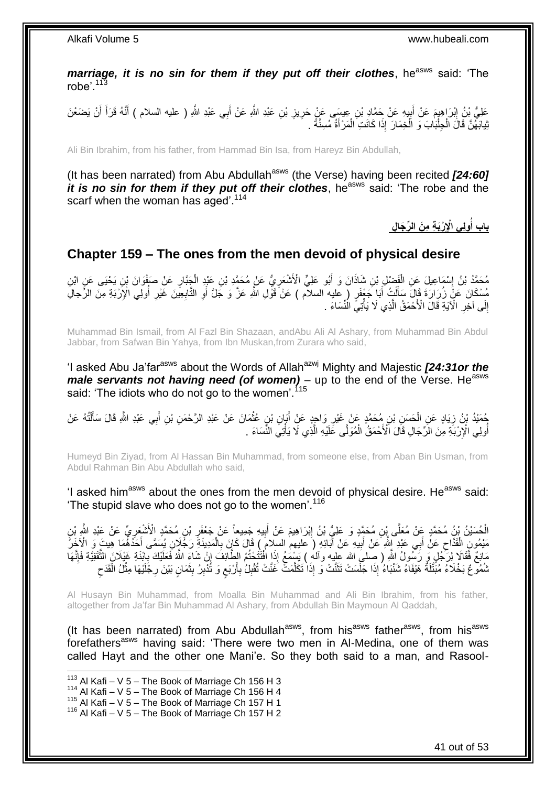*marriage, it is no sin for them if they put off their clothes, he<sup>asws</sup> said: 'The* robe'. $113$ 

عَلِيُّ بِنُ إِبْرَاهِيمَ عَنْ أَبِيهِ عَنْ جَمَّادِ بْنِ عِيسَى عَنٍْ حَرِيزِ بْنِ عَبْدِ اللَّهِ عَنْ أَبِي عَبْدِ اللَّهِ ( عليه السلام ) أَنَّهُ قَرَأَ أَنْ يَضَعْنَ َ ِ **ٍ** ֑֧֦֧<u>֓</u> َ ِ َ َ يْدِابَهُنَّ قَالَ الْجِلْبَابَ وَ الْخِمَارَ إِذَا كَانَتِ الْمَرْأَةُ مُسِنَّةً . َ ْ ْ ا.<br>ا ْ

Ali Bin Ibrahim, from his father, from Hammad Bin Isa, from Hareyz Bin Abdullah,

(It has been narrated) from Abu Abdullah<sup>asws</sup> (the Verse) having been recited [24:60] *it is no sin for them if they put off their clothes*, he<sup>asws</sup> said: 'The robe and the scarf when the woman has aged'.<sup>114</sup>

> **ول ي اْإل ْرَب ة م َن ال ِّر َجا ل باب أ ُ**

### <span id="page-40-0"></span>**Chapter 159 – The ones from the men devoid of physical desire**

مُحَمَّدُ بْنُ إِسْمَاعِيلَ عَنِ الْفَضْلِ بْنِ شَاذَانَ وَ أَبُو عَلِيٍّ الْأَشْعَرِيُّ عَنْ مُحَمَّدِ بْنِ عَبْدٍ الْجَنَّارِ عَنْ صَفْوَانَ بْنِ يَحْيَى عَنِ ابْنِ<br>مُحَمَّدُ بْنُ إِسْمَاعِيلَ عَنِ الْفَضْلِ بْنِ شَاذَا ِ ْ **∶** َ ْ ِ ٍَّ ) عليه السالم ( َع ْن َقْو ِل ََّّللاِ َع َّز َو َج َّل َبا َج ْعَف ُ أ ل ِل ُم ْس َما َن َع ْن ُز ََّا َََّة َقا َل َست ََّْب ِة ِم َن ال َِّّجا ْْلِ ولِ ا أ ِعي َن َغْيَّ اب التَّ و أ َ ْ َ ُ ِ ِ **∶** َ إِلَى آخِرِ الْآيَةِ قَالَ الْأَحْمَقُ الَّذِي لَا يَأْتِيَّ الْنِّسَاءَ . ْ َّ ِ ِ

Muhammad Bin Ismail, from Al Fazl Bin Shazaan, andAbu Ali Al Ashary, from Muhammad Bin Abdul Jabbar, from Safwan Bin Yahya, from Ibn Muskan,from Zurara who said,

'I asked Abu Ja'far<sup>asws</sup> about the Words of Allah<sup>azwj</sup> Mighty and Majestic *[24:31or the male servants not having need (of women)* – up to the end of the Verse. He<sup>asws</sup> said: 'The idiots who do not go to the women'.<sup>115</sup>

حُمَيْدُ بْنُ زِيَادٍ عَنِ الْحَسَنِ بْنِ مُحَمَّدٍ عَنْ غَيْرِ وَاحِدٍ عَنْ أَبَانِ بْنٍ عُثْمَانَ عَنْ عَبْدِ الرَّحْمَنِ بْنِ أَبِي عَبْدِ اللَّهِ قَالَ سَأَلْتُهُ عَنْ ْ َ ِ ْ ِ ْ اً<br>أ َ أُولِي الْإِرْبَةِ مِنَ الرِّجَالِ قَالَ الْأَحْمَقُ الْمُوَلَّى غَلَيْهِ الَّذِي لَا يَأْتِي النِّسَاءَ . َّ ْ ُ ْ

Humeyd Bin Ziyad, from Al Hassan Bin Muhammad, from someone else, from Aban Bin Usman, from Abdul Rahman Bin Abu Abdullah who said,

'I asked him<sup>asws</sup> about the ones from the men devoid of physical desire. He<sup>asws</sup> said: The stupid slave who does not go to the women'.<sup>116</sup>

َالْحُسَيْنُ بِنِۢ مُحَمَّدٍ عَنْ مُعَلَّى بِْنِ مُحَمَّدٍ وَ عَلِيُّ بْنُ إِبْرَاهِيمَ عَنْ أَبِيهِ جَمِيعاً عَنْ جَعْفَرِ بْنِ مُحَمَّدٍ الْأَشْعَرِيِّ عَنْ عَبْدِ الثَّهِ بْنِ<br>... **ٍ** ِ َ ِ ْ ِ ِ مَيْمُونَ الْقَذَّاحِ عَنْ أَبِي عَبْدِ إِلَّهِ عَنْ أَبِيهِ عَنْ أَبَائِهِ ( عَليهم السلام) قَالَ كَإِنَ بِالْمَدِينَةِ رَجُّلَإِنِ بُسَمَّى أَحَدُّهُمَا هِينَ وَ الْآخَرُ ْ َ ْ ِ ِ َ ِ مَانِعٌ فَقَالَا لِرَّجُلٍ وَ رَسُّولُ اللَّهِ ( صِلْيَ الله عليه وألهُ ) يَسْمُعُ إِذَا افْتَتَحْتُمُ الطَّائِفَ إِنّْ شَاءَ اللَّهُ فَعَلَيْكَ بِابْنَةِ غَيْلَانَ الثَّقَفِيَّةِ فَإِنَّهَا<br>مُرْكِمَ فَقَالاً لِرَّجُمِيءَ  $\frac{1}{2}$ َّ ِ ثْمُهُو ۚ كَا خَلَاءُ مُبَّتَّلَةٌ هَنْفَاءُ شَنْبَاءُ إِذَا جَلَسَتْ تَثَنَّتْ وَ إِذَا تَكَلَّمَتَّ غَنَّتْ تُقْبِلُ بِأَرْبَعٍ وَ تُدْبِرُ بِثَمَانٍ بَيْنَ رِجْلَيْهَا مِثْلُ الْقَدَحِ ٍ َ **∶** ِ َّ ة<br>أ  $\zeta$ ْ ْ ِ َ ِ ِ

Al Husayn Bin Muhammad, from Moalla Bin Muhammad and Ali Bin Ibrahim, from his father, altogether from Ja'far Bin Muhammad Al Ashary, from Abdullah Bin Maymoun Al Qaddah,

(It has been narrated) from Abu Abdullah<sup>asws</sup>, from his<sup>asws</sup> father<sup>asws</sup>, from his<sup>asws</sup> forefathers<sup>asws</sup> having said: 'There were two men in Al-Medina, one of them was called Hayt and the other one Mani'e. So they both said to a man, and Rasool-

 $113$  Al Kafi – V 5 – The Book of Marriage Ch 156 H 3

 $114$  Al Kafi – V 5 – The Book of Marriage Ch 156 H 4

<sup>115</sup> Al Kafi – V  $5$  – The Book of Marriage Ch 157 H 1

<sup>116</sup> Al Kafi – V 5 – The Book of Marriage Ch 157 H 2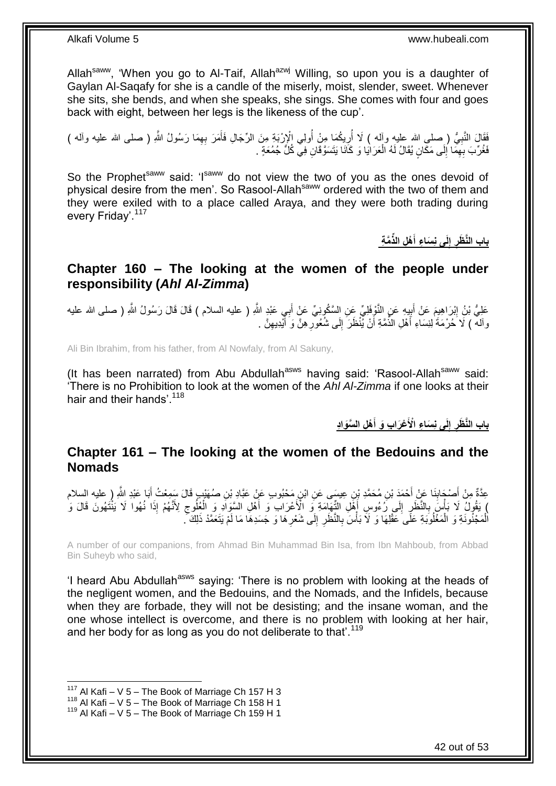Allah<sup>saww</sup>, 'When you go to Al-Taif, Allah<sup>azwj</sup> Willing, so upon you is a daughter of Gaylan Al-Saqafy for she is a candle of the miserly, moist, slender, sweet. Whenever she sits, she bends, and when she speaks, she sings. She comes with four and goes back with eight, between her legs is the likeness of the cup'.

فَقَالَ النَّبِيُّ (صلى الله عليه وأله ) لَا أُرِيكُمَا مِنْ أُولِي الْإِرْبَةِ مِنَ الرِّجَالِ فَأَمَرَ بِهِمَا رَسُولُ اللَّهِ ( صلى الله عليه وأله )<br>فَقَالَ النَّبِيُّ ( صلى الله عليه وأله ) لا أُرِيكُمَا مِنْ أَولِي ا ِ ِ َ ا<br>ا ِ ُ فَغُرِّبَ بِهِمَا إِلَى مَكَانٍ يُقَالُ لَهُ الْعَرَايَا وَ كَانَا بَنَسَوَّقَانِ فِي كُلَّ جُمُعَةٍ . ْ  $\frac{1}{2}$ ِ

So the Prophet<sup>saww</sup> said: 'Isaww do not view the two of you as the ones devoid of physical desire from the men'. So Rasool-Allah<sup>saww</sup> ordered with the two of them and they were exiled with to a place called Araya, and they were both trading during every Friday'.<sup>117</sup>

> **لَى ن َسا ء إ باب الَّن َّم ة َظر ْه ل الذِّ أ َ**

### <span id="page-41-0"></span>**Chapter 160 – The looking at the women of the people under responsibility (***Ahl Al-Zimma***)**

عَلِيُّ بْنُِ إِبْرَاهِيمَ عَنْ أَبِيهِ عَنِ النَّوْفَلِيِّ عَنِ السَّكُوِنِيِّ عَنِْ أَبِي عَبْدِ اللَّهِ ( عليه السلام ) قَالَ قَالَ رَسُولُ اللَّهِ ( صلى الله عليه َ  $\frac{1}{2}$ ِ واللَّه ) لَا ُحُرْمَةً ٰلِنِسَاءِ أَهْلِ الذُّمَّةِ أَنْ يُّنْظَرَ إِلَى شُعُورِ هِنَّ وَ أَيْدِيهِنَّ . ِ َ ِ ∣∣<br>∶ َ

Ali Bin Ibrahim, from his father, from Al Nowfaly, from Al Sakuny,

(It has been narrated) from Abu Abdullah<sup>asws</sup> having said: 'Rasool-Allah<sup>saww</sup> said: 'There is no Prohibition to look at the women of the *Ahl Al-Zimma* if one looks at their hair and their hands'.<sup>118</sup>

> **ْه ل ال َّسَوا د ْع َرا ب َو أ لَى ن َسا ء اْْلَ إ باب الَّن َظر َ**

### <span id="page-41-1"></span>**Chapter 161 – The looking at the women of the Bedouins and the Nomads**

عِدَّةٌ مِنْ أَصْدَابِذَا عَنْ أَحْمَدَ بْنِ مُحَمَّدِ بْنِ عِيسَى عَنِ ابْنِ مَحْبُوبِ عَنْ عَبَّادِ بْنِ صُهَيْبٍ قَالَ سَمِعْتُ أَبَا عَبْدِ اللَّهِ ( عليه السلام<br>-َ ِ َ ) يَقُولُ لَا بَأْسَ بِالنَّظَرِ إِلَى رُءُوسِ أَهْلِ الثِّهَامَةِ وَ الْأَعْرَابِ وَ أَهْلِ السَّوَادِ وَ الْعُلُوجِ لِأَنَّهُمْ إِذَا نُهُوا لَا يَنْتَهُونَ قَالَ وَ َ َ  $\frac{1}{2}$ ِ ِ ِ ْ الْمَجْنُونَةِ وَ الْمَغْلُوَبَةِ عَلَى عَقْلِهَا وَ لَاَ بَأْسَ بِالنَّظَرِ إِلَى شَعْرِهَا وَ جَسَدِهَا مَا لَمْ يَتَعَمَّدْ ذَلِكَ ۖ ِ ِ **∶ ∶ ٔ** ْ ْ

A number of our companions, from Ahmad Bin Muhammad Bin Isa, from Ibn Mahboub, from Abbad Bin Suheyb who said,

'I heard Abu Abdullah<sup>asws</sup> saying: 'There is no problem with looking at the heads of the negligent women, and the Bedouins, and the Nomads, and the Infidels, because when they are forbade, they will not be desisting; and the insane woman, and the one whose intellect is overcome, and there is no problem with looking at her hair, and her body for as long as you do not deliberate to that'.<sup>119</sup>

<sup>&</sup>lt;sup>117</sup> Al Kafi – V 5 – The Book of Marriage Ch 157 H 3

<sup>118</sup> Al Kafi – V  $5$  – The Book of Marriage Ch 158 H 1

 $119$  Al Kafi – V 5 – The Book of Marriage Ch 159 H 1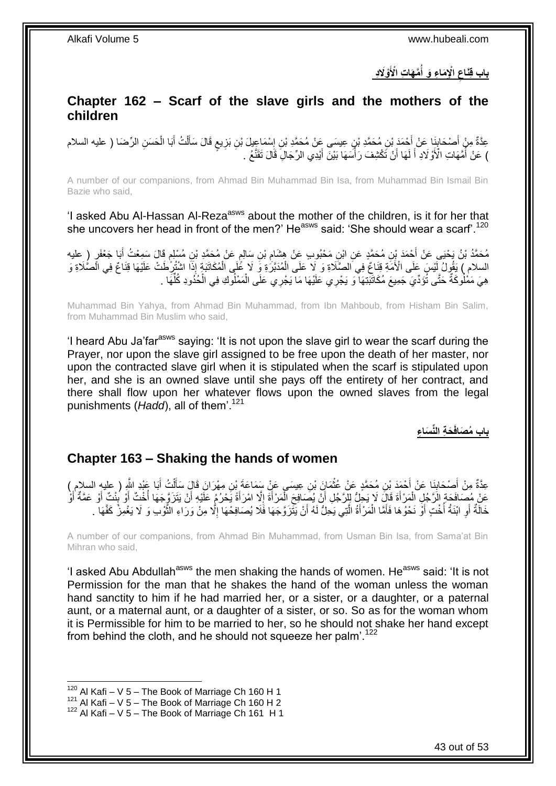**ْوََل د َّم َها ت اْْلَ اْإل َما ء َو أ باب ق َناع ُ** 

### <span id="page-42-0"></span>**Chapter 162 – Scarf of the slave girls and the mothers of the children**

عِدَّةٌ مِنْ أَصْحَابِنَا عَنْ أَحْمَدَ بْنِ مُحَمَّدِ بْنٍ عِيسَى عَنْ مُحَمَّدِ بْنِ إِسْمَاعِيلَ بْنِ بَزِيعٍ قَالَ سَأَلْتُ أَبَا الْحَسَنِ الرِّضَا ( عليه السلام **!** َ ْ َ ْ اً<br>أ ٍ ِ ِ ) عَنْ أُمَّهَاتِ الْأَوْلَادِ ۖ أَ لَهَا أَنْ تَكْشِفَ رَأْسَهَا بَيْنَ أَيْدِي الرِّجَالِۖ قَالَ تَقَنَّعُ ۚ َ ا<br>أ اً لَ َ ر<br>ا

A number of our companions, from Ahmad Bin Muhammad Bin Isa, from Muhammad Bin Ismail Bin Bazie who said,

'I asked Abu Al-Hassan Al-Reza<sup>asws</sup> about the mother of the children, is it for her that she uncovers her head in front of the men?' He<sup>asws</sup> said: 'She should wear a scarf'.<sup>120</sup>

مُحَمَّدُ بْنُ يَحْيَى عَنْ أَحْمَدَ بْنِ مُحَمَّدٍ عَنِ ابْنِ مَحْبُوبٍ عَنْ هِشَامِ بْنِ سَالِمٍ عَنْ مُحَمَّدٍ بْنِ مُسْلِمٍ قَالَ سَمِعْتُ أَبَا جَعْفَرٍ (ِ عليه<br>. ֧֝֟׆֧ ِ َ م<br>م السلام ﴾ يَقُولُ لِّنْسَ عَلَى الْأُمَّةِ قِنَاعٌ فِي الصَّلَاةِ وَ لَا عَلَى الْمُدَبَّرُةِ وَ لَا عُلَى الْمُكَاتَبَةِ إِذَا اشْتُرِكْضَ عَلَيْهَا قِنَاعٌ فِي الْصُّلَاةِ وَ ِ ْ ْ هِيَ مَمْلُوكَةٌ حَتَّى تُؤَدِّيَ جَمِيعَ مُكَاثَّبَتِهَا ۚ وَ يَجْرِي عَلَيْهَا مَا يَجْرِي عَلَى الْمَمْلُوكِ فِي الْحُذُودِ كُلِّهَا . ْ ْ ِّ

Muhammad Bin Yahya, from Ahmad Bin Muhammad, from Ibn Mahboub, from Hisham Bin Salim, from Muhammad Bin Muslim who said,

'I heard Abu Ja'farasws saying: 'It is not upon the slave girl to wear the scarf during the Prayer, nor upon the slave girl assigned to be free upon the death of her master, nor upon the contracted slave girl when it is stipulated when the scarf is stipulated upon her, and she is an owned slave until she pays off the entirety of her contract, and there shall flow upon her whatever flows upon the owned slaves from the legal punishments (*Hadd*), all of them'.<sup>121</sup>

**َح ة الِّن َسا ء باب ُم َصافَ**

#### <span id="page-42-1"></span>**Chapter 163 – Shaking the hands of women**

عِدَّةٌ مِنْ أَصْحَابِنَا عَنْ أَحْمَدَ بْنِ مُحَمَّدٍ عَنْ عُثْمَانَ بْنِ عِيسَى عَنْ سَمَاعَةَ بْنِ مِهْرَانَ قَالَ سَأَلْتُ أَبَا عَبْدِ النَّهِ إِلَيْهِ السلامِ)<br>-ْ َ ِ َ ْ َ عَنْ مُصَافَحَةٍ الرَّجُلِ الْمَرْأَةَ قَالَ لَا يَجِلُّ لِلرَّجُلِ أَنْ يُصَافِحَ الْمَرْأَةَ إِلَّا امْرَأَةً يَحْرُمُ عَلَّيْهِ أَنْ يَتَزَوَّجَهَا أُخْتٌ أَوْ عَمَّةٌ أَوْ عَمَّةٌ أ َ ِ َ ْ اُ َ ْ َ َ ا<br>په َ ؛<br>أ َ خَالَةٌ أَوِ ابْنَةُ أُخْتٍ أَوْ نَحْوُهَا فَأَمَّا الْمَرْأَةُ الَّتِي يَجِلُّ لَهُ أَنْ يَثَّزَوَّجَهَا فَلَا يُصَافِحْهَا إِلَّا مِنْ وَرَاءِ النُّوْبِ وَ لَا يَغْمِزْ كَفَّهَا . **∶** اً ِ َ َّ َ ْ َ َ ُ َّ

A number of our companions, from Ahmad Bin Muhammad, from Usman Bin Isa, from Sama'at Bin Mihran who said,

'I asked Abu Abdullah<sup>asws</sup> the men shaking the hands of women. He<sup>asws</sup> said: 'It is not Permission for the man that he shakes the hand of the woman unless the woman hand sanctity to him if he had married her, or a sister, or a daughter, or a paternal aunt, or a maternal aunt, or a daughter of a sister, or so. So as for the woman whom it is Permissible for him to be married to her, so he should not shake her hand except from behind the cloth, and he should not squeeze her palm'.<sup>122</sup>

 $120$  Al Kafi – V 5 – The Book of Marriage Ch 160 H 1

 $121$  Al Kafi – V 5 – The Book of Marriage Ch 160 H 2

 $122$  Al Kafi – V 5 – The Book of Marriage Ch 161 H 1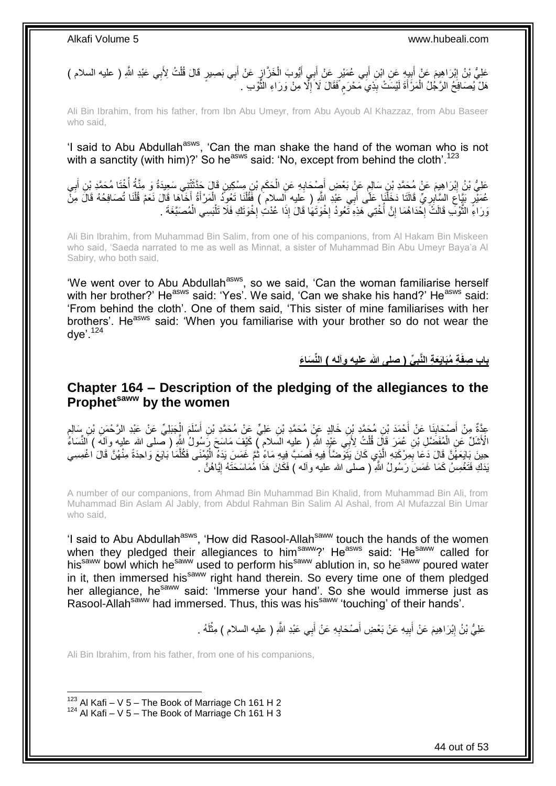عَلِيُّ بْنُ إِبْرَاهِيمَ عَنْ أَبِيهِ عَنِ ابْنِ أَبِي عُمَيْرٍ عَنْ أَبِي أَيُّوبَ الْخَزَّازِ عَنْ أَبِي بَصبيرٍ قَالَ قُلْتُ لِأَبِي عَبْدِ اللَّهِ ( عليه السلام )<br>. ِ ْ َ **∤** ْ َ َ ِ َ ِ هَلْ يُصَافِحُ الرَّجُلُ الْمَرْأَةَ لَيْسَتْ بِذِيَ مَحْرَم فَقَالَ لَا َإِلَّا مِنْ وَرَاءِ الثَّوْبِ . َّ ِ ٍ **∣** ْ

Ali Bin Ibrahim, from his father, from Ibn Abu Umeyr, from Abu Ayoub Al Khazzaz, from Abu Baseer who said,

'I said to Abu Abdullah<sup>asws</sup>, 'Can the man shake the hand of the woman who is not with a sanctity (with him)?' So he<sup>asws</sup> said: 'No, except from behind the cloth'.<sup>123</sup>

عَلِيُّ بْنُ إِبْرَاهِيمَ عَنْ مُحَمَّدِ بْنِ سَالِمٍ عَنِّ بَعْضِ أَصِدْحَابِهِ عَنِ الْحَكَمِ بْنِ مِسْكِينٍ قَالَ حَدَّثَتْنِي سَعِيدَةُ وَ مِنَّةُ أَخْنَا مُحَمَّدِ بْنِ أَبِي<br>وَالِّذَا أَنْهُمْ أَنْ الْمَدَّةِ لَهِ مَ َ ِ ْ ِ َ ٍ ِ َ ُ عُمَيْرِ بَيَّاعِ السَّابِرِيِّ قَالَتَا دَخَلْنَا عَلَى أَبِي عَبْدِ اللَّهِ ( عِليه اَلسلام ) فَقُلْنَا تَعُوذُ الْمَرْأَةُ أَخَاهَا قَالَ نَعَمْ قُلْنَا تُصَافِحُهُ قَالَ مِنْ ْ ِ ِ ْ َ َ ْ ْ َ وَرَاءًِ الثَّوْلَّبِ قَالَتٌ إِحْدَاهُمَا إِنَّ أَخْتِي هَذِهِ تُعُودُ إِخْوَتَهَا قَالَ إِذَا عُدْتِ إِخْوَتَكِ فَلَا تَلْبَسِي الْمُصَبَّغَةَ . ْ יֲ<br>י ·<br>∶ ֧<u>׀</u> ·<br>∶ ة<br>أ ْ

Ali Bin Ibrahim, from Muhammad Bin Salim, from one of his companions, from Al Hakam Bin Miskeen who said, 'Saeda narrated to me as well as Minnat, a sister of Muhammad Bin Abu Umeyr Baya'a Al Sabiry, who both said,

'We went over to Abu Abdullah<sup>asws</sup>, so we said, 'Can the woman familiarise herself with her brother?' He<sup>asws</sup> said: 'Yes'. We said, 'Can we shake his hand?' He<sup>asws</sup> said: 'From behind the cloth'. One of them said, 'This sister of mine familiarises with her brothers'. He<sup>asws</sup> said: 'When you familiarise with your brother so do not wear the  $dve$ '.<sup>124</sup>

> **ِّي ) صلى هللا عليه وآله ( الِّن َسا َء ة ُمَباَيَع ة الَّنب باب صفَ**

#### <span id="page-43-0"></span>**Chapter 164 – Description of the pledging of the allegiances to the Prophetsaww by the women**

عِدَّةٌ مِنْ أَصْحَابِذَا عَنْ أَحْمَدَ بْنِ مُحَمَّدِ بْنِ خَالِدٍ عَنْ مُحَمَّدِ بْنِ عَلِيٍّ عَنْ مُحَمَّدِ بْنِ أَسْلَمَ الْجَبَلِيِّ عَنْ عَبْدِ الرَّحْمَنِ بْنِ سَالِمٍ<br>وَيَرَبَّهُمْ الرَّحْمَنِ بَنِ مِسْلِمٍ َ **∣** َ ֦֖֖֖֖֚֚֚֚֚֚֬֝֝֬֝ ْ الْأَشَلِّ عَنِ الْمُفَضَّلِ بْنِ عُمَرَ قَإِلَ قُلْتُ لِأَبِي عَنْدٍ اللَّهِ ( عليه السَلامِ ٓ) كَيْفَ مَاسَحَ رَسُولُ إِلَيْهِ ( صلى الله عليه وآلهَ ) النِّسَاءُ ْ ْ حِينَ بَايَعَهُّنَّ قَالَ دَعَا بِمِرْكَذِهِ الَّذِي كَانَ يَتُوَّضَأُ فِيهِ فَصَبَّ فِيهِ مَاءٍ ثُمَّ غَمَسَ يَدَهُ الْيُمْنَى فَكُلَّمَا بَايَعَ وَاحِدَةً مِنْهُنَّ قَالَ اغْمِسِي ْ ُ ا<br>ا َّ ِ َّ يَدَكِ فَتَعْمِسُ كَمَا غَمَسَ رَسُولُ اللَّهِ ( صلى الله عليه وألمه ) فَكَانَ هَذَا مُٰمَاسَحَتَهُ إِيَّاهُنَّ ِ

A number of our companions, from Ahmad Bin Muhammad Bin Khalid, from Muhammad Bin Ali, from Muhammad Bin Aslam Al Jably, from Abdul Rahman Bin Salim Al Ashal, from Al Mufazzal Bin Umar who said,

'I said to Abu Abdullah<sup>asws</sup>, 'How did Rasool-Allah<sup>saww</sup> touch the hands of the women when they pledged their allegiances to him<sup>saww</sup>?' He<sup>asws</sup> said: 'He<sup>saww</sup> called for his<sup>saww</sup> bowl which he<sup>saww</sup> used to perform his<sup>saww</sup> ablution in, so he<sup>saww</sup> poured water in it, then immersed his<sup>saww</sup> right hand therein. So every time one of them pledged her allegiance, he<sup>saww</sup> said: 'Immerse your hand'. So she would immerse just as Rasool-Allahsaww had immersed. Thus, this was hissaww 'touching' of their hands'.

> عَلِيُّ بْنُ إِبْرَاهِيمَ عَنْ أَبِيهِ عَنْ بَعْضِ أَصْحَابِهِ عَنْ أَبِي عَبْدِ اللَّهِ ( عليه السلام ) مِثْلَهُ . َ ِ َ **!** َ ِ لَ ْ

Ali Bin Ibrahim, from his father, from one of his companions,

1

44 out of 53

 $123$  Al Kafi – V 5 – The Book of Marriage Ch 161 H 2  $124$  Al Kafi – V 5 – The Book of Marriage Ch 161 H 3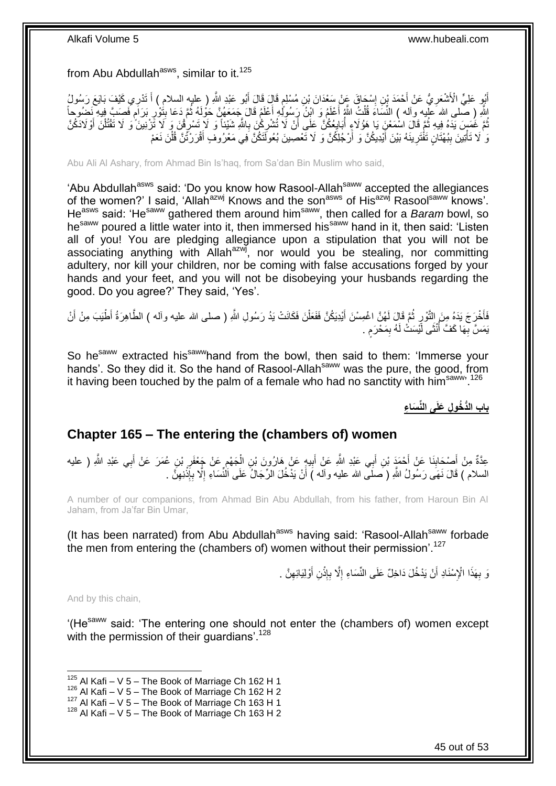from Abu Abdullah<sup>asws</sup>, similar to it.<sup>125</sup>

أَيُو عَلِيٍّ الْأَشْعَرِيُّ عَنْ أَحْمَدَ بْنِ إِسْمَاقَ عَنْ سَعْدَانَ بْنِ مُسْلِمٍ قَالَ قَالَ أَبُو عَبْدِ اللَّهِ ( عِليه السلام ) أَ تَدْرِي كَيْفَ بَايَعَ رَسُولُ َ م ِ َ ِ ِ َ اللَّهِ ( صَلَّى الله َعَلِيه وآله ) النِّسَاءَ قُلْتُ اللَّهُ أَعْلَمُ وَ ابْنُ رَِسُولُكِ أَعْلَمُ قَالَ جَمَعَهُنَّ حَوْلَهُ ثُمَّ دَعَا بِتُوْرِ بَرَامِ فَصِبَّ فِيهِ نَحْسُوجاً ا دیکھیے َ َ ْ **ื** ِ **;** نُّمَّ غُمَسَ يَدَهُ فِيهِ ثُمَّ قَالَ اسْمَعْنِ يَا هَؤُلاءِ أُبَايِعُكُنَّ عَلَى أَنْ لَا تُشْرِكْنَ بِاللَّهِ شَيْئاً وَ لَا تَشْرِكْنَ مَا تَّقْرُلُ وَلاَدَكُنَّ ُ ِ **∶** ِ ر<br>ا ِ َ ْ وَ لَا تَأْتِينَ بِبُهْتَانٍ تَفْتَرِينَهُ بَيْنَ أَيْدِيكُنَّ وَ أَرْجُلِكُنَّ وَ لَا تَعْصِينَ بُعُولَنَكُنَّ فِي مَعْرُوفٍ أَقْرَرْتُنَّ قُلْنَ نَعَمْ اً َ ِ **∣** ֧֖֦֧֦֧֦֧֦֧֦֧֦֦֦֦֦֦֦֧֧֦֧֝֟֓֓֓֓֓֓֓֓֓֓֓֓֓֓֓֡֟֓֓֓֓֓֓֓֓֓֓֓֡֓֓֡֓֓֡֓֓֡֓֓֡֬֓֓֡֡֬֓֓֡֡֬֓֓ ْ َ

Abu Ali Al Ashary, from Ahmad Bin Is'haq, from Sa'dan Bin Muslim who said,

'Abu Abdullah<sup>asws</sup> said: 'Do you know how Rasool-Allah<sup>saww</sup> accepted the allegiances of the women?' I said, 'Allah<sup>azwj</sup> Knows and the son<sup>asws</sup> of His<sup>azwj</sup> Rasool<sup>saww</sup> knows'. Heasws said: 'Hesaww gathered them around himsaww, then called for a *Baram* bowl, so he<sup>saww</sup> poured a little water into it, then immersed his<sup>saww</sup> hand in it, then said: 'Listen all of you! You are pledging allegiance upon a stipulation that you will not be associating anything with Allah<sup>azwj</sup>, nor would you be stealing, nor committing adultery, nor kill your children, nor be coming with false accusations forged by your hands and your feet, and you will not be disobeying your husbands regarding the good. Do you agree?' They said, 'Yes'.

فَأَخْرَجَ يَدَهُ مِنَ التَّوْرِ ثُمَّ قَالَ لَمُنَّ اغْمِسْنَ أَيْدِيَكُنَّ فَفَعَلْنَ فَكَانَتْ يَدُ رَسُولِ اللَّهِ ( صلى الله عليه وأله ) الطَّاهِرَةُ أَطْيَبَ مِنْ أَنْ ْ َ .<br>• • • • ِ َ يَمَسَّ بِّهَا كَفَّ أُنْثَى لَّيْسَتْ لَهُ بِمَحْرَم . ٍ ِ ا<br>ا **∶** 

So he<sup>saww</sup> extracted his<sup>saww</sup>hand from the bowl, then said to them: 'Immerse your hands'. So they did it. So the hand of Rasool-Allah<sup>saww</sup> was the pure, the good, from it having been touched by the palm of a female who had no sanctity with him<sup>saww, 126</sup>

**باب الُّد ُخو ل َعلَى الِّن َسا ء**

### <span id="page-44-0"></span>**Chapter 165 – The entering the (chambers of) women**

ِ عِدَّةٌ مِنْ أَصْحَابِنَا عَنْ أَحْمَدَ بْنِ أَبِي عَبْدِ اللَّهِ عَنْ أَبِيهٍ عَنْ هَارُونَ بْنِ الْجَهْمِ عَنْ جَعْفَرِ بْنِ عُمَرَ عَنْ أَبِي عَبْدِ اللَّهِ ( عليه ֺ֝ ْ **!** َ َ ِ َ السلام ) قَالَ نَهَى رَسُولُ اللَّهِ ( َصلَى الله عليه وأله ) أَنْ يَدْخُلَ الرِّجَالُ عَلَى اَلْنُسَاءِ إِلَّا بِإِذْنِهِنَّ . ِ ْ ِ ِ

A number of our companions, from Ahmad Bin Abu Abdullah, from his father, from Haroun Bin Al Jaham, from Ja'far Bin Umar,

(It has been narrated) from Abu Abdullah<sup>asws</sup> having said: 'Rasool-Allah<sup>saww</sup> forbade the men from entering the (chambers of) women without their permission'.<sup>127</sup>

> نَ بِهَذَا الْإِسْنَادِ أَنْ يَدْخُلَ دَاخِلٌ عَلَى النِّسَاءِ إِلَّا بِإِذْنِ أَوْلِيَائِهِنَّ . ِ اُ **ٔ** ِ ِ اً **∶**

And by this chain,

'(He<sup>saww</sup> said: 'The entering one should not enter the (chambers of) women except with the permission of their quardians'.<sup>128</sup>

<sup>1</sup>  $125$  Al Kafi – V 5 – The Book of Marriage Ch 162 H 1

 $126$  Al Kafi – V 5 – The Book of Marriage Ch 162 H 2

 $127$  Al Kafi – V  $5$  – The Book of Marriage Ch 163 H 1

 $128$  Al Kafi – V 5 – The Book of Marriage Ch 163 H 2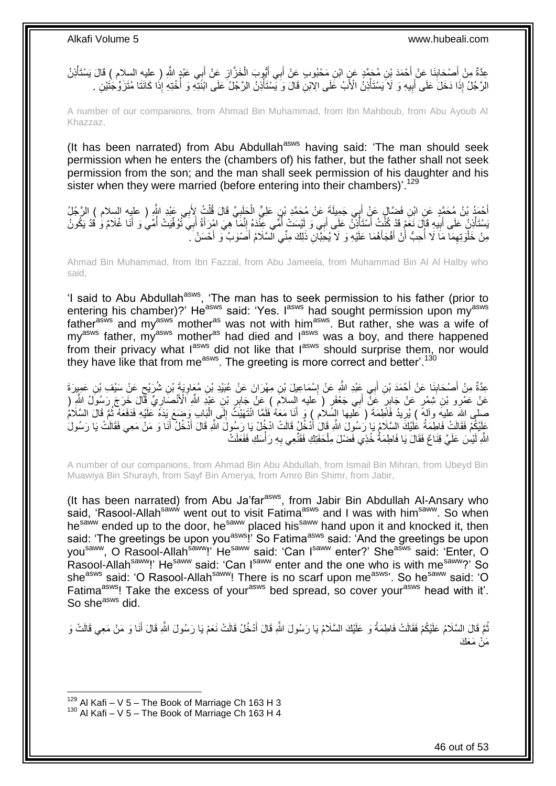عِدَّةٌ مِنْ أَصْحَابِنَا عَنْ أَحْمَدَ بْنِ مُحَمَّدٍ عَنِ ابْنِ مَحْبُوبٍ عَنْ أَبِي أَيُّوبَ الْخَزَّازِ عَنْ أَبِي عَبْدٍ اللَّهِ ( عليه السلام ) قَالَ يَسْتَأْذِنُ<br>حَقَّدُ مِنْ جَمِيعَةٍ الْمَسْلام الْمَدَّةِ مِنْ أَن َ ِ ْ َ َ َ ِ َ ْ الرَّجُلُ إِذَا دَخَلَ عَلَى أَبِيهِ وَ لَا يَسْتَأْذِنُ الْأَبُ عَلَى الِاَّيْنِ قَالَ وَ يَسْتَأْذِنُ الرَّجُلُ عَلَى ابْنَتِهِ وَ أُخْتِهِ إِذَا كَانَتَا مُتَزَوِّجَتَيْنِ . ْ ِ َ :<br>ا ْ

A number of our companions, from Ahmad Bin Muhammad, from Ibn Mahboub, from Abu Ayoub Al Khazzaz,

(It has been narrated) from Abu Abdullah<sup>asws</sup> having said: 'The man should seek permission when he enters the (chambers of) his father, but the father shall not seek permission from the son; and the man shall seek permission of his daughter and his sister when they were married (before entering into their chambers)'.<sup>129</sup>

ِ أَحْمَدُ بْنُ مُحَمَّدٍ عَنِ ابْنِ فَضَّالٍ عَنْ أَبِي جَمِيلَةَ عَنْ مُحَمَّدٍ بْنِ عَلِيٍّ الْحَلَبِيِّ قَالَ قُلْتُ لِأَبِي عَبْدِ اللَّهِ ( عليه السلام ) الرَّجُلُ ْ **∶** ْ َ ِ َسْتَأْذِنُ عَلَى أَبِيهِ قَإِّلَ نُغَّمْ قَدْ كُنَّتُ أَسْتَأْذِنُ عَلَى أَبِي وَ لَيْسَتْ أُمِّي عِنْدَهُ إِنَّمَا هِيَ امْرِ أَةُ أَبِي تَّنُوفَيِّتُ أُمَّي وَ نَيْكُونُ َ ا<br>أ **!** َ َ ُ َ َ ِ ا<br>ا مِنْ خَلْوَتِهِمَا مَا لَا أُحِبُّ أَنْ أَفْجَأَهُمَا عَلَيْهِ وَ لَا يُحَِبَّانِ ذَلِكَ مِنِّي السَّلَامُ أَصْوَبُ وَ أَحْسَنُ ۗ . َ َ َ َ اُ ان<br>المستقبل ِ ْ

Ahmad Bin Muhammad, from Ibn Fazzal, from Abu Jameela, from Muhammad Bin Al Al Halby who said,

'I said to Abu Abdullah<sup>asws</sup>, 'The man has to seek permission to his father (prior to entering his chamber)?' He<sup>asws</sup> said: 'Yes. I<sup>asws</sup> had sought permission upon my<sup>asws</sup> father<sup>asws</sup> and my<sup>asws'</sup> mother<sup>as</sup> was not with him<sup>asws</sup>. But rather, she was a wife of my<sup>asws</sup> father, my<sup>asws</sup> mother<sup>as</sup> had died and l<sup>asws</sup> was a boy, and there happened from their privacy what lasws did not like that lasws should surprise them, nor would they have like that from me<sup>asws</sup>. The greeting is more correct and better'.<sup>130</sup>

ِ عِدَّةٌ مِنْ أَصْحَابِنَا عَنْ أَحْمَدَ بْنِ أَبِي عَِيْدِ اللَّهِ عَنْ إِسْمَاعِيلَ بْنِ مِهْرَانَ عَنْ عُبَيْدِ بْنِ مُعَاوِيَةٍ بْنِ شُرَيْحٍ عَنْ سَيْفِ بْنِ عَمِيرَةَ ∣l<br>∶ َ **∣** َ ٍ ِّعَنْ عَفْرِو بْنِ َشِفْرٍ عَنْ جَابِرٍ عَنِّ أَبِي جَعْفَرٍ ( عليه السلام ) عَنْ جَابِرٍ بْنِ عَبْدِ اللَّهِ أَلْأَنْصَارِيٌّ قَالَ خَرَجَ رَسُولُ اللَّهِ ( ِ<br>پُ ِ َ صلى الله عليه وآلمٌ ) يُرِيدُ فَأَطِمَةَ ( عَلَيها السَّلاُم ) وَ أَنَا مَعَهُ فَلَمًا انْتَهَيْنَ إِلَى الْبَاب وَضِمَع يَدَهُ عَلَيْهِ فَدَفَعَهُ ثُمَّ قَالَ السَّلَامُ َ ِ ْ ِ ْ عَلَيْكُمْ فَقَالَتْ فَاطِمَةُ عَلَيْكَ السَّلَامُ يَا رَسُولَ اللَّهِ قَالَ أَدْخُلُ قَالَتْ ادْخُلْ يَا رَسُولُ َ َ اللَّهِ لَيْسَ عَلَيَّ قِنَاعٌ فَقَالَ يَا فَاطِمَةُ خُذِي فَضْلَ مِلْحَفَتِكِ فَقَنِّعِي بِهِ رَأْسَكِ فَفَعَلَتْ ِ ْ

A number of our companions, from Ahmad Bin Abu Abdullah, from Ismail Bin Mihran, from Ubeyd Bin Muawiya Bin Shurayh, from Sayf Bin Amerya, from Amro Bin Shimr, from Jabir,

(It has been narrated) from Abu Ja'far<sup>asws</sup>, from Jabir Bin Abdullah Al-Ansary who said, 'Rasool-Allah<sup>saww</sup> went out to visit Fatima<sup>asws</sup> and I was with him<sup>saww</sup>. So when he<sup>saww</sup> ended up to the door, he<sup>saww</sup> placed his<sup>saww</sup> hand upon it and knocked it, then said: 'The greetings be upon you<sup>asws</sup>!' So Fatima<sup>asws</sup> said: 'And the greetings be upon you<sup>saww</sup>, O Rasool-Allah<sup>saww</sup>!' He<sup>saww</sup> said: 'Can I<sup>saww</sup> enter?' She<sup>asws</sup> said: 'Enter, O Rasool-Allah<sup>saww</sup>!' He<sup>saww</sup> said: 'Can I<sup>saww</sup> enter and the one who is with me<sup>saww</sup>?' So she<sup>asws</sup> said: 'O Rasool-Allah<sup>saww</sup>! There is no scarf upon me<sup>asws</sup>'. So he<sup>saww</sup> said: 'O Fatima<sup>asws</sup>! Take the excess of your<sup>asws</sup> bed spread, so cover your<sup>asws</sup> head with it'. So she<sup>asws</sup> did.

نُّمَّ قَالَ السَّلَامُ عَلَيْكُمْ فَقَالَتْ فَاطِمَةُ وَ عَلَيْكَ السَّلَامُ يَا رَسُولَ اللَّهِ قَالَ أَذْخُلُ قَالَتْ نَعَمْ يَا رَسُولَ اللَّهِ قَالَ أَنَا وَ مَنْ مَعِي قَالَتْ وَ َ َ مَنْ مَعَكَ

 $129$  Al Kafi – V 5 – The Book of Marriage Ch 163 H 3

 $130$  Al Kafi – V 5 – The Book of Marriage Ch 163 H 4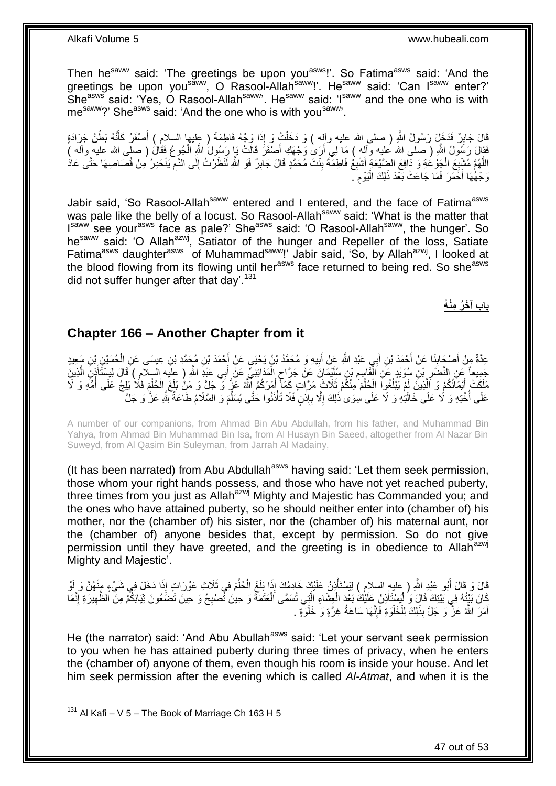Then he<sup>saww</sup> said: 'The greetings be upon you<sup>asws</sup>!'. So Fatima<sup>asws</sup> said: 'And the greetings be upon you<sup>saww</sup>, O Rasool-Allah<sup>saww</sup>!'. He<sup>saww</sup> said: 'Can I<sup>saww</sup> enter?' She<sup>asws</sup> said: 'Yes, O Rasool-Allah<sup>saww</sup>'. He<sup>saww</sup> said: 'I<sup>saww</sup> and the one who is with me<sup>saww</sup>?' She<sup>asws</sup> said: 'And the one who is with you<sup>saww</sup>'.

ٌَّ َلَد ْط َقا َل َجاب ُنُه َب نَّ ْصَف َُّ َمت ا َو ْج ُه َلا ِطَمَة ) عليها السالم ( أ ِاَ ُ َو ذ َج ََّاَدٍة َخ َل ََّ ُسو ُل ََّّللاِ ) صلا َّللا عليه وهله ( َو َد َخل ِ َ َ ْ فَقَالَ رَسُولُ اللّهِ ( صلى الله عليه وألِه ) مَا لِي أَرَىٰ وَجْهَكِ أَصْفَرَ قَالَتْ بَإِ رَسُولَ اللهِ الْجُوعُ فَقَالَ ( صلى الله عليه وأله ) ْ َ َ اللَّهُمَّ مُشْبِعَ الْجَوْعُةِ وَ دَافِعَ الضِّيْعَةِ أَشْبِعْ فَاطِمَةَ بِنْتَ مُحَمَّدٍ قَالَ جَابِرٌ فَوَ اللَّهِ لَنَظَرْتُ إِلَى الدَّمِ يَنْحَدِرُ مِنْ قُصَاصِهَا حَتَّى عَادَ ِ **!** ِ َ ْ ِ ِ ِ وَجْهُٰهَا أَخَّمَرَ فَمَا جَاعَتْ بَعْدَ ذَلِكَ الْيَوْمَ َ ِ :<br>ا

Jabir said, 'So Rasool-Allah<sup>saww</sup> entered and I entered, and the face of Fatima<sup>asws</sup> was pale like the belly of a locust. So Rasool-Allah<sup>saww</sup> said: 'What is the matter that Isaww see your<sup>asws</sup> face as pale?' She<sup>asws</sup> said: 'O Rasool-Allah<sup>saww</sup>, the hunger'. So he<sup>saww</sup> said: 'O Allah<sup>azwj</sup>, Satiator of the hunger and Repeller of the loss, Satiate Fatima<sup>asws</sup> daughter<sup>asws</sup> of Muhammad<sup>saww</sup>!' Jabir said, 'So, by Allah<sup>azwj</sup>, I looked at the blood flowing from its flowing until her<sup>asws</sup> face returned to being red. So she<sup>asws</sup> did not suffer hunger after that day'.<sup>131</sup>

**باب آ َخ ُر مْن ُه**

### <span id="page-46-0"></span>**Chapter 166 – Another Chapter from it**

عِدَّةٌ مِنْ أَصْحَابِنَا عَنْ أَحْمَدَ بْنِ أَبِي عَبْدِ اللَّهِ عَنْ أَبِيهِ وَ مُحَمَّدُ بْنُ يَحْيَى عَنْ أَحْمَدَ بْنِ مُحَمَّدِ بْنِ عِيسَى عَنِ الْحُسَيْنِ بْنِ سَعِيدٍ َ **!** َ َ َ **∣** ْ جَمِيعاً عَنِ النَّضَّرِ بْنِ سُوَيْدٍ عَنِ الْقَاسِعِ بْنِ سُلَيْمَانَ عَنْ جَرَّاحٍ الْمَدَائِنِيِّ عَنْ أَبِي عَبْدَِ اللَّهِ ( عليه السلامِ ) قَالَ لِيَسْتَأْذِنَ الَّذِينَ ِ ْ ِ َّ ْ َ ْ ٍ مَلَكَتْ أَيْمَانُكُمْ وَ الَّذِينَ لَمْ يَبْلُغُواَ الْحُلُمَ مِنْكُمْ ثَلَاثَ مَرَّاتٍ كَمَأَّ أَمَرَكُمُ اللَّهُ عَزَّ وَ حَلَّ وَ مَنْ بَلَغَ الْحُلُمَ فَلَا يَلِجُ عَلَى أُمِّهِ وَ لَا َ ُ ْ ُ َّ َ ُ ْ ُ عَلَى أُخْتِهِ وَ لَا عَلَى خَالَتِهِ وَ لَا عَلَى سِوَى ٰذَلِكَ إِلَّا بِإِذْنٍۢ فَلَا تَأْذَنُوا خُتَّى يُسَلِّمَ وَ السَّلَامُ طَاعَةٌ لِثَّهِ عَزَّ وَ جَلَّ ِّ ْ **ٔ ∶** ِ ُ

A number of our companions, from Ahmad Bin Abu Abdullah, from his father, and Muhammad Bin Yahya, from Ahmad Bin Muhammad Bin Isa, from Al Husayn Bin Saeed, altogether from Al Nazar Bin Suweyd, from Al Qasim Bin Suleyman, from Jarrah Al Madainy,

(It has been narrated) from Abu Abdullah<sup>asws</sup> having said: 'Let them seek permission, those whom your right hands possess, and those who have not yet reached puberty, three times from you just as Allah<sup>azwj</sup> Mighty and Majestic has Commanded you; and the ones who have attained puberty, so he should neither enter into (chamber of) his mother, nor the (chamber of) his sister, nor the (chamber of) his maternal aunt, nor the (chamber of) anyone besides that, except by permission. So do not give permission until they have greeted, and the greeting is in obedience to Allah<sup>azwj</sup> Mighty and Majestic'.

َّقَالَ وَ قَالَ أَبُو عَبْدِ اللَّهِ ( عليه السلام ) لِيَسْتَأْذِنْ عَلَيْكَ خَادِمُكَ إِذَا بَلَغَ الْحُلُمَ فِي ثَلَاثِ عَوْرَاتٍ إِذَا دَخَلَ فِي شَيْءٍ مِنْهُنَّ وَ لَوْ ُ ْ ْ َ كَانَ بَيْتُهُ فِي بَيْتِكَ قَالَ وَ لْيَسْتَأْذِنْ عَلَيْكَ بَعْدَ الْعِشَاءِ الَّتِي تُسَمَّى الْعَتَمَةَ وَ حِينَ نَّصنبِحُ وَ حِينَ تَضَعُونَ ثِيَابَكُمْ مِنَّ الظَّهِيرَةِ إِنَّمَا ْ ْ :<br>ا ِ ِ ِ ْ َّ أَمَرَ اللَّهُ عَزٌّ وَ جَلَّ بِذَلِكَ لِلْخَلْوَةِ فَإِنَّهَا سَاعَةُ غِرَّةٍ وَ خَلْوَةٍ . ْ ِ ْ ْ َ

He (the narrator) said: 'And Abu Abullah<sup>asws</sup> said: 'Let your servant seek permission to you when he has attained puberty during three times of privacy, when he enters the (chamber of) anyone of them, even though his room is inside your house. And let him seek permission after the evening which is called *Al-Atmat*, and when it is the

 $131$  Al Kafi – V 5 – The Book of Marriage Ch 163 H 5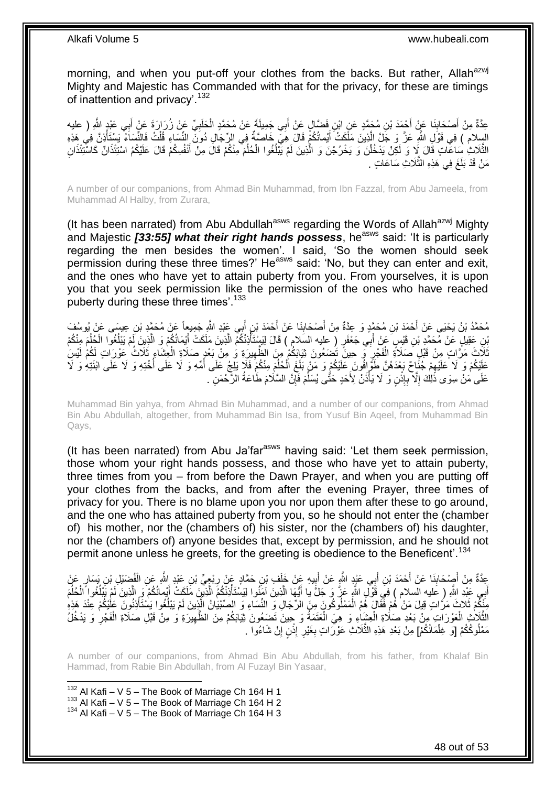morning, and when you put-off your clothes from the backs. But rather, Allah<sup>azwj</sup> Mighty and Majestic has Commanded with that for the privacy, for these are timings of inattention and privacy'.<sup>132</sup>

عِدَّةٌ مِنْ أَصْحَابِنَا عَنْ أَجْمَدَ بْنِ مُحَمَّدٍ عَنِ ابْنِ فَضَّالٍ عَنْ أَبِي جَمِيلَةً عَنْ مُحَمَّدٍ الْحَلَبِيِّ عَنْ زُرَارَةَ عَنْ أَبِي عَبْدٍ الثَّهِ ( عليه **∣** َ ِ َ ِ ْ َ السِلام ) فِي قَوْلِ اللَّهِ عَزَّ وَ جَلَّ الَّذِينَ مَلَّكَتْ أَيْمانُكُمْ قَالَ هِيَ خَاصَّةٌ فِي الرِّجَالِ دُونَ النِّسَاءِ قُلْتُ فَالنِّسَاءُ يَسْتَأْذِنَّ فِي هَذِهِ َ َّ ة<br>أ ْ َ الثَّلَاثِ سَاعَاتٍ قَالَ لِإ وَ لَكِنْ يَدْخُلْنَ وَ يَخْرُجْنَ وَ الَّذِينَ لَمْ يَبْلُغُوا الْحُلُمَ مِنْكُمْ قَالَ مَثْلُ كُمْ يَنْلُغُوا الْحُلْمَ مِنْكُمْ فَالْ عَلَيْكُمُ اسْتِئْذَانٌ كَاسْتِئْذَانِ ُ ْ ان<br>ا َّ ْ َّ مَنْ قَدْ بَلَغَ فِي هَذِهِ الثَّلَاثِ سَاعَاتٍ . َّ لَ

A number of our companions, from Ahmad Bin Muhammad, from Ibn Fazzal, from Abu Jameela, from Muhammad Al Halby, from Zurara,

(It has been narrated) from Abu Abdullah<sup>asws</sup> regarding the Words of Allah<sup>azwj</sup> Mighty and Majestic **[33:55] what their right hands possess**, he<sup>asws</sup> said: 'It is particularly regarding the men besides the women'. I said, 'So the women should seek permission during these three times?' He<sup>asws</sup> said: 'No, but they can enter and exit, and the ones who have yet to attain puberty from you. From yourselves, it is upon you that you seek permission like the permission of the ones who have reached puberty during these three times'.<sup>133</sup>

مُحَمَّدُ بْنُ يَحْيَى عَنْ أَحْمَدَ بْنِ مُحَمَّدٍ وَ عِدَّةٌ مِنْ أَصْحَابِنَا عَنْ أَحْمَدَ بْنِ أَبِي عَثِدِ اللَّهِ جَمِيعاً عَنْ مُحَمَّدٍ بْنِ عِيسَى عَنْ يُوسُفَ **!** َ َ بْنِ عَقِيلٍ عَنْ مُحَمَّدِ بْنِ قَيْسٍ عَنْ أَبِي جَعْفَرٍ ( عليه السَلامِ ) قَالَ لِيَسْتَأْذِنْكُمْ الَّذِينَ مَلَكَتْ أَيْمَانُكُمْ وَ الَّذِينَ لَمْ يَبْلُغُوا الْجُلُمَ مِنْكُمْ َ َّ ْ ُ َّ ُ ثَلَاثَ مَرَّاتٍ مِنْ قَبْلِ صَلَاةً الْفَجْرِ فَم حِينً تُصَعُونَ ثِيَابَكُمْ مِنَ الظَّهِيرَةِ وَ مِنْ بَعْدٍ صَلَاةِ الْعِشَاءِ ثَلَاثُ عَوْرَاتٍ لَكُمْ لَيْسَ ْ ِ ِ ْ عَلَيْكُمْ وَ لَا عَلَيْهِمْ جُنَاحٌ بَعْدَهُنَّ طَوَّ إِفُونَ عَلَيْكُمْ وَ مَنْ بَلَغَ الْحُلْمَ مِنْكُمْ فَلَإ يَلِجُ عَلَى أُمِّهِ وَ لَا عَلَى الْبَنَيْهِ وَ لَا عَلَى ابْنَتِهِ وَ لَا ِ ا<br>ا ُ ُ ْ عَلَى مَنْ سِوَى ذَٰلِكَ إِلَّا بِإِذْنٍ وَ لَا يَأْذَنَّ لِأَحَدٍ حَتَّى يُسَلِّمَ فَإِنَّ السَّلَامَ طَاعَةُ الرَّحْمَنِ ۖ. ِ ِّ ة<br>أ **ٔ ∶** ِ

Muhammad Bin yahya, from Ahmad Bin Muhammad, and a number of our companions, from Ahmad Bin Abu Abdullah, altogether, from Muhammad Bin Isa, from Yusuf Bin Aqeel, from Muhammad Bin Qays,

(It has been narrated) from Abu Ja'far<sup>asws</sup> having said: 'Let them seek permission, those whom your right hands possess, and those who have yet to attain puberty, three times from you – from before the Dawn Prayer, and when you are putting off your clothes from the backs, and from after the evening Prayer, three times of privacy for you. There is no blame upon you nor upon them after these to go around, and the one who has attained puberty from you, so he should not enter the (chamber of) his mother, nor the (chambers of) his sister, nor the (chambers of) his daughter, nor the (chambers of) anyone besides that, except by permission, and he should not permit anone unless he greets, for the greeting is obedience to the Beneficent'.<sup>134</sup>

عِدَّةٌ مِنْ أَصِدْحَابِذَا عَنْ أَحْمَدَ بْنِ أَبِي عَيْدٍ الثَّهِ عَنْ أَبِيهِ عَنْ خَلَفٍ بْنِ حَمَّادٍ عَنْ<br>مَعَنَّذُ مِنْ أَصِدْحَابِذَا عَنْ أَحْمَدَ بْنِ أَبِي عَيْدٍ الثَّهِ عَنْ أَبِيهِ عَنْ خَلَفٍ بْنِ حَمَّادٍ م َ َ ِ ْ ِ **⊥** َ اْبِي عَبْدِ اللَّهِ ( عَليه السلام ) فِيَ قَوْلِ اللَّهِ عَزَّ وَ جَلَّ يا أَيُّهَا الَّذِينَ آمَنُوا لِيَسْتَأْذِنْكُمُ الَّذِينَ مَلَكَتْ أَيْمانُكُمْ وَ الَّذِينَ لَمْ يَبْلُغُوا اَلْحُلْمَ َّ ْ َّ َ َ َ ُ ْ  $\overline{a}$ َّ مِنَّكُمْ ثَلاثَ مَرَّاتٍ قِيلَ مَنْ هُمْ فَقَالٍَ هُمُ الْمَمْلُوكُونَ مِنَ الرِّجَالِ وَ النِّسَاءِ وَ الصِّبْيَانُ الَّذِينَ لَمْ يَبْلُغُوا يَسْتَأْذِنُونَ عَلَيْكُمْ عِنْدَ هَذِهِ َّ ْ ْ ُ لَ الثَّلَإِثِ الْعَوْرَاتِ مِنْ بَعْدِ صَلَاةِ الْعِثْبِاءِ وَ هِيَ الْعَتَمَةُ وَ جِينَ تَصَعُونَ ثِيَابَكُمْ مِنَ الظَّهِيرَةِ وَ مِنْ قَبْلِ صَلَاةِ الْفَجْرِ وَ يَدْخُلُ ْ ٔ<br>ٔ ِ ْ ِ ْ ْ مَمْلُوكُكُمْ [وَ غِلْمَانُكُمْ] مِنْ بَعْدِ هَذِهِ الثَّلَاثِ عَوْرَاتٍ بِغَيْرِ إِذْنٍ إِنْ شَاءُوا . ِ **ٔ** ِ ِ َّ ْ

A number of our companions, from Ahmad Bin Abu Abdullah, from his father, from Khalaf Bin Hammad, from Rabie Bin Abdullah, from Al Fuzayl Bin Yasaar,

1  $132$  Al Kafi – V 5 – The Book of Marriage Ch 164 H 1  $133$  Al Kafi – V  $5$  – The Book of Marriage Ch 164 H 2

 $134$  Al Kafi – V 5 – The Book of Marriage Ch 164 H 3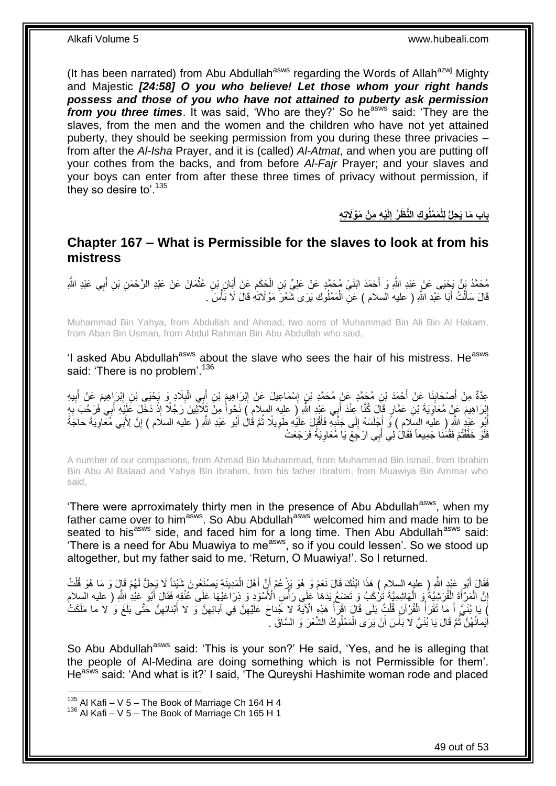(It has been narrated) from Abu Abdullah<sup>asws</sup> regarding the Words of Allah<sup>azwj</sup> Mighty and Majestic *[24:58] O you who believe! Let those whom your right hands possess and those of you who have not attained to puberty ask permission from you three times.* It was said, 'Who are they?' So he<sup>asws</sup> said: 'They are the slaves, from the men and the women and the children who have not yet attained puberty, they should be seeking permission from you during these three privacies – from after the *Al-Isha* Prayer, and it is (called) *Al-Atmat*, and when you are putting off your cothes from the backs, and from before *Al-Fajr* Prayer; and your slaves and your boys can enter from after these three times of privacy without permission, if they so desire to'.<sup>135</sup>

> باب مَا يَحِلُّ لِلْمَمْلُوكِ النَّظَرُ إِلَيْهِ مِنْ مَوْلَاتِهِ

#### <span id="page-48-0"></span>**Chapter 167 – What is Permissible for the slaves to look at from his mistress**

مُحَمَّدُ بِنُ يَحْيَى عَنْ عَبْدِ اللَّهِ وَ أَحْمَدَ ابْنَيْ مُحَمَّدٍ عَنْ عَلِيِّ بْنِ الْحَكَمِ عَنْ أَبَانٍ بْنِ عُثْمَانَ عَنْ عَبْدِ الأَرْحْمَنِ بْنِ أَبِي عَبْدِ اللَّهِ **ٔ** َ ِ ْ َ قَالَ سَأَلْتُ أَبَا عَلْدِ اللَّهِ ( عليه السلام ) عَنِّ الْمَمْلُوكِ يَرَى شَعْرَ مَوْ لَاتِهِ قَالَ لَا بَأْسَ . َ ْ َ ْ ْ

Muhammad Bin Yahya, from Abdullah and Ahmad, two sons of Muhammad Bin Ali Bin Al Hakam, from Aban Bin Usman, from Abdul Rahman Bin Abu Abdullah who said,

'I asked Abu Abdullah<sup>asws</sup> about the slave who sees the hair of his mistress. He<sup>asws</sup> said: 'There is no problem'.<sup>136</sup>

عِدَّةٌ مِنْ أَصْحَابِذَا عَنْ أَحْمَدَ بْنِ مُحَمَّدٍ مْنٍ إِسْمَاعِيلَ عَنْ إِبْرَاهِيمَ بِنِ أَبِي الْبِلَادِ وَ يَحْيَى بْنِ إِبْرَاهِيمَ عَنْ أَبِيهِ ِ ْ َ ِ ِ َ **∣** َ ِ َ ِ إِبْرَاهِيمَ عَنْ مُعَاَوِيَةَ بْنِ عَمَّارٍ قَالَ كُنَّا عِنْدَ أَبِي عَبْدِ اللَّهِ إِ طليه السلامِ ) نَحْواً مِنَّ ثَإِلَيْلِيَنَ رَجُلًا إِذْ دَخَلَ عَلَيْهِ أَبِي فَرَحَّبَ بِهِ ِ ِ ِ َ **ٔ** أُبُو عَيْدٍ الثَّهِ ( عليه السِّلام ) وَّ أَجْلَسَهُ إِلَى جَنْبِهِ فَأَقْبَلَ عَلَيْهِ طَوِيلًا ثُمَّ قُلْ أَبُو عَبْدِ اللَّهِ ( عَليه السلام ) إِنَّ لِأَبِي مُعَّاوِيَةَ حَاجَةً َ ِ ِ َ َ ِ ِ َ ُ ِ فَلَوْ خَفَّقْتُمْ فَقُمُْنَا جَمِيعاً فَقَالَ ٰلِي أَبِي ارْجَعْ يَا مُعَاوِيَةُ فَرَجَعْتُ **∶** َ

A number of our companions, from Ahmad Bin Muhammad, from Muhammad Bin Ismail, from Ibrahim Bin Abu Al Balaad and Yahya Bin Ibrahim, from his father Ibrahim, from Muawiya Bin Ammar who said,

'There were aprroximately thirty men in the presence of Abu Abdullah<sup>asws</sup>, when my father came over to him<sup>asws</sup>. So Abu Abdullah<sup>asws</sup> welcomed him and made him to be seated to his<sup>asws</sup> side, and faced him for a long time. Then Abu Abdullah<sup>asws</sup> said: 'There is a need for Abu Muawiya to me<sup>asws</sup>, so if you could lessen'. So we stood up altogether, but my father said to me, 'Return, O Muawiya!'. So I returned.

فَقَالَ أَبُو عَبْدٍ اللَّهِ ( عليه السلام ) هَذَا ابْنُكَ قَالَ نَعَمْ وَ هُوَ يَزْعُمُ أَنَّ أَهْلَ الْمَدِينَةِ يَصْنَعُونَ شَيْئاً لَا يَحِلُّ لَهُمْ قَالٍ وَ مَا هُوَ قُلْتُ ْ َ َ ْ إِنَّ الْمَرْأَةَ الْقُرَشِيَّةُ وَ الْهَاشِمِيَّةُ تَزْكَبُ وَ تَضَعُمٍ يَدَهَا عَلَى رَأْسِ الْأَسْوَدِ وَ ذِرَاعَيْهَا عَلَى عَثُقَةٍ فَقَالَ أَبُو عَبْدِ اللَّهِ ( عليه السلام ْ ْ ْ <u>֖֚֚֚֚֚֚֚֓</u> َ ا<br>ا∫ا لَ يَا بُنَيَّ أَ مَا تَقْرَأُ الْقُرْآنَ قُلْتُ بَلَى قَالَ اقْرَأْ هَذِهِ الْآيَةَ لا جُناحَ عَلَيْهِنَّ فِي آبائِهِنَّ وَلا لا عَلَيْتَ أَنَّ مَتَّى بَلَغَ وَ لا ما مَلَكَتْ ِ ِ ْ ْ ْ َ َ ِ أَيْمانُهُنَّ ثُمَّ قَالَ يَا بُنَيَّ لَا بَأْسَ أَنْ يَرَى الْمَمْلُوكُ الشَّعْرَ وَ السَّاقَ -ْ ْ ُ َ

So Abu Abdullah<sup>asws</sup> said: 'This is your son?' He said, 'Yes, and he is alleging that the people of Al-Medina are doing something which is not Permissible for them'. He<sup>asws</sup> said: 'And what is it?' I said, 'The Qureyshi Hashimite woman rode and placed

 $135$  Al Kafi – V 5 – The Book of Marriage Ch 164 H 4

 $136$  Al Kafi – V 5 – The Book of Marriage Ch 165 H 1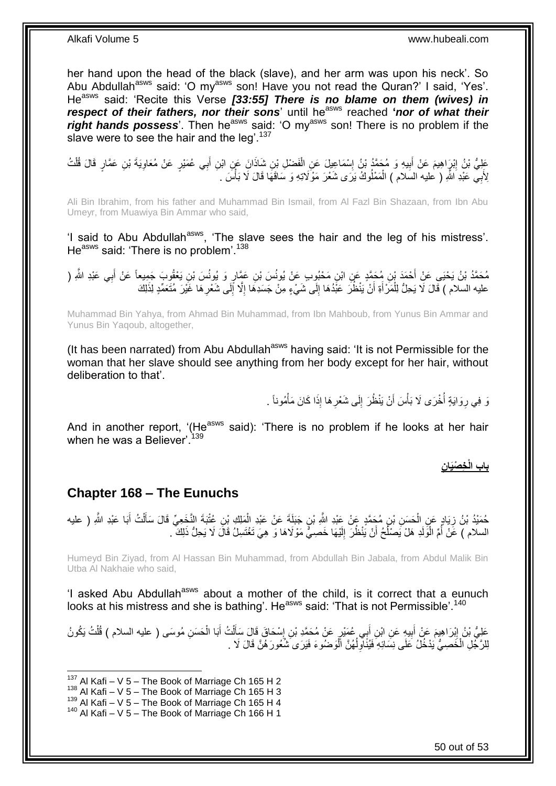her hand upon the head of the black (slave), and her arm was upon his neck'. So Abu Abdullah<sup>asws</sup> said: 'O my<sup>asws</sup> son! Have you not read the Quran?' I said, 'Yes'. He<sup>asws</sup> said: 'Recite this Verse [33:55] There is no blame on them (wives) in *respect of their fathers, nor their sons*' until he<sup>asws</sup> reached '*nor of what their* right hands possess'. Then he<sup>asws</sup> said: 'O my<sup>asws</sup> son! There is no problem if the slave were to see the hair and the leg<sup>'.137</sup>

عَلِيُّ بْنُ إِبْرَاهِيمَ عَنْ أَبِيهِ وَ مُجَمَّدُ بْنُ إِسْمَاعِيلَ عَنِ الْفَضْلِ بْنِ شَاذَانَ عَنٍ ابْنِ أَبِي عُمَيْرٍ عَنْ مُعَاوِيَةَ بْنِ عَمَّارٍ قَالَ قُلْتُ َ ْ ِ **! ֽוּ** ْ ِ لِأَبِيّ عَبْدِ اللّهِ ( عليه السّلام ) الْمَمْلُوكُ يَرَى شَعْرَ مَوْلَاتِهِ وَ سَاقَهَا قَالَ لَا بَأْسَ . َ ،<br>أ ْ

Ali Bin Ibrahim, from his father and Muhammad Bin Ismail, from Al Fazl Bin Shazaan, from Ibn Abu Umeyr, from Muawiya Bin Ammar who said,

'I said to Abu Abdullah<sup>asws</sup>, 'The slave sees the hair and the leg of his mistress'. He<sup>asws</sup> said: 'There is no problem'.<sup>138</sup>

مُحَمَّدُ بْنُ يَحْيَى عَنِْ أَحْمَدَ بْنِ مُحَمَّدٍ عَنِ ابْنِ مَحْبُوبٍ عَنْ يُونُسَ بْنِ عَمَّارٍ وَ يُونُسَ بْنِ يَعْقُوبَ جَمِيعاً عَنْ أَبِي عَبْدِ اللَّهِ (<br>. َ َ عليه السلام ) قَالَ لَا يَحِلُّ لِلْمَرْ أَةِ أَنْ يَنْظُرَ عَبْدُهَا إِلَى شَيْءٍ مِنْ جَسَدِهَا إِلَّا إِلَى شَعْرِهَا غَيْرَ مُتَعَمِّدٍ لِذَلِكَ َ ∣∣<br>∶ اً َ ْ ِ ِ

Muhammad Bin Yahya, from Ahmad Bin Muhammad, from Ibn Mahboub, from Yunus Bin Ammar and Yunus Bin Yaqoub, altogether,

(It has been narrated) from Abu Abdullah<sup>asws</sup> having said: 'It is not Permissible for the woman that her slave should see anything from her body except for her hair, without deliberation to that'.

> نَ فِي رِوَايَةٍ أُخْرَى لَا بَأْسَ أَنْ يَنْظُرَ إِلَى شَعْرِهَا إِذَا كَانَ مَأْمُوناً . َ **ٔ** .<br>ا ِ ْ **∶** ِ

And in another report, '(He<sup>asws</sup> said): 'There is no problem if he looks at her hair when he was a Believer'.  $139$ 

 **ن خ ْصَيا باب الْ**

#### <span id="page-49-0"></span>**Chapter 168 – The Eunuchs**

حُمَيْدُ بْنُ زِيَادٍ عَنٍ الْحَسَنِ بْنِ مُحَمَّدٍ عَنْ عَيْدِ اللَّهِ بْنِ جَبَلَةَ عَنْ عَبْدِ الْمَلِكِ بْنِ عُتْبَةَ النَّخَعِيِّ قَالَ سَأَلْتُ أَبَا عَبْدِ اللَّهِ ( عليه ْ ِ َ ْ ĺ ْ السلام ) عَنْ أُمِّ الْوَلَدِ هَلْ يَصْلُحُ أَنْ يَنْظُرَ إِلَيْهَا خَصِيٌّ مَوْلَاهَا وَ هِيَ تَغْتَسِلُ قَالَ لَا يَحِلُّ ذَلِكَ ۖ. لَ ِ اً ا<br>-:<br>ا ان<br>ا

Humeyd Bin Ziyad, from Al Hassan Bin Muhammad, from Abdullah Bin Jabala, from Abdul Malik Bin Utba Al Nakhaie who said,

'I asked Abu Abdullah<sup>asws</sup> about a mother of the child, is it correct that a eunuch looks at his mistress and she is bathing'. He<sup>asws</sup> said: 'That is not Permissible'.<sup>140</sup>

عَلِيُّ بْنُ إِبْرَاهِيمَ عَنْ أُبِيهِ عَنِ ابْنِ أَبِي عُمَيْرٍ عَنْ مُحَمَّدِ بْنِ إِسْحَاقَ قَالَ سَأَلْتُ أَبَا الْحَسَنِ مُوسَى ( عليه السلام ) قُلْتُ يَكُونُ<br>سَعِنُّ بْنُ إِبْرَاهِيمَ مُنْ أُبِيهِ عَنِ ابْنِ بِنُ مُ ْ َ ْ َ ِ َ **!** َ יִי (ו ْ لِلرَّجُلِ الْخَصِيُّ يَدْخُلُ عَلَى نِسَائِهِ فَيُنَاوِلُهُنَّ الْوَصْنُوءَ فَيَرَى شُعُورَ هُنَّ قَالَ لَا . ْ ْ ا<br>ا ِ

 $137$  Al Kafi – V 5 – The Book of Marriage Ch 165 H 2

 $138$  Al Kafi – V 5 – The Book of Marriage Ch 165 H 3

 $139$  Al Kafi – V  $5$  – The Book of Marriage Ch 165 H 4

 $140$  Al Kafi – V 5 – The Book of Marriage Ch 166 H 1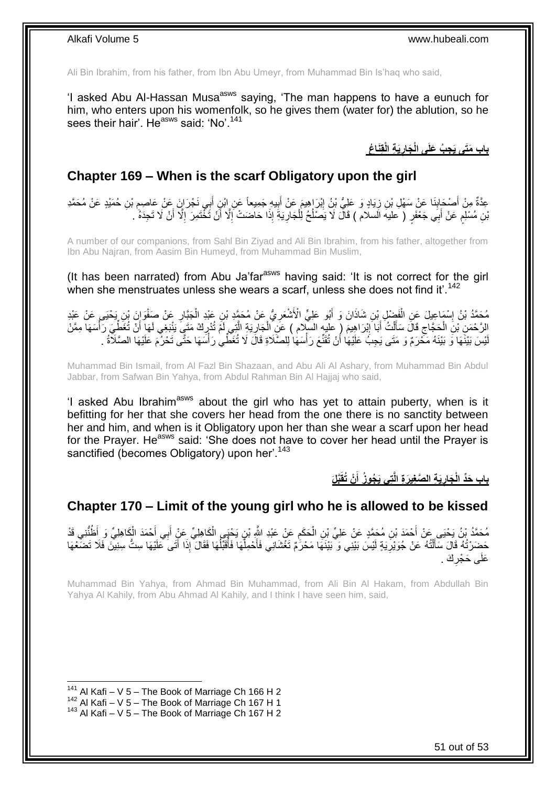Ali Bin Ibrahim, from his father, from Ibn Abu Umeyr, from Muhammad Bin Is'haq who said,

'I asked Abu Al-Hassan Musa<sup>asws</sup> saying, 'The man happens to have a eunuch for him, who enters upon his womenfolk, so he gives them (water for) the ablution, so he sees their hair'. He<sup>asws</sup> said: 'No'.<sup>141</sup>

> **َي ة الْق َنا ُع َجار ج ُب َعلَى الْ باب َمَتى َي**

#### <span id="page-50-0"></span>**Chapter 169 – When is the scarf Obligatory upon the girl**

عِدَّةٌ مِنْ أَصْحَابِذَا عَنْ ِسَهْلِ بْنِ زِيَادٍ وَ عَلِيُّ بْنُ إِبْرَاهِيمَ عَنْ أَبِيهِ جَمِيعاً عَنِ إِبْنِ أَبِي نَجْرَانَ عَنْ عَاصِمٍ بْنِ حُمَيْدٍ عَنْ مُحَمَّدِ ¦ **∣** َ ِ َ **!** ِ َّبْنِ مُسْلِمٍ عَنْ أَبِي جَعْفَرٍ ( عليهَ السلام ) قَالَ لَا يَصَلْحُ لِلْجَارِيَةِ إِذَا حَاضَتْ إِلَّا أَنْ تَخْتَمِرَ إِلَّا أَنْ لَا تَجِدَهُ ۚ. ِ َ ِ **∶** ْ ُ َ ٍ َ

A number of our companions, from Sahl Bin Ziyad and Ali Bin Ibrahim, from his father, altogether from Ibn Abu Najran, from Aasim Bin Humeyd, from Muhammad Bin Muslim,

(It has been narrated) from Abu Ja'far<sup>asws</sup> having said: 'It is not correct for the girl when she menstruates unless she wears a scarf, unless she does not find it'.<sup>142</sup>

مُحَمَّدُ بْنُ إِسْمَاعِيلَ عَنِ الْفَضْلِ بْنِ شَاذَانَ وَ أَبُو عَلِيٍّ الْأَشْعَرِيُّ عَنْ مُحَمَّدٍ بْنِ عَبْدِ الْجَبَّارِ عَنْ صَفْوَانَ بْنِ يَحْيَى عَنْ عَبْدِ<br>دَعَيْدَ الْمَسْلَمِينَ عَنْ الْفَضْلِ بْنِ شَاذَانَ ْ ِ َ ْ **֡** ِ الرَّحْمَنِ بْنِ الْحَجَّاجِ قَالَ سَأَلْتُ أَبَا إِبْرَاهِيمَ ( عليه السِّلام ) عَنِ الْجَارِيَةِ الَّتِي لَمْ تُدْرِكْ مَتَيَ يَنْبَغِي لَهَا أَنْ تُغَطِّيَ رَأْسَهَا مِمَّنْ ِ َّ ِ ْ ֦֦֦֦֦֦֦֦֦֦֦֪֦֦֦֦֦֦֦֦֧֦֧֚֚֚֚֚֝֟֝֝֝֝֝֝֝֝֝֬֟֝֝֟֟֓֡֟֟֟֟֓֡֟֟֓֡֟ َ ْ َ ِ ْ ْ َ لْيْسَ بَيْنَهَا وَ بَيْنَهُ مَحْرَمٌ وَ مَتَى يَجِبُ عَلَيْهَا أَنْ تُقَنِّعَ رَأْسَهَا لِلصَّلَاةِ قَالَ لَا تُغَطِّي رَأْسَهَا حَتَّى تَحْرُمَ عَلَيْهَا الصَّلَاةُ . ْ أ ْ َ

Muhammad Bin Ismail, from Al Fazl Bin Shazaan, and Abu Ali Al Ashary, from Muhammad Bin Abdul Jabbar, from Safwan Bin Yahya, from Abdul Rahman Bin Al Hajjaj who said,

'I asked Abu Ibrahim<sup>asws</sup> about the girl who has yet to attain puberty, when is it befitting for her that she covers her head from the one there is no sanctity between her and him, and when is it Obligatory upon her than she wear a scarf upon her head for the Prayer. He<sup>asws</sup> said: 'She does not have to cover her head until the Prayer is sanctified (becomes Obligatory) upon her'.<sup>143</sup>

> **َّبلَ ْن ُتقَ ت ي َي ُجو ُز أ َي ة ال َّص غي َر ة الَّ َجار باب َحِّد الْ َ**

### <span id="page-50-1"></span>**Chapter 170 – Limit of the young girl who he is allowed to be kissed**

مُحَمَّدُ بْنُ يَحْيَى عَنْ أَحْمَدَ بْنِ مُحَمَّدٍ عَنْ عَلِيِّ بْنِ الْحَكَمِ عَنْ عَبْدِ النَّهِ بْنِ يَحْيَى الْكَاهِلِيِّ عَنْ الْجَاهِلِيِّ مَنْ تَحْدَدَ الْكَاهِلِيِّ وَ أَظُنُّنِي قَدْ َ َ ْ ֺ֧֧ׅׅׅׅ֧֚֚֚֚֚֚֚֚֚֚֚֚֚֚֚֚֚֚֝֘֝֘֝֘֜֡֓֡֡֬֜֓֡֡֡֬֜֓֡֡֡֡֡֬֜֓֡֡֬ ْ ْ حَضَرْتُهُ قَالَ سَأَلْتُهُ عَنْ جُوَيْرِيَةٍ لَيْسَ بَيْنِي وَ بَيْنَهَا مَحْرَٰمٌ تَغْشَانِي فَأَحْمِلُهَا فَأَقَبَّلُهَا فَقَالَ ۚ إِذَا أَتَى عَلَيْهَا سِتُّ سِنِينَ فَلَا تَضَعْهَا ِ ֺ֦֪֦֧֦֦֧֦֧֦֦֖֦֪֦֖֦֪֦֪֦֦֦֦֦֦֪֦֪֦֪֪֦֪֦֧֦֪֦֪֦֧֟֟֟֟֟֟֟֟֟֟֟֟֟֟֟֟֟֟֟֟֟֟֟֟֟֟֟֟֟֓֕֟֟֓֟֩֕֓֞֟֝֟֝֟֟֟֟֟֟֟֟ َ َ ُ ر<br>ا ُ َ عَلَى حَجْرِكَ . **∶** 

Muhammad Bin Yahya, from Ahmad Bin Muhammad, from Ali Bin Al Hakam, from Abdullah Bin Yahya Al Kahily, from Abu Ahmad Al Kahily, and I think I have seen him, said,

 $141$  Al Kafi – V 5 – The Book of Marriage Ch 166 H 2

 $142$  Al Kafi – V 5 – The Book of Marriage Ch 167 H 1

 $143$  Al Kafi – V 5 – The Book of Marriage Ch 167 H 2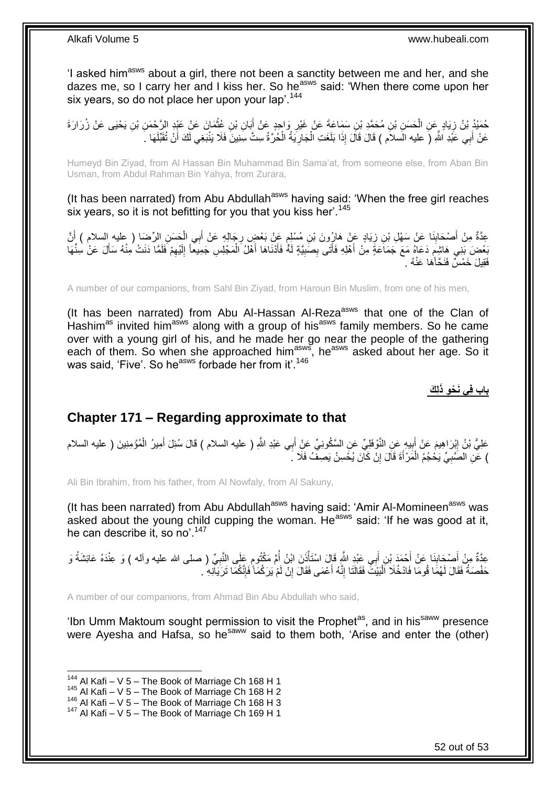'I asked him<sup>asws</sup> about a girl, there not been a sanctity between me and her, and she dazes me, so I carry her and I kiss her. So he<sup>asws</sup> said: 'When there come upon her six years, so do not place her upon your lap'.<sup>144</sup>

حُمَيْدُ بْنُ زِيَادٍ عَنِ الْحَسَنِ بْنِ مُحَمَّدِ بْنِ سَمَاعَةَ عَنْ غَيْرِ وَاحِدٍ عَنْ أَبَانِ بْنِ عُثْمَانَ عَنْ عَبْدِ الرَّحْمَنِ بْنِ يَحْيَى عَنْ زُرَارَةَ<br>-; **ٔ** َ ِ ْ عَنْ أَبِي عََّذِ اللَّهِ (َ عليه الَسلاَم ) قَالَ قَالَ إِذَا بَلَغَتِ الْجَارِيَةُ الْحُرَّةُ سِتَّ سِنِينَ فَلَا يَنْبَغِي لَكَ أَنْ تُقَبِّلَهَا  $\,$ ْ ِ ْ َ َ

Humeyd Bin Ziyad, from Al Hassan Bin Muhammad Bin Sama'at, from someone else, from Aban Bin Usman, from Abdul Rahman Bin Yahya, from Zurara,

(It has been narrated) from Abu Abdullah<sup>asws</sup> having said: 'When the free girl reaches six years, so it is not befitting for you that you kiss her'.<sup>145</sup>

عِدَّةٌ مِنْ أَصْحَابِذَا عَنْ سَهْلِ بْنِ زِيَادٍ عَنْ هَارِرُونَ بْنِ مُسْلِمٍ عَنْ بَعْضٍ رِجَالِهِ عَنْ أَبِي الْحَسَنِ الرِّضَا ( عليه السلام ) أَنَّ ْ َ **∶** ֧<del>֓</del> ِ ِ َ بَعْضَ بَنِي هَاشِمَ دَعَاهُ مَعَ جَمَاَعَةَ مِنْ أَهْلِهِ فَأَتَى بِصَبِيَّةٍ لَهُ فَأَنْنَاهَا أَهْلُ الْمَجْلِسِ جَمِيعاً إِلَيْهِمْ فَلَمَا دَنَتْ مِنْهُ سَأَلَ عَنْ سِنِّهَا ٍ ِ لَ ِ ْ َ َ ِ ِ َ َ َ فَقِيلَ خَمْسٌ فَنَحَّأَهَا عَنْهُ .

A number of our companions, from Sahl Bin Ziyad, from Haroun Bin Muslim, from one of his men,

(It has been narrated) from Abu Al-Hassan Al-Reza<sup>asws</sup> that one of the Clan of Hashim<sup>as</sup> invited him<sup>asws</sup> along with a group of his<sup>asws</sup> family members. So he came over with a young girl of his, and he made her go near the people of the gathering each of them. So when she approached him<sup>asws</sup>, he<sup>asws</sup> asked about her age. So it was said, 'Five'. So he<sup>asws</sup> forbade her from it'.<sup>146</sup>

**ل َك باب ف ي َن ْح و ذَ**

#### <span id="page-51-0"></span>**Chapter 171 – Regarding approximate to that**

عَلِيُّ بْنُ إِبْرَاهِيمَ عَنْ أَبِيهِ عَنِ النَّوْفَلِيِّ عَنِ السَّكُونِيِّ عَنِْ أَبِي عَبْدِ اللَّهِ ( عليه السلام ) قَالَ سُئِلَ أَمِيرُ الْمُؤْمِنِينَ ( عليه السلام **!** َ ِ ْ َ َ ) عَنِ الصَّبِيِّ يَحْجُمُ الْمَرْ أَةَ قَالَ إِنْ كَانَ يُخْسِنُ يَصِفُ فَلَا ۚ . יִי, ْ ِ

Ali Bin Ibrahim, from his father, from Al Nowfaly, from Al Sakuny,

(It has been narrated) from Abu Abdullah<sup>asws</sup> having said: 'Amir Al-Momineen<sup>asws</sup> was asked about the young child cupping the woman. He<sup>asws</sup> said: 'If he was good at it, he can describe it, so no'.<sup>147</sup>

عِدَّةٌ مِنْ أَصْحَابِنَا عَنْ أَحْمَدَ بْنِ أَبِي عَبْدٍ اللَّهِ قَالَ اسْتَأْذَنَ ابْنُ أُمِّ مَكْثُومٍ عَلَى النَّبِيِّ ( صلى الله عليه وأله ) وَ عِنْدَهُ عَائِشَةُ وَ<br>حَدَّةٌ مِنْ أَصْحَابِ **∣** َ ِ ٍ ا<br>المسلماني ْ َ حَفْصَهُ فَقَالَ لَهُمَا قُومَا فَادْخُلَا اَلْبَيْتَ فَقَالَنَا إِنَّهُ أَعْمَى فَقَالَ إِنْ لَمْ يَرَكُمَا َفَإِنَّكُمَا تَرَيَانِهِ ۖ ِ ِ َ ِ ْ

A number of our companions, from Ahmad Bin Abu Abdullah who said,

'Ibn Umm Maktoum sought permission to visit the Prophet<sup>as</sup>, and in his<sup>saww</sup> presence were Ayesha and Hafsa, so he<sup>saww</sup> said to them both, 'Arise and enter the (other)

 $144$  Al Kafi – V 5 – The Book of Marriage Ch 168 H 1

 $145$  Al Kafi – V 5 – The Book of Marriage Ch 168 H 2

 $146$  Al Kafi – V  $5$  – The Book of Marriage Ch 168 H 3

<sup>147</sup> Al Kafi – V 5 – The Book of Marriage Ch 169 H 1